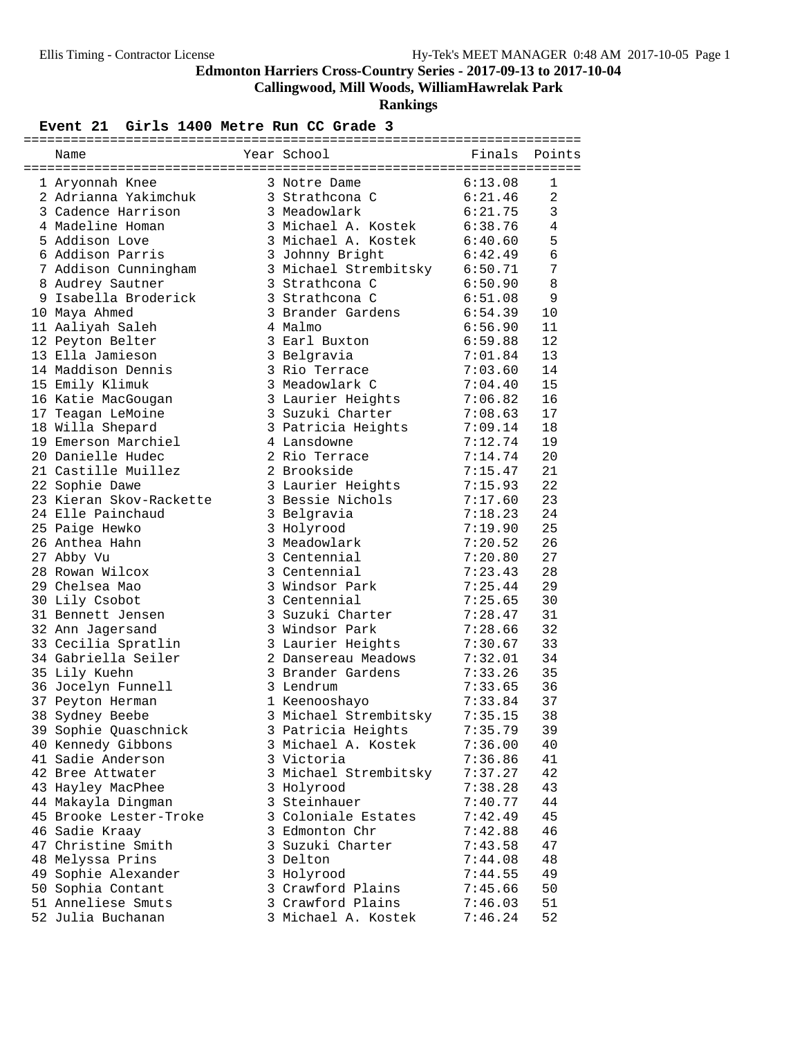**Callingwood, Mill Woods, WilliamHawrelak Park**

**Rankings**

#### Event 21 Girls 1400 Metre Run CC Grade 3

| Name                    | Year School                   | Finals  | Points         |
|-------------------------|-------------------------------|---------|----------------|
| 1 Aryonnah Knee         | 3 Notre Dame                  | 6:13.08 | $\mathbf{1}$   |
| 2 Adrianna Yakimchuk    | 3 Strathcona C                | 6:21.46 | $\overline{a}$ |
| 3 Cadence Harrison      | 3 Meadowlark                  | 6:21.75 | 3              |
| 4 Madeline Homan        | 3 Michael A. Kostek           | 6:38.76 | 4              |
| 5 Addison Love          | 3 Michael A. Kostek           | 6:40.60 | 5              |
| 6 Addison Parris        | 3 Johnny Bright               | 6:42.49 | $\epsilon$     |
| 7 Addison Cunningham    | 3 Michael Strembitsky 6:50.71 |         | 7              |
| 8 Audrey Sautner        | 3 Strathcona C                | 6:50.90 | 8              |
| 9 Isabella Broderick    | 3 Strathcona C                | 6:51.08 | 9              |
| 10 Maya Ahmed           | 3 Brander Gardens             | 6:54.39 | 10             |
| 11 Aaliyah Saleh        | 4 Malmo                       | 6:56.90 | 11             |
| 12 Peyton Belter        | 3 Earl Buxton                 | 6:59.88 | 12             |
| 13 Ella Jamieson        | 3 Belgravia                   | 7:01.84 | 13             |
| 14 Maddison Dennis      | 3 Rio Terrace                 | 7:03.60 | 14             |
| 15 Emily Klimuk         | 3 Meadowlark C                | 7:04.40 | 15             |
| 16 Katie MacGougan      | 3 Laurier Heights             | 7:06.82 | 16             |
| 17 Teagan LeMoine       | 3 Suzuki Charter              | 7:08.63 | 17             |
| 18 Willa Shepard        | 3 Patricia Heights            | 7:09.14 | 18             |
| 19 Emerson Marchiel     | 4 Lansdowne                   | 7:12.74 | 19             |
| 20 Danielle Hudec       | 2 Rio Terrace                 | 7:14.74 | 20             |
| 21 Castille Muillez     | 2 Brookside                   | 7:15.47 | 21             |
| 22 Sophie Dawe          | 3 Laurier Heights             | 7:15.93 | 22             |
| 23 Kieran Skov-Rackette | 3 Bessie Nichols              | 7:17.60 | 23             |
| 24 Elle Painchaud       | 3 Belgravia                   | 7:18.23 | 24             |
| 25 Paige Hewko          | 3 Holyrood                    | 7:19.90 | 25             |
| 26 Anthea Hahn          | 3 Meadowlark                  | 7:20.52 | 26             |
| 27 Abby Vu              | 3 Centennial                  | 7:20.80 | 27             |
| 28 Rowan Wilcox         | 3 Centennial                  | 7:23.43 | 28             |
| 29 Chelsea Mao          | 3 Windsor Park                | 7:25.44 | 29             |
| 30 Lily Csobot          | 3 Centennial                  | 7:25.65 | 30             |
| 31 Bennett Jensen       | 3 Suzuki Charter              | 7:28.47 | 31             |
| 32 Ann Jagersand        | 3 Windsor Park                | 7:28.66 | 32             |
| 33 Cecilia Spratlin     | 3 Laurier Heights             | 7:30.67 | 33             |
| 34 Gabriella Seiler     | 2 Dansereau Meadows           | 7:32.01 | 34             |
| 35 Lily Kuehn           | 3 Brander Gardens             | 7:33.26 | 35             |
| 36 Jocelyn Funnell      | 3 Lendrum                     | 7:33.65 | 36             |
| 37 Peyton Herman        | 1 Keenooshayo                 | 7:33.84 | 37             |
| 38 Sydney Beebe         | 3 Michael Strembitsky         | 7:35.15 | 38             |
| 39 Sophie Quaschnick    | 3 Patricia Heights            | 7:35.79 | 39             |
| 40 Kennedy Gibbons      | 3 Michael A. Kostek           | 7:36.00 | 40             |
| 41 Sadie Anderson       | 3 Victoria                    | 7:36.86 | 41             |
| 42 Bree Attwater        | 3 Michael Strembitsky         | 7:37.27 | 42             |
| 43 Hayley MacPhee       | 3 Holyrood                    | 7:38.28 | 43             |
| 44 Makayla Dingman      | 3 Steinhauer                  | 7:40.77 | 44             |
| 45 Brooke Lester-Troke  | 3 Coloniale Estates           | 7:42.49 | 45             |
| 46 Sadie Kraay          | 3 Edmonton Chr                | 7:42.88 | 46             |
| 47 Christine Smith      | 3 Suzuki Charter              | 7:43.58 | 47             |
| 48 Melyssa Prins        | 3 Delton                      | 7:44.08 | 48             |
| 49 Sophie Alexander     | 3 Holyrood                    | 7:44.55 | 49             |
| 50 Sophia Contant       | 3 Crawford Plains             | 7:45.66 | 50             |
| 51 Anneliese Smuts      | 3 Crawford Plains             | 7:46.03 | 51             |
| 52 Julia Buchanan       | 3 Michael A. Kostek           | 7:46.24 | 52             |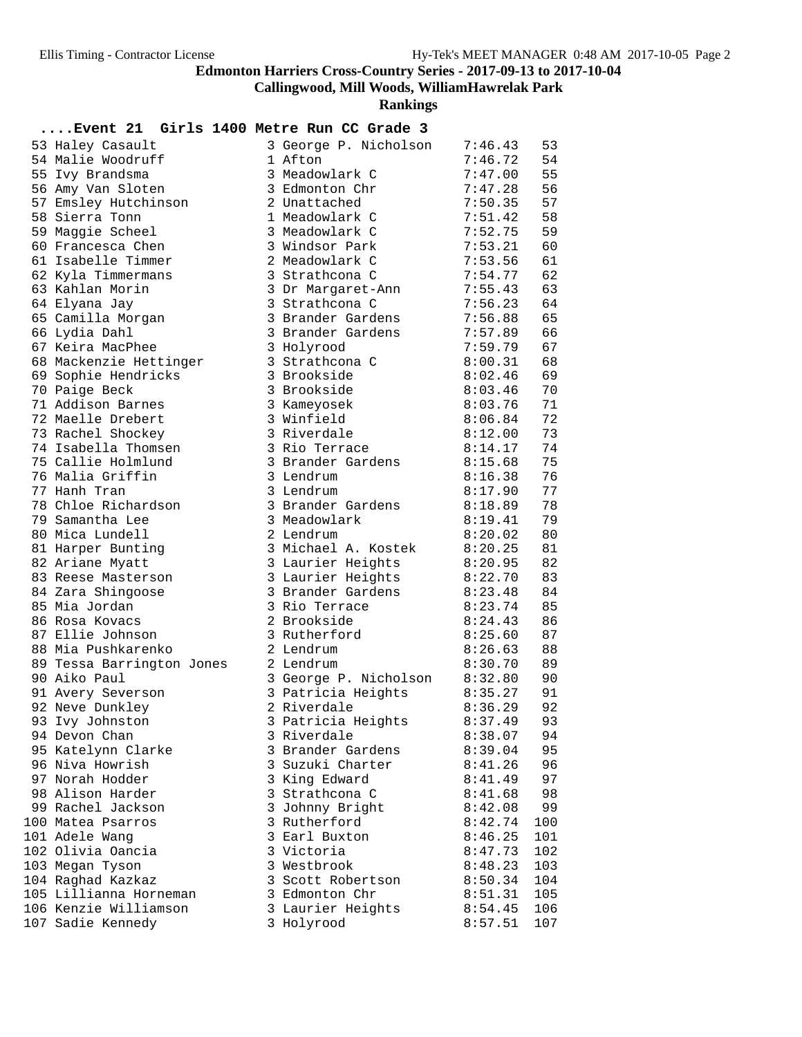**Callingwood, Mill Woods, WilliamHawrelak Park**

**Rankings**

## **....Event 21 Girls 1400 Metre Run CC Grade 3**

| 53 Haley Casault          | 3 George P. Nicholson | 7:46.43      | 53  |
|---------------------------|-----------------------|--------------|-----|
| 54 Malie Woodruff         | 1 Afton               | 7:46.72      | 54  |
| 55 Ivy Brandsma           | 3 Meadowlark C        | 7:47.00      | 55  |
| 56 Amy Van Sloten         | 3 Edmonton Chr        | 7:47.28      | 56  |
| 57 Emsley Hutchinson      | 2 Unattached          | 7:50.35      | 57  |
| 58 Sierra Tonn            | 1 Meadowlark C        | 7:51.42      | 58  |
| 59 Maggie Scheel          | 3 Meadowlark C        | 7:52.75      | 59  |
| 60 Francesca Chen         | 3 Windsor Park        | 7:53.21      | 60  |
| 61 Isabelle Timmer        | 2 Meadowlark C        | 7:53.56      | 61  |
| 62 Kyla Timmermans        | 3 Strathcona C        | 7:54.77      | 62  |
| 63 Kahlan Morin           | 3 Dr Margaret-Ann     | 7:55.43      | 63  |
| 64 Elyana Jay             | 3 Strathcona C        | 7:56.23      | 64  |
| 65 Camilla Morgan         | 3 Brander Gardens     | 7:56.88      | 65  |
| 66 Lydia Dahl             | 3 Brander Gardens     | 7:57.89      | 66  |
| 67 Keira MacPhee          | 3 Holyrood            | 7:59.79      | 67  |
| 68 Mackenzie Hettinger    | 3 Strathcona C        | 8:00.31      | 68  |
| 69 Sophie Hendricks       | 3 Brookside           | 8:02.46      | 69  |
| 70 Paige Beck             | 3 Brookside           | 8:03.46      | 70  |
| 71 Addison Barnes         | 3 Kameyosek           | 8:03.76      | 71  |
| 72 Maelle Drebert         | 3 Winfield            | 8:06.84      | 72  |
| 73 Rachel Shockey         | 3 Riverdale           | 8:12.00      | 73  |
| 74 Isabella Thomsen       | 3 Rio Terrace         | 8:14.17      | 74  |
| 75 Callie Holmlund        | 3 Brander Gardens     | 8:15.68      | 75  |
| 76 Malia Griffin          | 3 Lendrum             | 8:16.38      | 76  |
| 77 Hanh Tran              | 3 Lendrum             | 8:17.90      | 77  |
| 78 Chloe Richardson       | 3 Brander Gardens     | 8:18.89      | 78  |
| 79 Samantha Lee           | 3 Meadowlark          | 8:19.41      | 79  |
| 80 Mica Lundell           | 2 Lendrum             | 8:20.02      | 80  |
| 81 Harper Bunting         | 3 Michael A. Kostek   | 8:20.25      | 81  |
| 82 Ariane Myatt           | 3 Laurier Heights     | 8:20.95      | 82  |
| 83 Reese Masterson        | 3 Laurier Heights     | 8:22.70      | 83  |
| 84 Zara Shingoose         | 3 Brander Gardens     | 8:23.48      | 84  |
| 85 Mia Jordan             | 3 Rio Terrace         | 8:23.74      | 85  |
| 86 Rosa Kovacs            | 2 Brookside           | 8:24.43      | 86  |
| 87 Ellie Johnson          | 3 Rutherford          | 8:25.60      | 87  |
| 88 Mia Pushkarenko        | 2 Lendrum             | 8:26.63      | 88  |
| 89 Tessa Barrington Jones | 2 Lendrum             | 8:30.70      | 89  |
| 90 Aiko Paul              | 3 George P. Nicholson | 8:32.80      | 90  |
| 91 Avery Severson         | 3 Patricia Heights    | 8:35.27      | 91  |
| 92 Neve Dunkley           | 2 Riverdale           | 8:36.29      | 92  |
| 93 Ivy Johnston           | 3 Patricia Heights    | $8:37.49$ 93 |     |
| 94 Devon Chan             | 3 Riverdale           | 8:38.07      | 94  |
| 95 Katelynn Clarke        | 3 Brander Gardens     | 8:39.04      | 95  |
| 96 Niva Howrish           | 3 Suzuki Charter      | 8:41.26      | 96  |
| 97 Norah Hodder           | 3 King Edward         | 8:41.49      | 97  |
| 98 Alison Harder          | 3 Strathcona C        | 8:41.68      | 98  |
| 99 Rachel Jackson         | 3 Johnny Bright       | 8:42.08      | 99  |
| 100 Matea Psarros         | 3 Rutherford          | 8:42.74      | 100 |
| 101 Adele Wang            | 3 Earl Buxton         | 8:46.25      | 101 |
| 102 Olivia Oancia         | 3 Victoria            | 8:47.73      | 102 |
| 103 Megan Tyson           | 3 Westbrook           | 8:48.23      | 103 |
| 104 Raghad Kazkaz         | 3 Scott Robertson     | 8:50.34      | 104 |
| 105 Lillianna Horneman    | 3 Edmonton Chr        | 8:51.31      | 105 |
| 106 Kenzie Williamson     | 3 Laurier Heights     | 8:54.45      | 106 |
| 107 Sadie Kennedy         | 3 Holyrood            | 8:57.51      | 107 |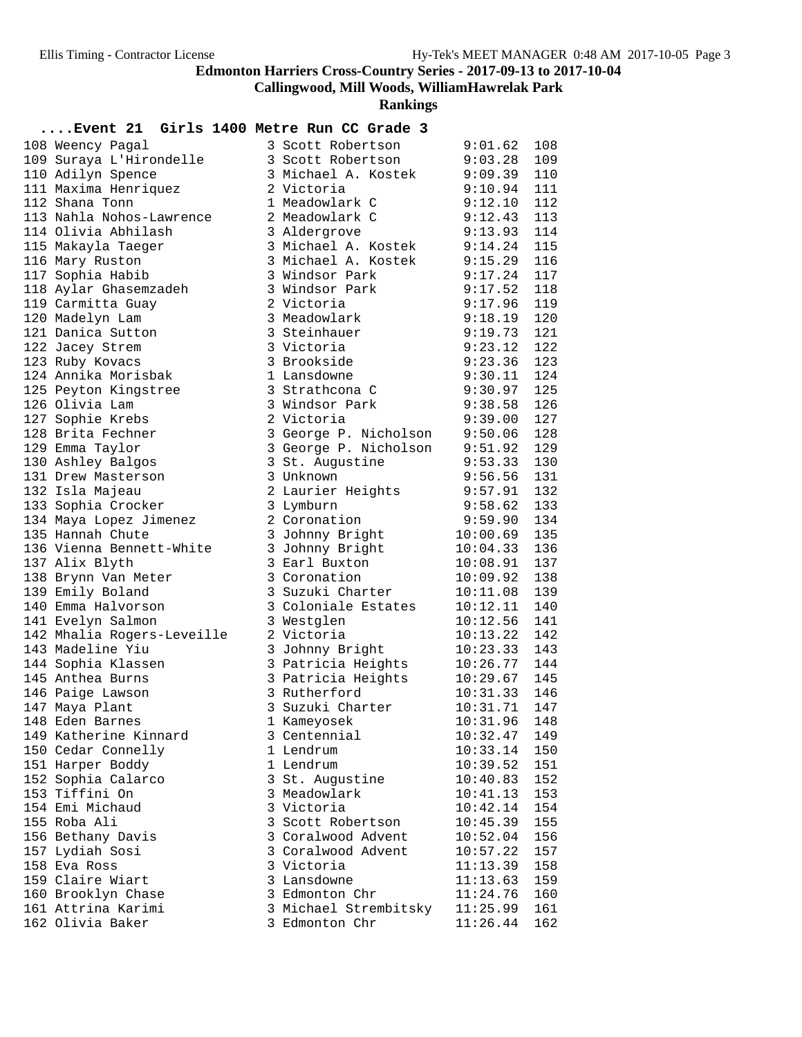**Callingwood, Mill Woods, WilliamHawrelak Park**

**Rankings**

#### **....Event 21 Girls 1400 Metre Run CC Grade 3**

| 108 Weency Pagal           | 3 Scott Robertson           | 9:01.62        | 108 |
|----------------------------|-----------------------------|----------------|-----|
| 109 Suraya L'Hirondelle    | 3 Scott Robertson           | 9:03.28        | 109 |
| 110 Adilyn Spence          | 3 Michael A. Kostek 9:09.39 |                | 110 |
| 111 Maxima Henriquez       | 2 Victoria                  | 9:10.94        | 111 |
| 112 Shana Tonn             | 1 Meadowlark C              | 9:12.10        | 112 |
| 113 Nahla Nohos-Lawrence   | 2 Meadowlark C              | $9:12.43$ 113  |     |
| 114 Olivia Abhilash        | 3 Aldergrove                | 9:13.93        | 114 |
| 115 Makayla Taeger         | 3 Michael A. Kostek         | 9:14.24        | 115 |
| 116 Mary Ruston            | 3 Michael A. Kostek         | 9:15.29        | 116 |
| 117 Sophia Habib           | 3 Windsor Park              | 9:17.24        | 117 |
| 118 Aylar Ghasemzadeh      | 3 Windsor Park              | 9:17.52        | 118 |
| 119 Carmitta Guay          | 2 Victoria                  | 9:17.96        | 119 |
| 120 Madelyn Lam            | 3 Meadowlark                | 9:18.19        | 120 |
| 121 Danica Sutton          | 3 Steinhauer                | 9:19.73        | 121 |
| 122 Jacey Strem            | 3 Victoria                  | 9:23.12        | 122 |
| 123 Ruby Kovacs            | 3 Brookside                 | 9:23.36        | 123 |
| 124 Annika Morisbak        | 1 Lansdowne                 | 9:30.11        | 124 |
| 125 Peyton Kingstree       | 3 Strathcona C              | 9:30.97        | 125 |
| 126 Olivia Lam             | 3 Windsor Park              | 9:38.58        | 126 |
| 127 Sophie Krebs           | 2 Victoria                  | 9:39.00        | 127 |
| 128 Brita Fechner          | 3 George P. Nicholson       | 9:50.06        | 128 |
| 129 Emma Taylor            | 3 George P. Nicholson       | 9:51.92        | 129 |
| 130 Ashley Balgos          | 3 St. Augustine             | 9:53.33        | 130 |
| 131 Drew Masterson         | 3 Unknown                   | 9:56.56        | 131 |
| 132 Isla Majeau            | 2 Laurier Heights           | 9:57.91        | 132 |
| 133 Sophia Crocker         | 3 Lymburn                   | 9:58.62        | 133 |
| 134 Maya Lopez Jimenez     | 2 Coronation                | 9:59.90        | 134 |
| 135 Hannah Chute           | 3 Johnny Bright             | 10:00.69       | 135 |
| 136 Vienna Bennett-White   | 3 Johnny Bright             | 10:04.33       | 136 |
| 137 Alix Blyth             | 3 Earl Buxton               | 10:08.91       | 137 |
| 138 Brynn Van Meter        | 3 Coronation                | 10:09.92       | 138 |
| 139 Emily Boland           | 3 Suzuki Charter            | 10:11.08       | 139 |
| 140 Emma Halvorson         | 3 Coloniale Estates         | 10:12.11       | 140 |
| 141 Evelyn Salmon          | 3 Westglen                  | 10:12.56       | 141 |
| 142 Mhalia Rogers-Leveille | 2 Victoria                  | 10:13.22       | 142 |
| 143 Madeline Yiu           | 3 Johnny Bright             | $10:23.33$ 143 |     |
| 144 Sophia Klassen         | 3 Patricia Heights          | 10:26.77       | 144 |
| 145 Anthea Burns           | 3 Patricia Heights          | 10:29.67       | 145 |
| 146 Paige Lawson           | 3 Rutherford                | 10:31.33       | 146 |
| 147 Maya Plant             | 3 Suzuki Charter            | 10:31.71       | 147 |
| 148 Eden Barnes            | 1 Kameyosek                 | $10:31.96$ 148 |     |
| 149 Katherine Kinnard      | 3 Centennial                | 10:32.47       | 149 |
| 150 Cedar Connelly         | 1 Lendrum                   | 10:33.14       | 150 |
| 151 Harper Boddy           | 1 Lendrum                   | 10:39.52       | 151 |
| 152 Sophia Calarco         | 3 St. Augustine             | 10:40.83       | 152 |
| 153 Tiffini On             | 3 Meadowlark                | 10:41.13       | 153 |
| 154 Emi Michaud            | 3 Victoria                  | 10:42.14       | 154 |
| 155 Roba Ali               | 3 Scott Robertson           | 10:45.39       | 155 |
| 156 Bethany Davis          | 3 Coralwood Advent          | 10:52.04       | 156 |
| 157 Lydiah Sosi            | 3 Coralwood Advent          | 10:57.22       | 157 |
| 158 Eva Ross               | 3 Victoria                  | 11:13.39       | 158 |
| 159 Claire Wiart           | 3 Lansdowne                 | 11:13.63       | 159 |
| 160 Brooklyn Chase         | 3 Edmonton Chr              | 11:24.76       | 160 |
| 161 Attrina Karimi         | 3 Michael Strembitsky       | 11:25.99       | 161 |
| 162 Olivia Baker           | 3 Edmonton Chr              | 11:26.44       | 162 |
|                            |                             |                |     |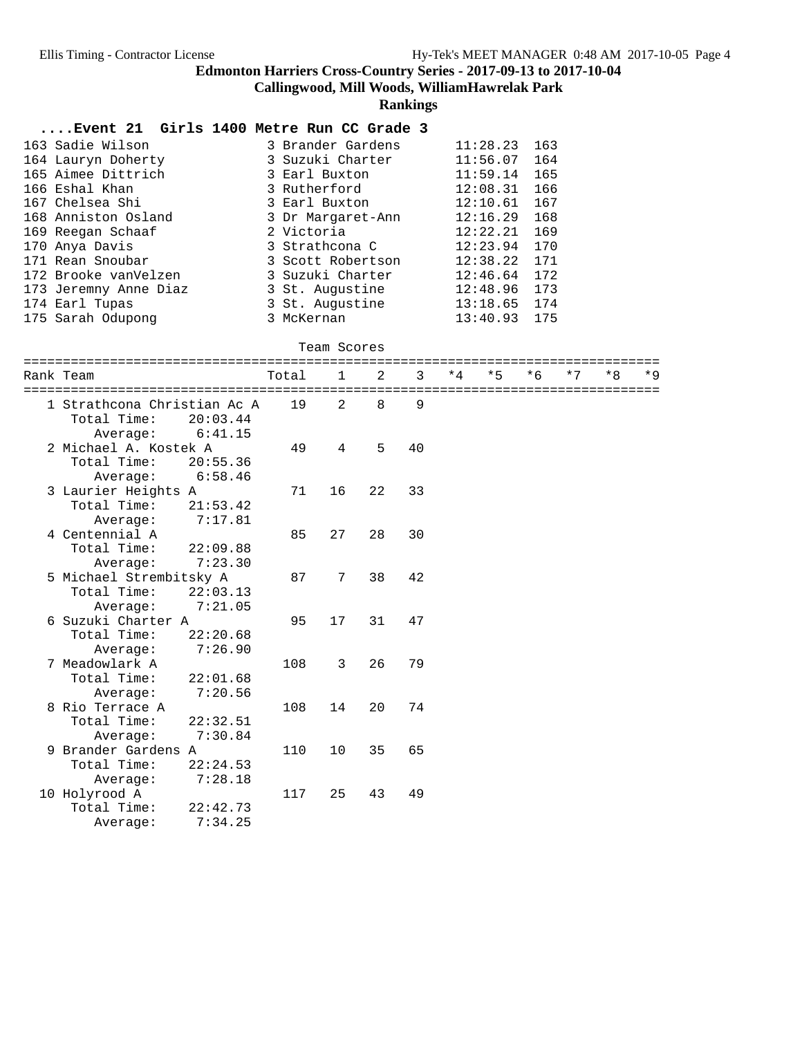**Callingwood, Mill Woods, WilliamHawrelak Park**

**Rankings**

#### **....Event 21 Girls 1400 Metre Run CC Grade 3**

| 163 Sadie Wilson      | 3 Brander Gardens | 11:28.23 | 163 |
|-----------------------|-------------------|----------|-----|
| 164 Lauryn Doherty    | 3 Suzuki Charter  | 11:56.07 | 164 |
| 165 Aimee Dittrich    | 3 Earl Buxton     | 11:59.14 | 165 |
| 166 Eshal Khan        | 3 Rutherford      | 12:08.31 | 166 |
| 167 Chelsea Shi       | 3 Earl Buxton     | 12:10.61 | 167 |
| 168 Anniston Osland   | 3 Dr Margaret-Ann | 12:16.29 | 168 |
| 169 Reegan Schaaf     | 2 Victoria        | 12:22.21 | 169 |
| 170 Anya Davis        | 3 Strathcona C    | 12:23.94 | 170 |
| 171 Rean Snoubar      | 3 Scott Robertson | 12:38.22 | 171 |
| 172 Brooke vanVelzen  | 3 Suzuki Charter  | 12:46.64 | 172 |
| 173 Jeremny Anne Diaz | 3 St. Augustine   | 12:48.96 | 173 |
| 174 Earl Tupas        | 3 St. Augustine   | 13:18.65 | 174 |
| 175 Sarah Odupong     | 3 McKernan        | 13:40.93 | 175 |

#### Team Scores

| Rank Team                   | Total | $\mathbf{1}$    | $\mathfrak{D}$ | ર  | $*4$ | $*5$ | $*6$ | $*7$ | $*8$                          | $*9$ |
|-----------------------------|-------|-----------------|----------------|----|------|------|------|------|-------------------------------|------|
|                             |       |                 |                |    |      |      |      |      | ============================= |      |
| 1 Strathcona Christian Ac A | 19    | 2               | 8              | 9  |      |      |      |      |                               |      |
| Total Time:<br>20:03.44     |       |                 |                |    |      |      |      |      |                               |      |
| 6:41.15<br>Average:         |       |                 |                |    |      |      |      |      |                               |      |
| 2 Michael A. Kostek A       | 49    | 4               | 5              | 40 |      |      |      |      |                               |      |
| Total Time:<br>20:55.36     |       |                 |                |    |      |      |      |      |                               |      |
| 6:58.46<br>Average:         |       |                 |                |    |      |      |      |      |                               |      |
| 3 Laurier Heights A         | 71    | 16              | 22             | 33 |      |      |      |      |                               |      |
| Total Time:<br>21:53.42     |       |                 |                |    |      |      |      |      |                               |      |
| 7:17.81<br>Average:         |       |                 |                |    |      |      |      |      |                               |      |
| 4 Centennial A              | 85    | 27              | 28             | 30 |      |      |      |      |                               |      |
| Total Time:<br>22:09.88     |       |                 |                |    |      |      |      |      |                               |      |
| 7:23.30<br>Average:         |       |                 |                |    |      |      |      |      |                               |      |
| 5 Michael Strembitsky A     | 87    | $7\phantom{.0}$ | 38             | 42 |      |      |      |      |                               |      |
| Total Time:<br>22:03.13     |       |                 |                |    |      |      |      |      |                               |      |
| 7:21.05<br>Average:         |       |                 |                |    |      |      |      |      |                               |      |
| 6 Suzuki Charter A          | 95    | 17              | 31             | 47 |      |      |      |      |                               |      |
| Total Time:<br>22:20.68     |       |                 |                |    |      |      |      |      |                               |      |
| 7:26.90<br>Average:         |       |                 |                |    |      |      |      |      |                               |      |
| 7 Meadowlark A              | 108   | 3               | 26             | 79 |      |      |      |      |                               |      |
| Total Time:<br>22:01.68     |       |                 |                |    |      |      |      |      |                               |      |
| 7:20.56<br>Average:         |       |                 |                |    |      |      |      |      |                               |      |
| 8 Rio Terrace A             | 108   | 14              | 20             | 74 |      |      |      |      |                               |      |
| Total Time:<br>22:32.51     |       |                 |                |    |      |      |      |      |                               |      |
| 7:30.84<br>Average:         |       |                 |                |    |      |      |      |      |                               |      |
| 9 Brander Gardens A         | 110   | 10              | 35             | 65 |      |      |      |      |                               |      |
| Total Time:<br>22:24.53     |       |                 |                |    |      |      |      |      |                               |      |
| 7:28.18<br>Average:         |       |                 |                |    |      |      |      |      |                               |      |
| 10 Holyrood A               | 117   | 25              | 43             | 49 |      |      |      |      |                               |      |
| Total Time:<br>22:42.73     |       |                 |                |    |      |      |      |      |                               |      |
| 7:34.25<br>Average:         |       |                 |                |    |      |      |      |      |                               |      |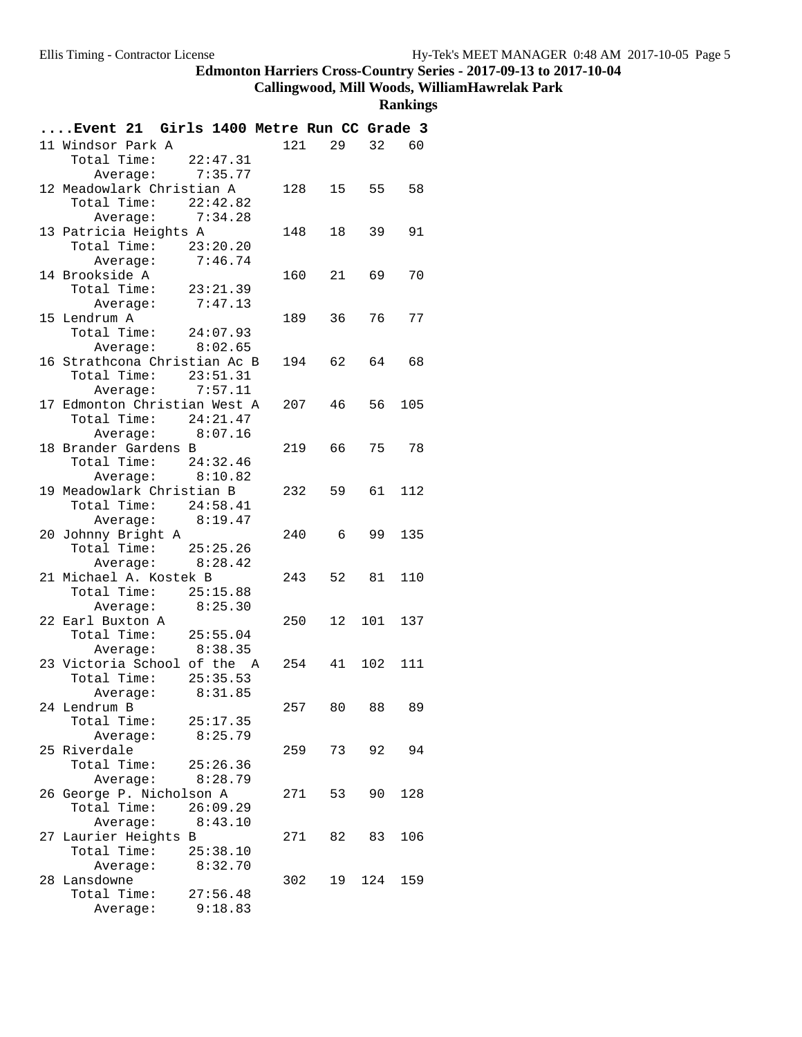**Callingwood, Mill Woods, WilliamHawrelak Park**

| Event 21 Girls 1400 Metre Run CC Grade 3             |                    |          |     |            |        |       |
|------------------------------------------------------|--------------------|----------|-----|------------|--------|-------|
| 11 Windsor Park A                                    |                    |          | 121 | 29         | 32     | 60    |
| Total Time: 22:47.31                                 |                    |          |     |            |        |       |
|                                                      | Average: 7:35.77   |          |     |            |        |       |
| 12 Meadowlark Christian A                            |                    |          |     | 128 15     | 55     | 58    |
| Total Time: 22:42.82                                 |                    |          |     |            |        |       |
|                                                      | Average: 7:34.28   |          |     |            |        |       |
| 13 Patricia Heights A                                |                    |          | 148 | 18         | 39     | 91    |
| Total Time: 23:20.20                                 |                    |          |     |            |        |       |
|                                                      | Average:           | 7:46.74  |     |            |        |       |
| 14 Brookside A                                       |                    |          |     | 160 21     | 69     | 70    |
| Total Time: 23:21.39                                 |                    |          |     |            |        |       |
|                                                      | Average: 7:47.13   |          |     |            |        |       |
| 15 Lendrum A                                         |                    |          |     | 189 36     | 76 —   | 77    |
| Total Time: $24:07.93$                               |                    |          |     |            |        |       |
|                                                      | Average:           | 8:02.65  |     |            |        |       |
| 16 Strathcona Christian Ac B<br>Total Time: 23:51.31 |                    |          |     | 194 62     | 64     | 68    |
|                                                      | Average: 7:57.11   |          |     |            |        |       |
| 17 Edmonton Christian West A                         |                    |          |     | 207<br>46  | 56     | 105   |
|                                                      |                    |          |     |            |        |       |
| Total Time: $24:21.47$                               | Average: $8:07.16$ |          |     |            |        |       |
| 18 Brander Gardens B                                 |                    |          |     | 219 66     |        | 75 78 |
| Total Time: $24:32.46$                               |                    |          |     |            |        |       |
|                                                      | Average: 8:10.82   |          |     |            |        |       |
| 19 Meadowlark Christian B                            |                    |          |     | 232 59     | 61     | 112   |
| Total Time: $24:58.41$                               |                    |          |     |            |        |       |
|                                                      | Average: 8:19.47   |          |     |            |        |       |
| 20 Johnny Bright A                                   |                    |          |     | 240 6      | 99     | 135   |
| Total Time: 25:25.26                                 |                    |          |     |            |        |       |
|                                                      | Average: 8:28.42   |          |     |            |        |       |
| 21 Michael A. Kostek B                               |                    |          |     | 243<br>52  | 81     | 110   |
| Total Time: 25:15.88                                 |                    |          |     |            |        |       |
|                                                      | Average: 8:25.30   |          |     |            |        |       |
| 22 Earl Buxton A                                     |                    |          |     | 250        | 12 101 | 137   |
| Total Time: 25:55.04                                 |                    |          |     |            |        |       |
|                                                      | Average: 8:38.35   |          |     |            |        |       |
| 23 Victoria School of the A                          |                    |          |     | 254 41 102 |        | 111   |
| Total Time:                                          |                    | 25:35.53 |     |            |        |       |
|                                                      | Average:           | 8:31.85  |     |            |        |       |
| 24 Lendrum B                                         |                    |          | 257 |            | 80 88  | 89    |
| Total Time: 25:17.35                                 |                    |          |     |            |        |       |
|                                                      | Average: 8:25.79   |          |     |            |        |       |
| 25 Riverdale<br>Total Time: 25:26.36                 |                    |          |     | 259 73     |        | 92 94 |
|                                                      | Average:           | 8:28.79  |     |            |        |       |
| 26 George P. Nicholson A                             |                    |          |     | 53<br>271  | 90     | 128   |
| Total Time: 26:09.29                                 |                    |          |     |            |        |       |
|                                                      | Average: 8:43.10   |          |     |            |        |       |
| 27 Laurier Heights B                                 |                    |          |     | 271 82     | 83     | 106   |
| Total Time: 25:38.10                                 |                    |          |     |            |        |       |
|                                                      | Average:           | 8:32.70  |     |            |        |       |
| 28 Lansdowne                                         |                    |          |     | 302        | 19 124 | 159   |
| Total Time: 27:56.48                                 |                    |          |     |            |        |       |
|                                                      | Average:           | 9:18.83  |     |            |        |       |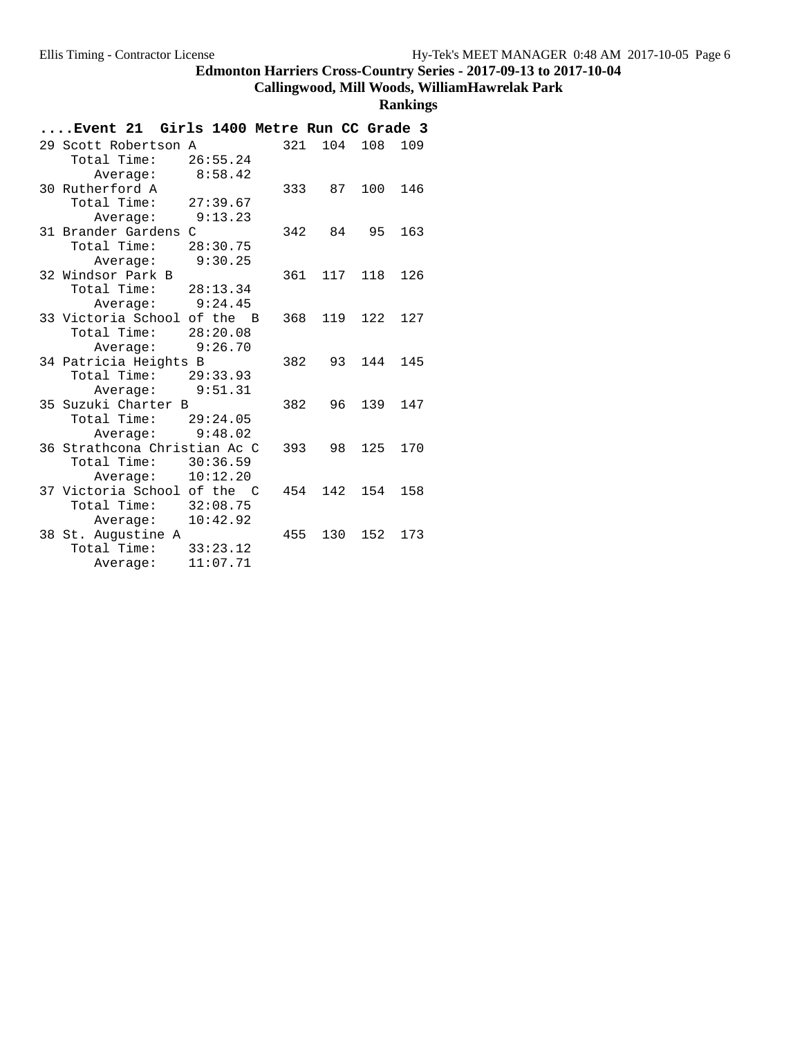# **Callingwood, Mill Woods, WilliamHawrelak Park**

| Girls 1400 Metre Run CC Grade 3<br>Event 21            |     |        |         |     |
|--------------------------------------------------------|-----|--------|---------|-----|
| 29 Scott Robertson A                                   | 321 | 104    | 108     | 109 |
| 26:55.24<br>Total Time:                                |     |        |         |     |
| 8:58.42<br>Average:                                    |     |        |         |     |
| 30 Rutherford A                                        |     | 333 87 | 100 146 |     |
| Total Time:<br>27:39.67                                |     |        |         |     |
| 9:13.23<br>Average:                                    |     |        |         |     |
| 31 Brander Gardens C                                   | 342 | 84     | 95      | 163 |
| 28:30.75<br>Total Time:                                |     |        |         |     |
| Average: 9:30.25                                       |     |        |         |     |
| 32 Windsor Park B                                      | 361 | 117    | 118     | 126 |
| Total Time:<br>28:13.34                                |     |        |         |     |
| Average: 9:24.45                                       |     |        |         |     |
| 33 Victoria School of the B                            | 368 | 119    | 122     | 127 |
| Total Time:<br>28:20.08                                |     |        |         |     |
| Average: 9:26.70                                       |     |        |         |     |
| 34 Patricia Heights B                                  | 382 | 93     | 144     | 145 |
| Total Time: 29:33.93                                   |     |        |         |     |
| Average: 9:51.31                                       |     |        |         |     |
| 35 Suzuki Charter B                                    | 382 | 96     | 139     | 147 |
| Total Time: 29:24.05                                   |     |        |         |     |
| Average: 9:48.02                                       |     |        |         |     |
| 36 Strathcona Christian Ac C<br>Total Time:            | 393 | 98     | 125     | 170 |
| 30:36.59                                               |     |        |         |     |
| 10:12.20<br>Average:                                   |     |        |         |     |
| 37 Victoria School of the C<br>Total Time:<br>32:08.75 | 454 | 142    | 154     | 158 |
|                                                        |     |        |         |     |
| 10:42.92<br>Average:                                   |     |        |         |     |
| 38 St. Augustine A<br>Total Time:<br>33:23.12          | 455 | 130    | 152     | 173 |
| 11:07.71                                               |     |        |         |     |
| Average:                                               |     |        |         |     |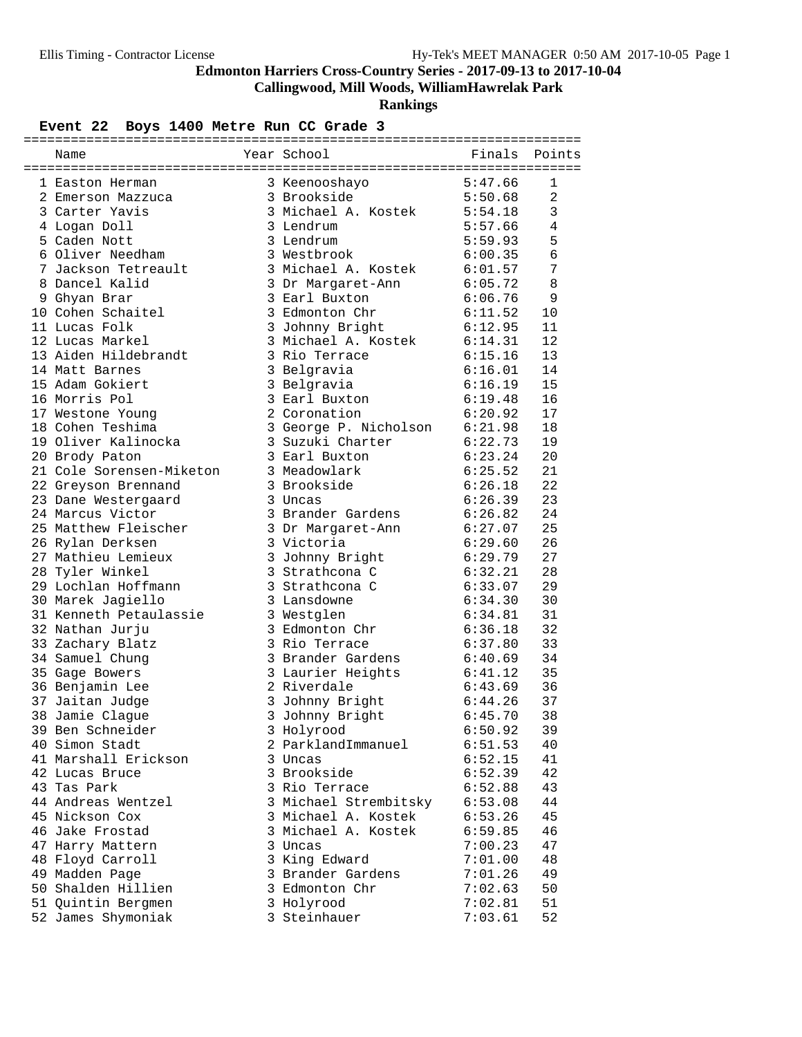**Callingwood, Mill Woods, WilliamHawrelak Park**

**Rankings**

| Name                                       | Finals Points<br>Year School             |                    |                |
|--------------------------------------------|------------------------------------------|--------------------|----------------|
|                                            |                                          |                    |                |
| 1 Easton Herman                            | 3 Keenooshayo 5:47.66                    |                    | 1              |
| 2 Emerson Mazzuca                          | 3 Brookside                              | 5:50.68            | $\overline{a}$ |
| 3 Carter Yavis                             | 3 Michael A. Kostek 5:54.18              |                    | $\mathfrak{Z}$ |
| 4 Logan Doll                               | 3 Lendrum                                | 5:57.66            | 4              |
| 5 Caden Nott                               | 3 Lendrum                                | 5:59.93            | 5              |
| 6 Oliver Needham                           | 3 Westbrook                              | 6:00.35            | $\epsilon$     |
| 7 Jackson Tetreault                        | 3 Michael A. Kostek                      | 6:01.57            | 7              |
| 8 Dancel Kalid                             | 3 Dr Margaret-Ann                        | 6:05.72            | 8              |
| 9 Ghyan Brar                               |                                          | 6:06.76            | 9              |
| 9 Gilyan ---<br>10 Cohen Schaitel<br>----- | J GALL Buxton<br>3 Edmonton Chr<br>3 T ' | 6:11.52            | 10             |
| 11 Lucas Folk                              | 3 Johnny Bright                          | 6:12.95            | 11             |
| 12 Lucas Markel                            | 3 Michael A. Kostek                      | 6:14.31            | 12             |
| 13 Aiden Hildebrandt                       | 3 Rio Terrace                            | 6:15.16            | 13             |
| 14 Matt Barnes                             | 3 Belgravia                              | 6:16.01            | 14             |
| 15 Adam Gokiert                            | 3 Belgravia                              |                    | 15             |
| 16 Morris Pol                              | 3 Earl Buxton                            | 6:16.19<br>6:19.48 | 16             |
| 17 Westone Young                           | 2 Coronation                             | 6:20.92            | 17             |
| 18 Cohen Teshima                           | 3 George P. Nicholson 6:21.98            |                    | 18             |
| 19 Oliver Kalinocka                        | 3 Suzuki Charter                         | 6:22.73            | 19             |
| 20 Brody Paton                             | 3 Earl Buxton                            | 6:23.24            | 20             |
| 21 Cole Sorensen-Miketon                   | 3 Meadowlark                             | 6:25.52            | 21             |
| 22 Greyson Brennand                        | 3 Brookside                              | 6:26.18            | 22             |
| 23 Dane Westergaard                        | 3 Uncas                                  | 6:26.39            | 23             |
| 24 Marcus Victor                           | 3 Brander Gardens                        | 6:26.82            | 24             |
| 25 Matthew Fleischer                       | 3 Dr Margaret-Ann                        | 6:27.07            | 25             |
| 26 Rylan Derksen                           | 3 Victoria                               | 6:29.60            | 26             |
| 27 Mathieu Lemieux                         |                                          | 6:29.79            | 27             |
| 28 Tyler Winkel                            | 3 Johnny Bright<br>3 Strathcona C        | 6:32.21            | 28             |
| 29 Lochlan Hoffmann                        | 3 Strathcona C                           | 6:33.07            | 29             |
| 30 Marek Jagiello                          | 3 Lansdowne                              | 6:34.30            | 30             |
| 31 Kenneth Petaulassie                     | 3 Westglen                               | 6:34.81            | 31             |
| 32 Nathan Jurju                            | 3 Edmonton Chr                           | 6:36.18            | 32             |
| 33 Zachary Blatz                           | 3 Rio Terrace                            | 6:37.80            | 33             |
| 34 Samuel Chung                            | 3 Brander Gardens                        | 6:40.69            | 34             |
|                                            | 3 Laurier Heights                        | 6:41.12            | 35             |
| 35 Gage Bowers                             | 2 Riverdale                              | 6:43.69            | 36             |
| 36 Benjamin Lee                            |                                          | 6:44.26            | 37             |
| 37 Jaitan Judge                            | 3 Johnny Bright                          |                    | 38             |
| 38 Jamie Clague<br>39 Ben Schneider        | 3 Johnny Bright                          | 6:45.70<br>6:50.92 |                |
| 40 Simon Stadt                             | 3 Holyrood<br>2 ParklandImmanuel         |                    | 39             |
|                                            |                                          | 6:51.53            | 40             |
| 41 Marshall Erickson                       | 3 Uncas                                  | 6:52.15            | 41             |
| 42 Lucas Bruce                             | 3 Brookside                              | 6:52.39            | 42             |
| 43 Tas Park                                | 3 Rio Terrace                            | 6:52.88            | 43             |
| 44 Andreas Wentzel                         | 3 Michael Strembitsky                    | 6:53.08            | 44             |
| 45 Nickson Cox                             | 3 Michael A. Kostek                      | 6:53.26            | 45             |
| 46 Jake Frostad                            | 3 Michael A. Kostek                      | 6:59.85            | 46             |
| 47 Harry Mattern                           | 3 Uncas                                  | 7:00.23            | 47             |
| 48 Floyd Carroll                           | 3 King Edward                            | 7:01.00            | 48             |
| 49 Madden Page                             | 3 Brander Gardens                        | 7:01.26            | 49             |
| 50 Shalden Hillien                         | 3 Edmonton Chr                           | 7:02.63            | 50             |
| 51 Quintin Bergmen                         | 3 Holyrood                               | 7:02.81            | 51             |
| 52 James Shymoniak                         | 3 Steinhauer                             | 7:03.61            | 52             |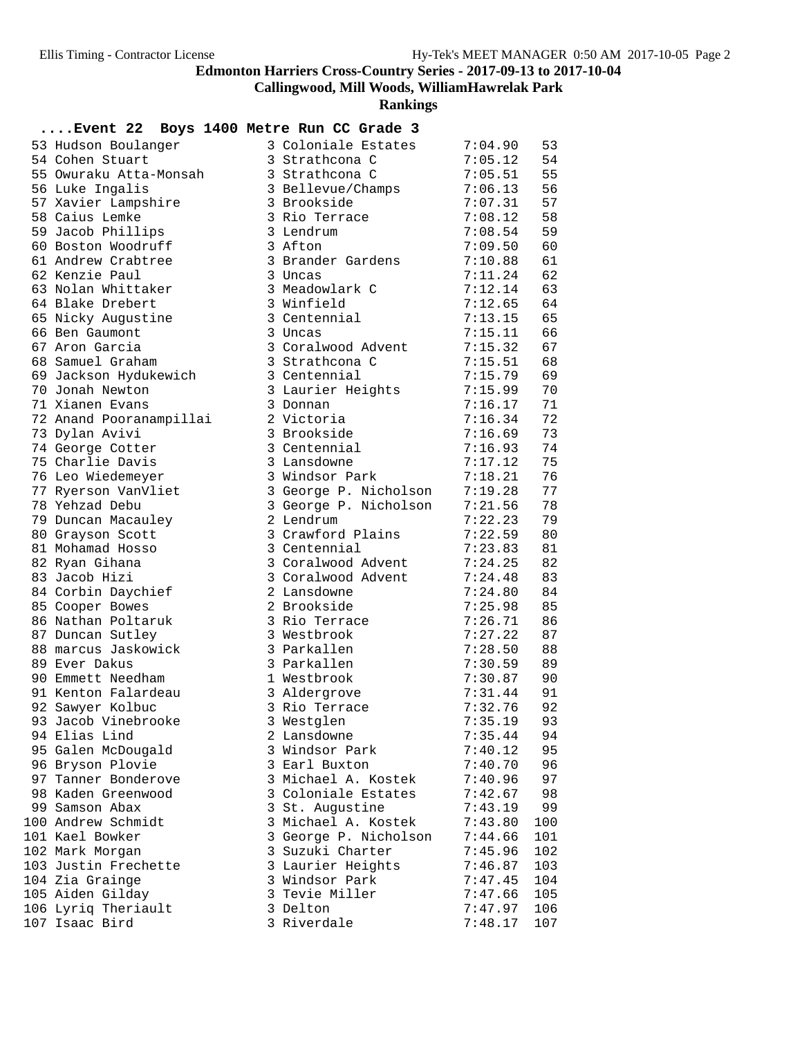**Callingwood, Mill Woods, WilliamHawrelak Park**

**Rankings**

| 53 Hudson Boulanger     | 3 Coloniale Estates                  | 7:04.90 | 53       |
|-------------------------|--------------------------------------|---------|----------|
| 54 Cohen Stuart         | 3 Strathcona C                       | 7:05.12 | 54       |
| 55 Owuraku Atta-Monsah  | 3 Strathcona C                       | 7:05.51 | 55       |
| 56 Luke Ingalis         | 3 Bellevue/Champs                    | 7:06.13 | 56       |
| 57 Xavier Lampshire     | 3 Brookside                          | 7:07.31 | 57       |
| 58 Caius Lemke          | 3 Rio Terrace                        | 7:08.12 | 58       |
| 59 Jacob Phillips       | 3 Lendrum                            | 7:08.54 | 59       |
| 60 Boston Woodruff      | 3 Afton                              | 7:09.50 | 60       |
| 61 Andrew Crabtree      | 3 Brander Gardens                    | 7:10.88 | 61       |
| 62 Kenzie Paul          | 3 Uncas                              | 7:11.24 | 62       |
| 63 Nolan Whittaker      | 3 Meadowlark C                       | 7:12.14 | 63       |
| 64 Blake Drebert        | 3 Winfield                           | 7:12.65 | 64       |
| 65 Nicky Augustine      | 3 Centennial                         | 7:13.15 | 65       |
| 66 Ben Gaumont          | 3 Uncas                              | 7:15.11 | 66       |
| 67 Aron Garcia          | 3 Coralwood Advent                   | 7:15.32 | 67       |
| 68 Samuel Graham        | 3 Strathcona C                       | 7:15.51 | 68       |
| 69 Jackson Hydukewich   | 3 Centennial                         | 7:15.79 | 69       |
| 70 Jonah Newton         | 3 Laurier Heights                    | 7:15.99 | 70       |
| 71 Xianen Evans         | 3 Donnan                             | 7:16.17 | 71       |
| 72 Anand Pooranampillai | 2 Victoria                           | 7:16.34 | 72       |
| 73 Dylan Avivi          | 3 Brookside                          | 7:16.69 | 73       |
| 74 George Cotter        | 3 Centennial                         | 7:16.93 | 74       |
| 75 Charlie Davis        | 3 Lansdowne                          | 7:17.12 | 75       |
| 76 Leo Wiedemeyer       | 3 Windsor Park                       | 7:18.21 | 76       |
| 77 Ryerson VanVliet     | 3 George P. Nicholson                | 7:19.28 | 77       |
| 78 Yehzad Debu          | 3 George P. Nicholson                | 7:21.56 | 78       |
| 79 Duncan Macauley      | 2 Lendrum                            | 7:22.23 | 79       |
| 80 Grayson Scott        | 3 Crawford Plains                    | 7:22.59 | 80       |
| 81 Mohamad Hosso        | 3 Centennial                         | 7:23.83 | 81       |
| 82 Ryan Gihana          | 3 Coralwood Advent                   | 7:24.25 | 82       |
| 83 Jacob Hizi           | 3 Coralwood Advent                   | 7:24.48 | 83       |
| 84 Corbin Daychief      | 2 Lansdowne                          | 7:24.80 | 84       |
| 85 Cooper Bowes         | 2 Brookside                          | 7:25.98 | 85       |
| 86 Nathan Poltaruk      | 3 Rio Terrace                        | 7:26.71 | 86       |
| 87 Duncan Sutley        | 3 Westbrook                          | 7:27.22 | 87       |
| 88 marcus Jaskowick     | 3 Parkallen                          | 7:28.50 | 88       |
| 89 Ever Dakus           | 3 Parkallen                          | 7:30.59 | 89       |
| 90 Emmett Needham       | 1 Westbrook                          | 7:30.87 | 90       |
| 91 Kenton Falardeau     | 3 Aldergrove                         | 7:31.44 | 91       |
| 92 Sawyer Kolbuc        | 3 Rio Terrace                        | 7:32.76 | 92       |
| 93 Jacob Vinebrooke     | 3 Westglen                           | 7:35.19 | 93       |
| 94 Elias Lind           | 2 Lansdowne                          | 7:35.44 | 94       |
| 95 Galen McDougald      | 3 Windsor Park                       | 7:40.12 | 95       |
| 96 Bryson Plovie        |                                      |         |          |
| 97 Tanner Bonderove     | 3 Earl Buxton<br>3 Michael A. Kostek | 7:40.70 | 96<br>97 |
| 98 Kaden Greenwood      |                                      | 7:40.96 |          |
| 99 Samson Abax          | 3 Coloniale Estates                  | 7:42.67 | 98       |
|                         | 3 St. Augustine                      | 7:43.19 | 99       |
| 100 Andrew Schmidt      | 3 Michael A. Kostek                  | 7:43.80 | 100      |
| 101 Kael Bowker         | 3 George P. Nicholson                | 7:44.66 | 101      |
| 102 Mark Morgan         | 3 Suzuki Charter                     | 7:45.96 | 102      |
| 103 Justin Frechette    | 3 Laurier Heights                    | 7:46.87 | 103      |
| 104 Zia Grainge         | 3 Windsor Park                       | 7:47.45 | 104      |
| 105 Aiden Gilday        | 3 Tevie Miller                       | 7:47.66 | 105      |
| 106 Lyriq Theriault     | 3 Delton                             | 7:47.97 | 106      |
| 107 Isaac Bird          | 3 Riverdale                          | 7:48.17 | 107      |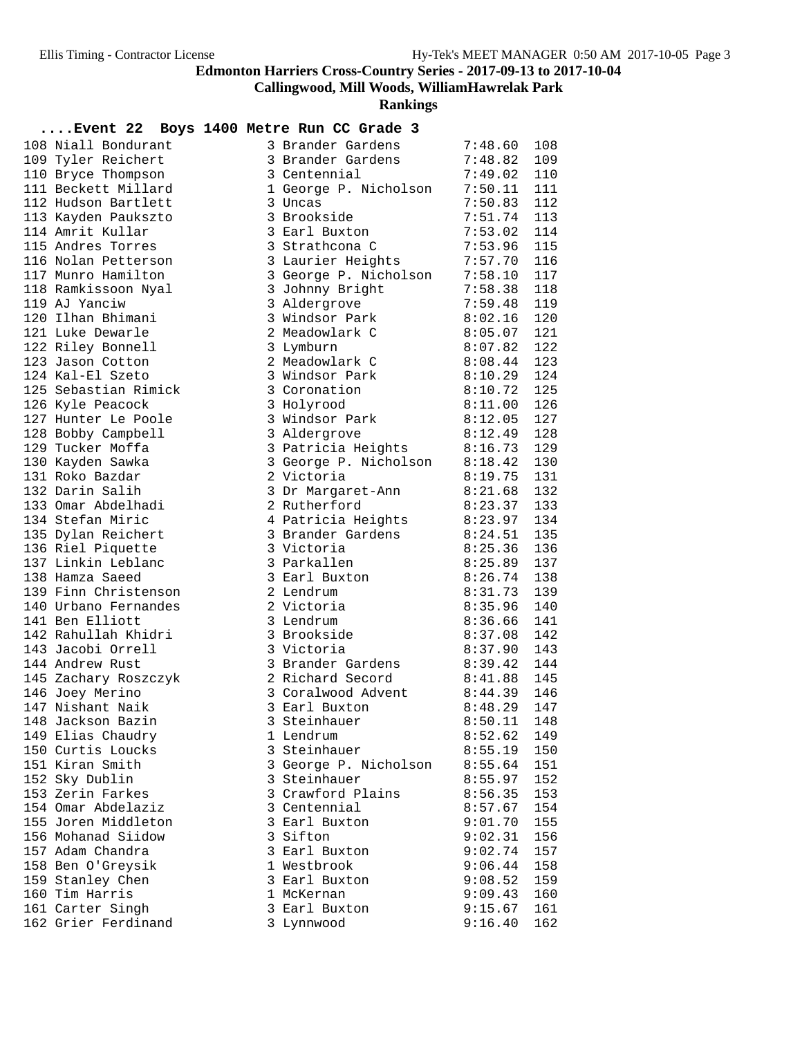**Callingwood, Mill Woods, WilliamHawrelak Park**

**Rankings**

| 108 Niall Bondurant                    | 3 Brander Gardens                | 7:48.60            | 108        |
|----------------------------------------|----------------------------------|--------------------|------------|
| 109 Tyler Reichert                     | 3 Brander Gardens 7:48.82        |                    | 109        |
| 110 Bryce Thompson                     | 3 Centennial                     | 7:49.02            | 110        |
| 111 Beckett Millard                    | 1 George P. Nicholson            | 7:50.11            | 111        |
| 112 Hudson Bartlett                    | 3 Uncas                          | 7:50.83            | 112        |
| 113 Kayden Paukszto                    | 3 Brookside                      | 7:51.74            | 113        |
| 114 Amrit Kullar                       | 3 Earl Buxton                    | 7:53.02            | 114        |
| 115 Andres Torres                      | 3 Strathcona C                   | 7:53.96            | 115        |
| 116 Nolan Petterson                    | 3 Laurier Heights 7:57.70        |                    | 116        |
| 117 Munro Hamilton                     | 3 George P. Nicholson 7:58.10    |                    | 117        |
| 118 Ramkissoon Nyal                    | 3 Johnny Bright                  | 7:58.38            | 118        |
| 119 AJ Yanciw                          | 3 Aldergrove                     | 7:59.48            | 119        |
| 120 Ilhan Bhimani                      | 3 Windsor Park                   | 8:02.16            | 120        |
| 121 Luke Dewarle                       | 2 Meadowlark C                   | $8:05.07$ 121      |            |
| 122 Riley Bonnell                      | 3 Lymburn                        | 8:07.82            | 122        |
| 123 Jason Cotton<br>124 Kal-El Szeto   | 2 Meadowlark C<br>3 Windsor Park | 8:08.44            | 123<br>124 |
| 125 Sebastian Rimick                   | 3 Coronation                     | 8:10.29<br>8:10.72 | 125        |
| 126 Kyle Peacock                       | 3 Holyrood                       | 8:11.00            | 126        |
| 127 Hunter Le Poole                    | 3 Windsor Park                   | 8:12.05            | 127        |
| 128 Bobby Campbell                     | 3 Aldergrove                     | 8:12.49            | 128        |
| 129 Tucker Moffa                       | 3 Patricia Heights 8:16.73       |                    | 129        |
| 130 Kayden Sawka                       | 3 George P. Nicholson 8:18.42    |                    | 130        |
| 131 Roko Bazdar                        | 2 Victoria                       | 8:19.75            | 131        |
| 132 Darin Salih                        | 3 Dr Margaret-Ann                | $8:21.68$ 132      |            |
| 133 Omar Abdelhadi                     | 2 Rutherford                     | 8:23.37 133        |            |
| 134 Stefan Miric                       | 4 Patricia Heights 8:23.97       |                    | 134        |
| 135 Dylan Reichert                     | 3 Brander Gardens                | 8:24.51            | 135        |
| 136 Riel Piquette                      | 3 Victoria                       | 8:25.36            | 136        |
| 137 Linkin Leblanc                     | 3 Parkallen                      | 8:25.89            | 137        |
| 138 Hamza Saeed                        | 3 Earl Buxton                    | 8:26.74            | 138        |
| 139 Finn Christenson                   | 2 Lendrum                        | 8:31.73            | 139        |
| 140 Urbano Fernandes                   | 2 Victoria                       | 8:35.96            | 140        |
| 141 Ben Elliott                        | 3 Lendrum                        | 8:36.66            | 141        |
| 142 Rahullah Khidri                    | 3 Brookside                      | 8:37.08            | 142        |
| 143 Jacobi Orrell                      | 3 Victoria                       | 8:37.90            | 143        |
| 144 Andrew Rust                        | 3 Brander Gardens                | $8:39.42$ 144      |            |
| 145 Zachary Roszczyk                   | 2 Richard Secord                 | 8:41.88            | 145        |
| 146 Joey Merino                        | 3 Coralwood Advent 8:44.39       |                    | 146        |
| 147 Nishant Naik                       | 3 Earl Buxton                    | 8:48.29            | 147        |
| 148 Jackson Bazin                      | 3 Steinhauer                     | $8:50.11$ 148      |            |
| 149 Elias Chaudry                      | 1 Lendrum                        | 8:52.62            | 149        |
| 150 Curtis Loucks                      | 3 Steinhauer                     | 8:55.19            | 150        |
| 151 Kiran Smith                        | 3 George P. Nicholson            | 8:55.64            | 151        |
| 152 Sky Dublin                         | 3 Steinhauer                     | 8:55.97            | 152        |
| 153 Zerin Farkes                       | 3 Crawford Plains                | 8:56.35            | 153        |
| 154 Omar Abdelaziz                     | 3 Centennial                     | 8:57.67            | 154        |
| 155 Joren Middleton                    | 3 Earl Buxton                    | 9:01.70            | 155        |
| 156 Mohanad Siidow<br>157 Adam Chandra | 3 Sifton<br>3 Earl Buxton        | 9:02.31            | 156        |
| 158 Ben O'Greysik                      | 1 Westbrook                      | 9:02.74<br>9:06.44 | 157<br>158 |
| 159 Stanley Chen                       | 3 Earl Buxton                    | 9:08.52            | 159        |
| 160 Tim Harris                         | 1 McKernan                       | 9:09.43            | 160        |
| 161 Carter Singh                       | 3 Earl Buxton                    | 9:15.67            | 161        |
| 162 Grier Ferdinand                    | 3 Lynnwood                       | 9:16.40            | 162        |
|                                        |                                  |                    |            |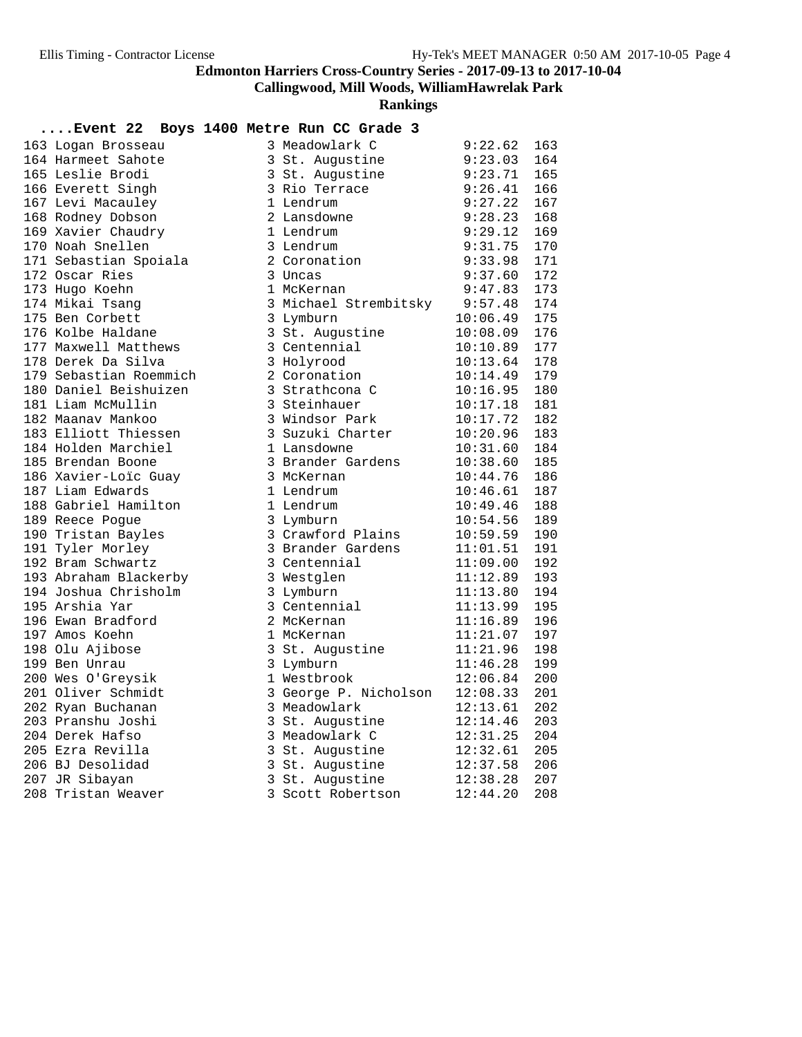**Callingwood, Mill Woods, WilliamHawrelak Park**

**Rankings**

| 163 Logan Brosseau     | 3 Meadowlark C        | 9:22.62  | 163 |
|------------------------|-----------------------|----------|-----|
| 164 Harmeet Sahote     | 3 St. Augustine       | 9:23.03  | 164 |
| 165 Leslie Brodi       | 3 St. Augustine       | 9:23.71  | 165 |
| 166 Everett Singh      | 3 Rio Terrace         | 9:26.41  | 166 |
| 167 Levi Macauley      | 1 Lendrum             | 9:27.22  | 167 |
| 168 Rodney Dobson      | 2 Lansdowne           | 9:28.23  | 168 |
| 169 Xavier Chaudry     | 1 Lendrum             | 9:29.12  | 169 |
| 170 Noah Snellen       | 3 Lendrum             | 9:31.75  | 170 |
| 171 Sebastian Spoiala  | 2 Coronation          | 9:33.98  | 171 |
| 172 Oscar Ries         | 3 Uncas               | 9:37.60  | 172 |
| 173 Hugo Koehn         | 1 McKernan            | 9:47.83  | 173 |
| 174 Mikai Tsang        | 3 Michael Strembitsky | 9:57.48  | 174 |
| 175 Ben Corbett        | 3 Lymburn             | 10:06.49 | 175 |
| 176 Kolbe Haldane      | 3 St. Augustine       | 10:08.09 | 176 |
| 177 Maxwell Matthews   | 3 Centennial          | 10:10.89 | 177 |
| 178 Derek Da Silva     | 3 Holyrood            | 10:13.64 | 178 |
| 179 Sebastian Roemmich | 2 Coronation          | 10:14.49 | 179 |
| 180 Daniel Beishuizen  | 3 Strathcona C        | 10:16.95 | 180 |
| 181 Liam McMullin      | 3 Steinhauer          | 10:17.18 | 181 |
| 182 Maanav Mankoo      | 3 Windsor Park        | 10:17.72 | 182 |
| 183 Elliott Thiessen   | 3 Suzuki Charter      | 10:20.96 | 183 |
| 184 Holden Marchiel    | 1 Lansdowne           | 10:31.60 | 184 |
| 185 Brendan Boone      | 3 Brander Gardens     | 10:38.60 | 185 |
| 186 Xavier-Loïc Guay   | 3 McKernan            | 10:44.76 | 186 |
| 187 Liam Edwards       | 1 Lendrum             | 10:46.61 | 187 |
| 188 Gabriel Hamilton   | 1 Lendrum             | 10:49.46 | 188 |
| 189 Reece Pogue        | 3 Lymburn             | 10:54.56 | 189 |
| 190 Tristan Bayles     | 3 Crawford Plains     | 10:59.59 | 190 |
| 191 Tyler Morley       | 3 Brander Gardens     | 11:01.51 | 191 |
| 192 Bram Schwartz      | 3 Centennial          | 11:09.00 | 192 |
| 193 Abraham Blackerby  | 3 Westglen            | 11:12.89 | 193 |
| 194 Joshua Chrisholm   | 3 Lymburn             | 11:13.80 | 194 |
| 195 Arshia Yar         | 3 Centennial          | 11:13.99 | 195 |
| 196 Ewan Bradford      | 2 McKernan            | 11:16.89 | 196 |
| 197 Amos Koehn         | 1 McKernan            | 11:21.07 | 197 |
| 198 Olu Ajibose        | 3 St. Augustine       | 11:21.96 | 198 |
| 199 Ben Unrau          | 3 Lymburn             | 11:46.28 | 199 |
| 200 Wes O'Greysik      | 1 Westbrook           | 12:06.84 | 200 |
| 201 Oliver Schmidt     | 3 George P. Nicholson | 12:08.33 | 201 |
| 202 Ryan Buchanan      | 3 Meadowlark          | 12:13.61 | 202 |
| 203 Pranshu Joshi      | 3 St. Augustine       | 12:14.46 | 203 |
| 204 Derek Hafso        | 3 Meadowlark C        | 12:31.25 | 204 |
| 205 Ezra Revilla       | 3 St. Augustine       | 12:32.61 | 205 |
| 206 BJ Desolidad       | 3 St. Augustine       | 12:37.58 | 206 |
| 207 JR Sibayan         | 3 St. Augustine       | 12:38.28 | 207 |
| 208 Tristan Weaver     | 3 Scott Robertson     | 12:44.20 | 208 |
|                        |                       |          |     |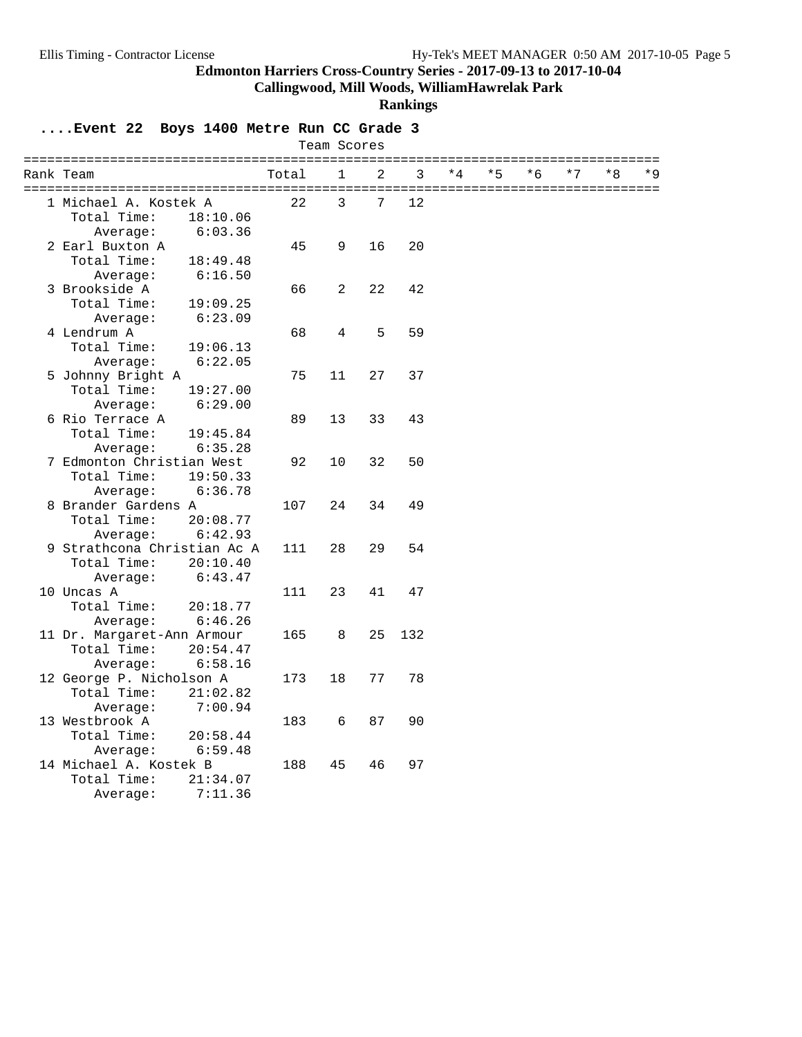**Callingwood, Mill Woods, WilliamHawrelak Park**

#### **Rankings**

| Team Scores |                             |          |       |              |    |     |      |      |     |      |      |     |
|-------------|-----------------------------|----------|-------|--------------|----|-----|------|------|-----|------|------|-----|
|             | Rank Team                   |          | Total | $\mathbf{1}$ | 2  | 3   | $*4$ | $*5$ | * 6 | $*7$ | $*8$ | * 9 |
|             | 1 Michael A. Kostek A       |          | 22    | 3            | 7  | 12  |      |      |     |      |      |     |
|             | Total Time:                 | 18:10.06 |       |              |    |     |      |      |     |      |      |     |
|             | Average:                    | 6:03.36  |       |              |    |     |      |      |     |      |      |     |
|             | 2 Earl Buxton A             |          | 45    | 9            | 16 | 20  |      |      |     |      |      |     |
|             | Total Time:                 | 18:49.48 |       |              |    |     |      |      |     |      |      |     |
|             | Average:                    | 6:16.50  |       |              |    |     |      |      |     |      |      |     |
|             | 3 Brookside A               |          | 66    | 2            | 22 | 42  |      |      |     |      |      |     |
|             | Total Time:                 | 19:09.25 |       |              |    |     |      |      |     |      |      |     |
|             | Average:                    | 6:23.09  |       |              |    |     |      |      |     |      |      |     |
|             | 4 Lendrum A                 |          | 68    | 4            | 5  | 59  |      |      |     |      |      |     |
|             | Total Time:                 | 19:06.13 |       |              |    |     |      |      |     |      |      |     |
|             | Average:                    | 6:22.05  |       |              |    |     |      |      |     |      |      |     |
|             | 5 Johnny Bright A           |          | 75    | 11           | 27 | 37  |      |      |     |      |      |     |
|             | Total Time:                 | 19:27.00 |       |              |    |     |      |      |     |      |      |     |
|             | Average:                    | 6:29.00  |       |              |    |     |      |      |     |      |      |     |
|             | 6 Rio Terrace A             |          | 89    | 13           | 33 | 43  |      |      |     |      |      |     |
|             | Total Time:                 | 19:45.84 |       |              |    |     |      |      |     |      |      |     |
|             | Average:                    | 6:35.28  |       |              |    |     |      |      |     |      |      |     |
|             | 7 Edmonton Christian West   |          | 92    | 10           | 32 | 50  |      |      |     |      |      |     |
|             | Total Time:                 | 19:50.33 |       |              |    |     |      |      |     |      |      |     |
|             | Average:                    | 6:36.78  |       |              |    |     |      |      |     |      |      |     |
|             | 8 Brander Gardens A         |          | 107   | 24           | 34 | 49  |      |      |     |      |      |     |
|             | Total Time:                 | 20:08.77 |       |              |    |     |      |      |     |      |      |     |
|             | Average:                    | 6:42.93  |       |              |    |     |      |      |     |      |      |     |
|             | 9 Strathcona Christian Ac A |          | 111   | 28           | 29 | 54  |      |      |     |      |      |     |
|             | Total Time:                 | 20:10.40 |       |              |    |     |      |      |     |      |      |     |
|             | Average:                    | 6:43.47  |       |              |    |     |      |      |     |      |      |     |
|             | 10 Uncas A                  |          | 111   | 23           | 41 | 47  |      |      |     |      |      |     |
|             | Total Time:                 | 20:18.77 |       |              |    |     |      |      |     |      |      |     |
|             | Average:                    | 6:46.26  |       |              |    |     |      |      |     |      |      |     |
|             | 11 Dr. Margaret-Ann Armour  |          | 165   | 8            | 25 | 132 |      |      |     |      |      |     |
|             | Total Time:                 |          |       |              |    |     |      |      |     |      |      |     |
|             |                             | 20:54.47 |       |              |    |     |      |      |     |      |      |     |
|             | Average:                    | 6:58.16  |       |              |    |     |      |      |     |      |      |     |
|             | 12 George P. Nicholson A    |          | 173   | 18           | 77 | 78  |      |      |     |      |      |     |
|             | Total Time:                 | 21:02.82 |       |              |    |     |      |      |     |      |      |     |
|             | Average:                    | 7:00.94  |       |              |    |     |      |      |     |      |      |     |
|             | 13 Westbrook A              |          | 183   | 6            | 87 | 90  |      |      |     |      |      |     |
|             | Total Time:                 | 20:58.44 |       |              |    |     |      |      |     |      |      |     |
|             | Average:                    | 6:59.48  |       |              |    |     |      |      |     |      |      |     |
|             | 14 Michael A. Kostek B      |          | 188   | 45           | 46 | 97  |      |      |     |      |      |     |
|             | Total Time:                 | 21:34.07 |       |              |    |     |      |      |     |      |      |     |
|             | Average:                    | 7:11.36  |       |              |    |     |      |      |     |      |      |     |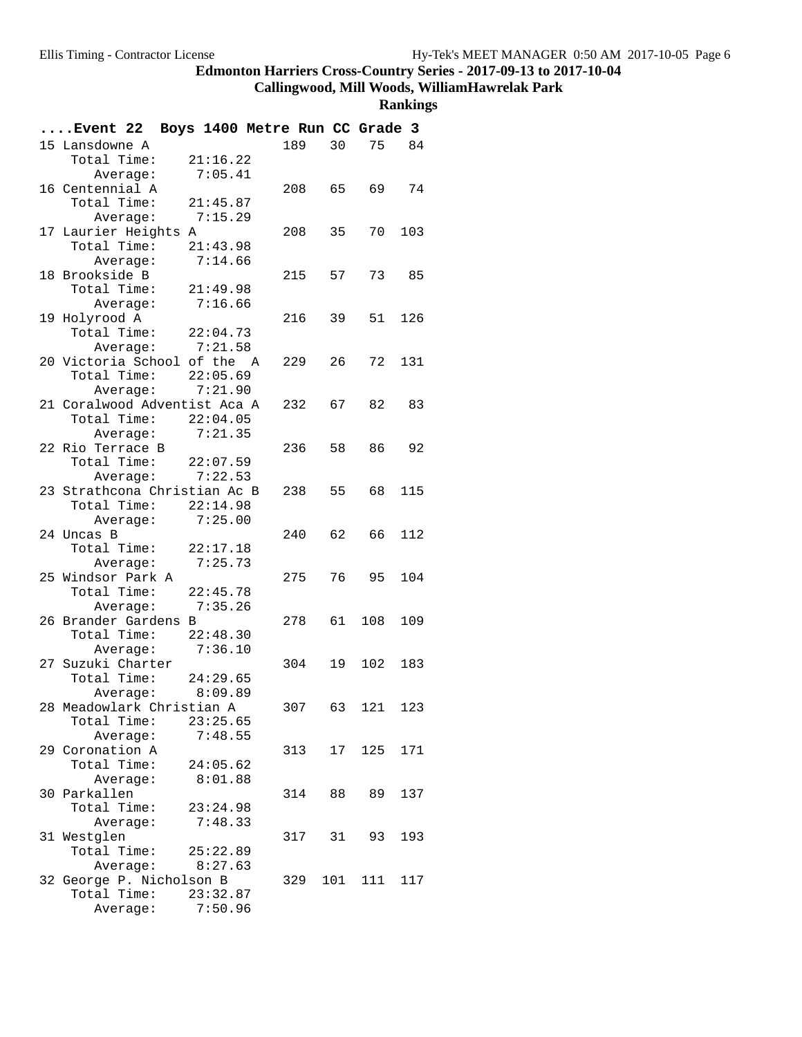**Callingwood, Mill Woods, WilliamHawrelak Park**

| Event 22 Boys 1400 Metre Run CC Grade 3   |          |        |                 |       |       |
|-------------------------------------------|----------|--------|-----------------|-------|-------|
| 15 Lansdowne A                            |          | 189    | 30 <sup>2</sup> |       | 75 84 |
| Total Time:                               | 21:16.22 |        |                 |       |       |
| Average:                                  | 7:05.41  |        |                 |       |       |
| 16 Centennial A                           |          | 208    | 65              | 69    | 74    |
| Total Time: 21:45.87                      |          |        |                 |       |       |
| Average: 7:15.29                          |          |        |                 |       |       |
| 17 Laurier Heights A                      |          | 208    | 35              | 70    | 103   |
| Total Time: 21:43.98                      |          |        |                 |       |       |
| Average: 7:14.66                          |          |        |                 |       |       |
| 18 Brookside B                            |          | 215    | 57              | 73 85 |       |
| Total Time:                               | 21:49.98 |        |                 |       |       |
| Average:                                  | 7:16.66  |        |                 |       |       |
| 19 Holyrood A                             |          | 216    | 39              | 51    | 126   |
| Total Time:                               | 22:04.73 |        |                 |       |       |
| Average: 7:21.58                          |          |        |                 |       |       |
| 20 Victoria School of the A               |          | 229    | 26              | 72    | 131   |
| Total Time: 22:05.69                      |          |        |                 |       |       |
| Average: 7:21.90                          |          |        |                 |       |       |
| 21 Coralwood Adventist Aca A              |          | 232    | 67              | 82    | 83    |
| Total Time: 22:04.05                      |          |        |                 |       |       |
| Average: 7:21.35                          |          |        |                 |       |       |
| 22 Rio Terrace B                          |          | 236    | 58              | 86 —  | 92    |
| Total Time: $22:07.59$                    |          |        |                 |       |       |
| Average:                                  | 7:22.53  |        |                 |       |       |
| 23 Strathcona Christian Ac B              |          | 238 55 |                 | 68    | 115   |
| Total Time: 22:14.98                      |          |        |                 |       |       |
| Average:                                  | 7:25.00  |        |                 |       |       |
| 24 Uncas B                                |          | 240    | 62              | 66 -  | 112   |
| Total Time: 22:17.18                      |          |        |                 |       |       |
| Average: 7:25.73                          |          |        |                 |       |       |
| 25 Windsor Park A                         |          | 275    | 76              | 95    | 104   |
| Total Time: 22:45.78                      |          |        |                 |       |       |
| Average: 7:35.26                          |          |        |                 |       |       |
| 26 Brander Gardens B                      |          | 278    | 61              | 108   | 109   |
| Total Time: $22:48.30$                    |          |        |                 |       |       |
| Average:                                  | 7:36.10  |        |                 |       |       |
| 27 Suzuki Charter<br>Total Time: 24:29.65 |          | 304    | 19              | 102   | 183   |
| Average: 8:09.89                          |          |        |                 |       |       |
| 28 Meadowlark Christian A                 |          | 307    | 63              | 121   | 123   |
| Total Time:                               | 23:25.65 |        |                 |       |       |
| Average:                                  | 7:48.55  |        |                 |       |       |
| 29 Coronation A                           |          | 313    | 17              | 125   | 171   |
| Total Time:                               | 24:05.62 |        |                 |       |       |
| Average:                                  | 8:01.88  |        |                 |       |       |
| 30 Parkallen                              |          | 314    | 88              | 89    | 137   |
| Total Time:                               | 23:24.98 |        |                 |       |       |
| Average:                                  | 7:48.33  |        |                 |       |       |
| 31 Westglen                               |          | 317    | 31              | 93    | 193   |
| Total Time:                               | 25:22.89 |        |                 |       |       |
| Average:                                  | 8:27.63  |        |                 |       |       |
| 32 George P. Nicholson B                  |          | 329    | 101             | 111   | 117   |
| Total Time:                               | 23:32.87 |        |                 |       |       |
| Average:                                  | 7:50.96  |        |                 |       |       |
|                                           |          |        |                 |       |       |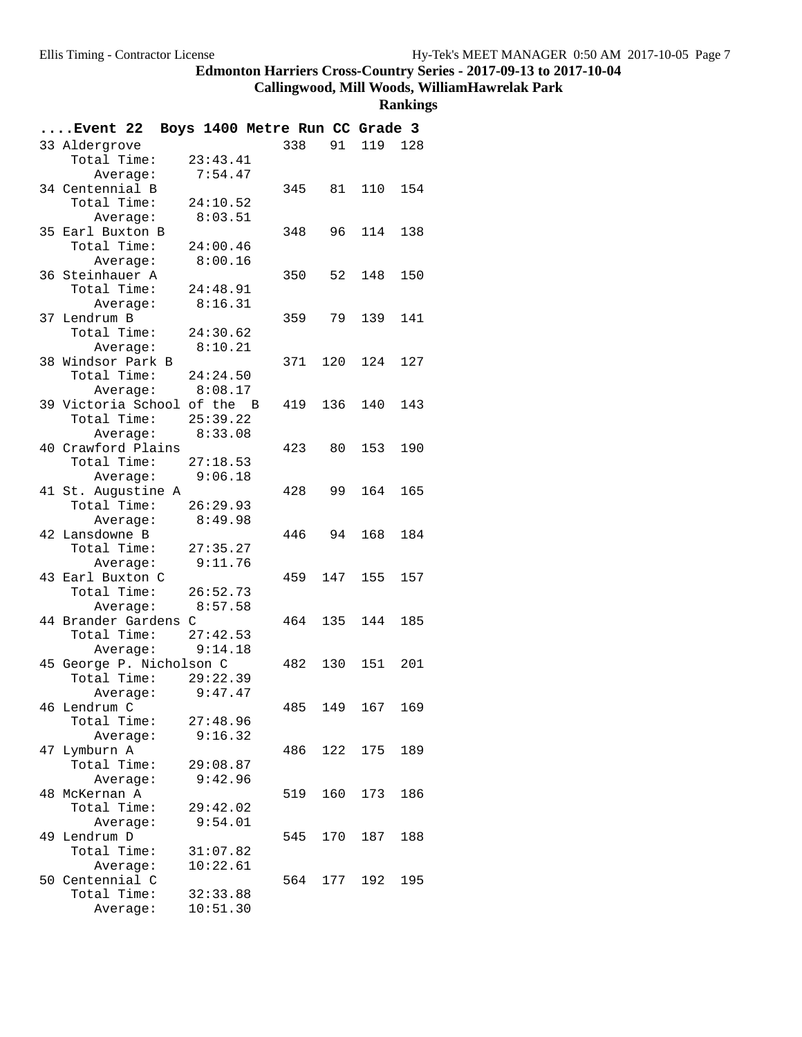# **Callingwood, Mill Woods, WilliamHawrelak Park**

| Event 22 Boys 1400 Metre Run CC Grade 3    |          |          |         |      |                 |     |
|--------------------------------------------|----------|----------|---------|------|-----------------|-----|
| 33 Aldergrove                              |          |          | 338     |      | 91 119 128      |     |
| Total Time:                                |          | 23:43.41 |         |      |                 |     |
| Average:                                   |          | 7:54.47  |         |      |                 |     |
| 34 Centennial B                            |          |          |         |      | 345 81 110      | 154 |
| Total Time: 24:10.52                       |          |          |         |      |                 |     |
| Average:                                   | 8:03.51  |          |         |      |                 |     |
| 35 Earl Buxton B                           |          |          | 348     | 96 - | 114             | 138 |
| Total Time:                                | 24:00.46 |          |         |      |                 |     |
| Average:                                   |          | 8:00.16  |         |      |                 |     |
| 36 Steinhauer A                            |          |          | 350     |      | 52 148          | 150 |
| Total Time: 24:48.91                       |          |          |         |      |                 |     |
| Average: 8:16.31                           |          |          |         |      |                 |     |
| 37 Lendrum B                               |          |          |         |      | 359 79 139 141  |     |
| Total Time: 24:30.62                       |          |          |         |      |                 |     |
| Average:                                   | 8:10.21  |          |         |      |                 |     |
| 38 Windsor Park B                          |          |          | 371 120 |      | 124             | 127 |
| Total Time: 24:24.50                       |          |          |         |      |                 |     |
| Average: 8:08.17                           |          |          |         |      |                 |     |
| 39 Victoria School of the B                |          |          | 419     | 136  | 140             | 143 |
| Total Time: $25:39.22$                     |          |          |         |      |                 |     |
| Average:                                   | 8:33.08  |          |         |      |                 |     |
| 40 Crawford Plains                         |          |          | 423 80  |      | 153             | 190 |
| Total Time: 27:18.53                       |          |          |         |      |                 |     |
| Average: 9:06.18                           |          |          |         |      |                 | 165 |
| 41 St. Augustine A<br>Total Time: 26:29.93 |          |          | 428     |      | 99 164          |     |
|                                            |          | 8:49.98  |         |      |                 |     |
| Average:<br>42 Lansdowne B                 |          |          | 446     | 94   | 168             | 184 |
| Total Time: 27:35.27                       |          |          |         |      |                 |     |
| Average: 9:11.76                           |          |          |         |      |                 |     |
| 43 Earl Buxton C                           |          |          | 459     | 147  | 155             | 157 |
| Total Time: 26:52.73                       |          |          |         |      |                 |     |
| Average:                                   | 8:57.58  |          |         |      |                 |     |
| 44 Brander Gardens C                       |          |          |         |      | 464 135 144     | 185 |
| Total Time: $27:42.53$                     |          |          |         |      |                 |     |
| Average: 9:14.18                           |          |          |         |      |                 |     |
| 45 George P. Nicholson C                   |          |          |         |      | 482 130 151 201 |     |
| Total Time: 29:22.39                       |          |          |         |      |                 |     |
| Average:                                   | 9:47.47  |          |         |      |                 |     |
| 46 Lendrum C                               |          |          | 485     | 149  | 167             | 169 |
| Total Time:                                |          | 27:48.96 |         |      |                 |     |
| Average:                                   |          | 9:16.32  |         |      |                 |     |
| 47 Lymburn A                               |          |          | 486     |      | 122 175         | 189 |
| Total Time:                                |          | 29:08.87 |         |      |                 |     |
| Average:                                   |          | 9:42.96  |         |      |                 |     |
| 48 McKernan A                              |          |          | 519     | 160  | 173             | 186 |
| Total Time:                                |          | 29:42.02 |         |      |                 |     |
| Average:                                   |          | 9:54.01  |         |      |                 |     |
| 49 Lendrum D                               |          |          | 545     | 170  | 187             | 188 |
| Total Time:                                |          | 31:07.82 |         |      |                 |     |
| Average:                                   |          | 10:22.61 |         |      |                 |     |
| 50 Centennial C                            |          |          |         |      | 564 177 192     | 195 |
| Total Time:                                |          | 32:33.88 |         |      |                 |     |
| Average:                                   |          | 10:51.30 |         |      |                 |     |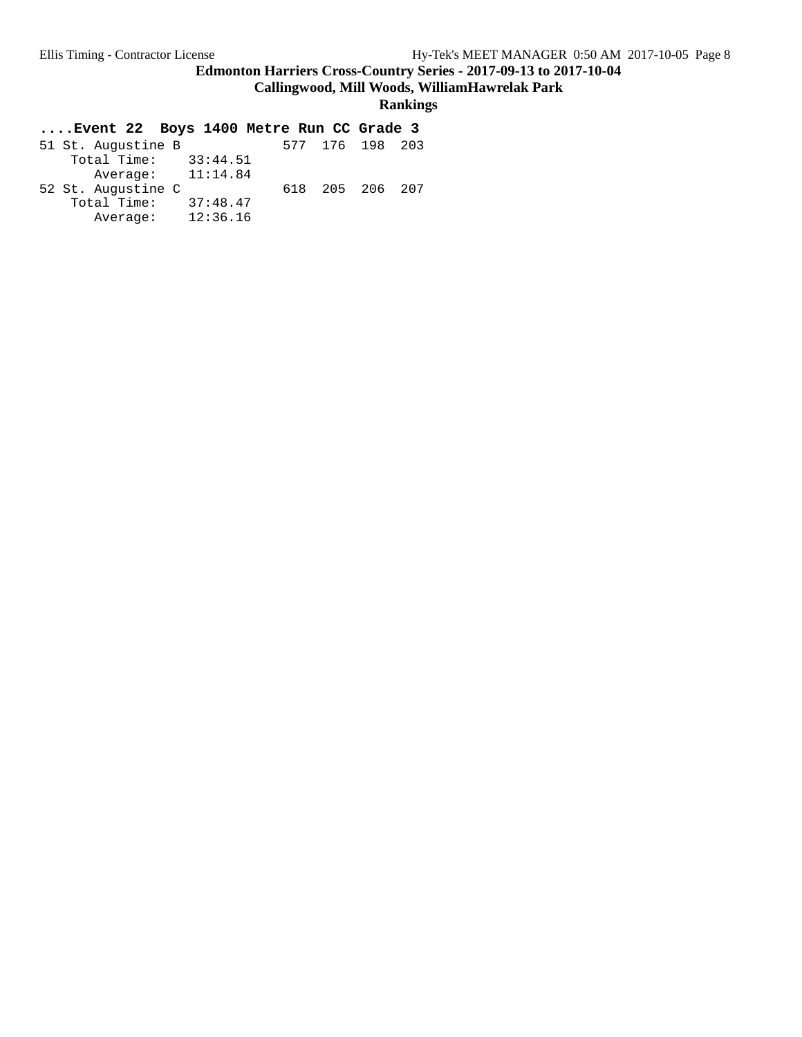**Callingwood, Mill Woods, WilliamHawrelak Park**

#### **Rankings**

| 51 St. Augustine B      |  | 577 176 198 203 |  |
|-------------------------|--|-----------------|--|
| Total Time:<br>33:44.51 |  |                 |  |
| Average: $11:14.84$     |  |                 |  |
| 52 St. Augustine C      |  | 618 205 206 207 |  |
| Total Time:<br>37:48.47 |  |                 |  |
| 12:36.16<br>Average:    |  |                 |  |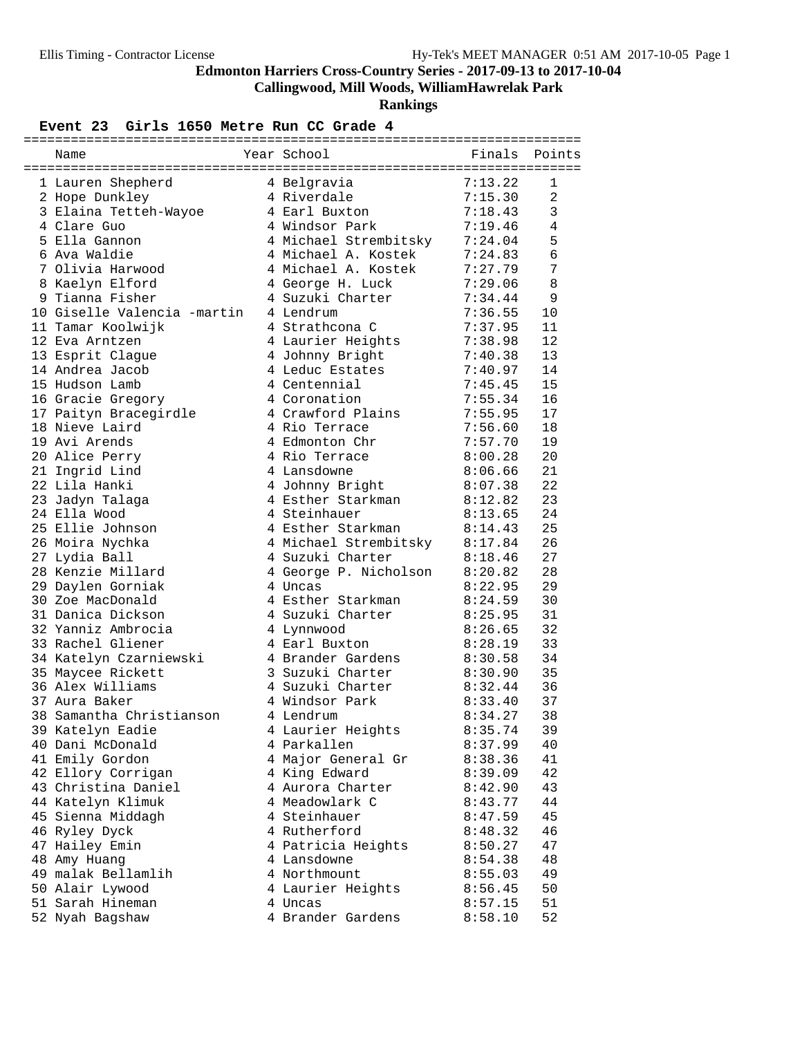# **Callingwood, Mill Woods, WilliamHawrelak Park**

**Rankings**

#### Event 23 Girls 1650 Metre Run CC Grade 4

| Name                            | Year School                   | Finals             | Points         |
|---------------------------------|-------------------------------|--------------------|----------------|
| 1 Lauren Shepherd               | 4 Belgravia                   | 7:13.22            | 1              |
| 2 Hope Dunkley                  | 4 Riverdale                   | 7:15.30            | $\overline{2}$ |
| 3 Elaina Tetteh-Wayoe           | 4 Earl Buxton                 | 7:18.43            | 3              |
| 4 Clare Guo                     | 4 Windsor Park                | 7:19.46            | 4              |
| 5 Ella Gannon                   | 4 Michael Strembitsky         | 7:24.04            | 5              |
| 6 Ava Waldie                    | 4 Michael A. Kostek           | 7:24.83            | $\epsilon$     |
| 7 Olivia Harwood                | 4 Michael A. Kostek           | 7:27.79            | 7              |
| 8 Kaelyn Elford                 | 4 George H. Luck              | 7:29.06            | 8              |
| 9 Tianna Fisher                 | 4 Suzuki Charter              | 7:34.44            | 9              |
| 10 Giselle Valencia -martin     | 4 Lendrum                     | 7:36.55            | 10             |
| 11 Tamar Koolwijk               | 4 Strathcona C                | 7:37.95            | 11             |
| 12 Eva Arntzen                  | 4 Laurier Heights             |                    | 12             |
|                                 |                               | 7:38.98            | 13             |
| 13 Esprit Clague                | 4 Johnny Bright               | 7:40.38<br>7:40.97 | 14             |
| 14 Andrea Jacob                 | 4 Leduc Estates               | 7:45.45            |                |
| 15 Hudson Lamb                  | 4 Centennial<br>4 Coronation  |                    | 15             |
| 16 Gracie Gregory               |                               | 7:55.34            | 16             |
| 17 Paityn Bracegirdle           | 4 Crawford Plains             | 7:55.95            | 17             |
| 18 Nieve Laird<br>19 Avi Arends | 4 Rio Terrace                 | 7:56.60            | 18             |
|                                 | 4 Edmonton Chr                | 7:57.70            | 19             |
| 20 Alice Perry                  | 4 Rio Terrace                 | 8:00.28            | 20             |
| 21 Ingrid Lind                  | 4 Lansdowne                   | 8:06.66            | 21             |
| 22 Lila Hanki                   | 4 Johnny Bright               | 8:07.38            | 22             |
| 23 Jadyn Talaga                 | 4 Esther Starkman             | 8:12.82            | 23             |
| 24 Ella Wood                    | 4 Steinhauer                  | 8:13.65            | 24             |
| 25 Ellie Johnson                | 4 Esther Starkman             | 8:14.43            | 25             |
| 26 Moira Nychka                 | 4 Michael Strembitsky 8:17.84 |                    | 26             |
| 27 Lydia Ball                   | 4 Suzuki Charter              | 8:18.46            | 27             |
| 28 Kenzie Millard               | 4 George P. Nicholson         | 8:20.82            | 28             |
| 29 Daylen Gorniak               | 4 Uncas                       | 8:22.95            | 29             |
| 30 Zoe MacDonald                | 4 Esther Starkman             | 8:24.59            | 30             |
| 31 Danica Dickson               | 4 Suzuki Charter              | 8:25.95            | 31             |
| 32 Yanniz Ambrocia              | 4 Lynnwood                    | 8:26.65            | 32             |
| 33 Rachel Gliener               | 4 Earl Buxton                 | 8:28.19            | 33             |
| 34 Katelyn Czarniewski          | 4 Brander Gardens             | 8:30.58            | 34             |
| 35 Maycee Rickett               | 3 Suzuki Charter              | 8:30.90            | 35             |
| 36 Alex Williams                | 4 Suzuki Charter              | 8:32.44            | 36             |
| 37 Aura Baker                   | 4 Windsor Park                | 8:33.40            | 37             |
| 38 Samantha Christianson        | 4 Lendrum                     | 8:34.27            | 38             |
| 39 Katelyn Eadie                | 4 Laurier Heights             | 8:35.74            | 39             |
| 40 Dani McDonald                | 4 Parkallen                   | 8:37.99            | 40             |
| 41 Emily Gordon                 | 4 Major General Gr            | 8:38.36            | 41             |
| 42 Ellory Corrigan              | 4 King Edward                 | 8:39.09            | 42             |
| 43 Christina Daniel             | 4 Aurora Charter              | 8:42.90            | 43             |
| 44 Katelyn Klimuk               | 4 Meadowlark C                | 8:43.77            | 44             |
| 45 Sienna Middagh               | 4 Steinhauer                  | 8:47.59            | 45             |
| 46 Ryley Dyck                   | 4 Rutherford                  | 8:48.32            | 46             |
| 47 Hailey Emin                  | 4 Patricia Heights            | 8:50.27            | 47             |
| 48 Amy Huang                    | 4 Lansdowne                   | 8:54.38            | 48             |
| 49 malak Bellamlih              | 4 Northmount                  | 8:55.03            | 49             |
| 50 Alair Lywood                 | 4 Laurier Heights             | 8:56.45            | 50             |
| 51 Sarah Hineman                | 4 Uncas                       | 8:57.15            | 51             |
| 52 Nyah Bagshaw                 | 4 Brander Gardens             | 8:58.10            | 52             |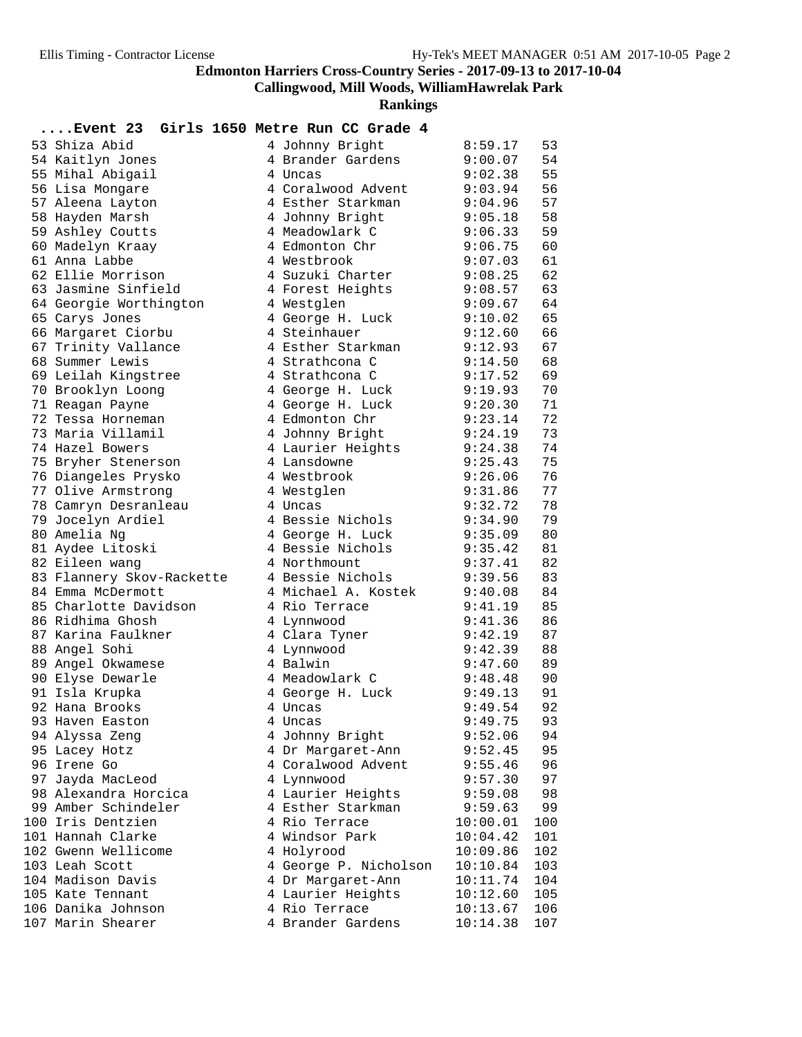**Callingwood, Mill Woods, WilliamHawrelak Park**

| Event 23 Girls 1650 Metre Run CC Grade 4       |   |                                         |                    |          |
|------------------------------------------------|---|-----------------------------------------|--------------------|----------|
| 53 Shiza Abid                                  |   | 4 Johnny Bright                         | 8:59.17            | 53       |
| 54 Kaitlyn Jones                               |   | 4 Brander Gardens                       | 9:00.07            | 54       |
| 55 Mihal Abigail                               |   | 4 Uncas                                 | 9:02.38            | 55       |
| 56 Lisa Mongare                                |   | 4 Coralwood Advent                      | 9:03.94            | 56       |
| 57 Aleena Layton                               |   | 4 Esther Starkman                       | 9:04.96            | 57       |
| 58 Hayden Marsh                                |   | 4 Johnny Bright                         | 9:05.18            | 58       |
| 59 Ashley Coutts                               |   | 4 Meadowlark C                          | 9:06.33            | 59       |
| 60 Madelyn Kraay                               |   | 4 Edmonton Chr                          | 9:06.75            | 60       |
| 61 Anna Labbe                                  |   | 4 Westbrook                             | 9:07.03            | 61       |
| 62 Ellie Morrison                              |   | 4 Suzuki Charter                        | 9:08.25            | 62       |
| 63 Jasmine Sinfield                            |   | 4 Forest Heights                        | 9:08.57            | 63       |
| 64 Georgie Worthington                         |   | 4 Westglen                              | 9:09.67            | 64       |
| 65 Carys Jones                                 |   | 4 George H. Luck                        | 9:10.02            | 65       |
| 66 Margaret Ciorbu                             |   | 4 Steinhauer                            | 9:12.60            | 66       |
| 67 Trinity Vallance                            |   | 4 Esther Starkman                       | 9:12.93            | 67       |
| 68 Summer Lewis                                |   | 4 Strathcona C                          | 9:14.50            | 68       |
| 69 Leilah Kingstree                            |   | 4 Strathcona C                          | 9:17.52            | 69       |
|                                                |   |                                         | 9:19.93            | 70       |
| 70 Brooklyn Loong                              |   | 4 George H. Luck                        |                    | 71       |
| 71 Reagan Payne<br>72 Tessa Horneman           |   | 4 George H. Luck                        | 9:20.30            | 72       |
|                                                |   | 4 Edmonton Chr                          | 9:23.14            |          |
| 73 Maria Villamil                              |   | 4 Johnny Bright                         | 9:24.19            | 73       |
| 74 Hazel Bowers                                |   | 4 Laurier Heights                       | 9:24.38            | 74       |
| 75 Bryher Stenerson                            |   | 4 Lansdowne                             | 9:25.43            | 75       |
| 76 Diangeles Prysko                            |   | 4 Westbrook                             | 9:26.06            | 76       |
| 77 Olive Armstrong                             |   | 4 Westglen                              | 9:31.86            | 77       |
| 78 Camryn Desranleau                           |   | 4 Uncas                                 | 9:32.72            | 78       |
| 79 Jocelyn Ardiel                              |   | 4 Bessie Nichols                        | 9:34.90            | 79       |
| 80 Amelia Ng                                   |   | 4 George H. Luck                        | 9:35.09            | 80       |
| 81 Aydee Litoski                               |   | 4 Bessie Nichols                        | 9:35.42            | 81       |
| 82 Eileen wang                                 |   | 4 Northmount                            | 9:37.41            | 82       |
| 83 Flannery Skov-Rackette<br>84 Emma McDermott |   | 4 Bessie Nichols<br>4 Michael A. Kostek | 9:39.56            | 83<br>84 |
| 85 Charlotte Davidson                          |   | 4 Rio Terrace                           | 9:40.08            | 85       |
| 86 Ridhima Ghosh                               |   | 4 Lynnwood                              | 9:41.19<br>9:41.36 | 86       |
| 87 Karina Faulkner                             |   | 4 Clara Tyner                           | 9:42.19            | 87       |
| 88 Angel Sohi                                  |   | 4 Lynnwood                              | 9:42.39            | 88       |
| 89 Angel Okwamese                              |   | 4 Balwin                                | 9:47.60            | 89       |
| 90 Elyse Dewarle                               |   | 4 Meadowlark C                          | 9:48.48            | 90       |
| 91 Isla Krupka                                 |   | 4 George H. Luck                        | 9:49.13            | 91       |
| 92 Hana Brooks                                 | 4 | Uncas                                   | 9:49.54            | 92       |
| 93 Haven Easton                                |   | 4 Uncas                                 | 9:49.75            | 93       |
| 94 Alyssa Zeng                                 |   | 4 Johnny Bright                         | 9:52.06            | 94       |
| 95 Lacey Hotz                                  |   | 4 Dr Margaret-Ann                       | 9:52.45            | 95       |
| 96 Irene Go                                    |   | 4 Coralwood Advent                      | 9:55.46            | 96       |
| 97 Jayda MacLeod                               |   | 4 Lynnwood                              | 9:57.30            | 97       |
| 98 Alexandra Horcica                           |   | 4 Laurier Heights                       | 9:59.08            | 98       |
| 99 Amber Schindeler                            |   | 4 Esther Starkman                       | 9:59.63            | 99       |
| 100 Iris Dentzien                              |   | 4 Rio Terrace                           | 10:00.01           | 100      |
| 101 Hannah Clarke                              |   | 4 Windsor Park                          | 10:04.42           | 101      |
| 102 Gwenn Wellicome                            |   | 4 Holyrood                              | 10:09.86           | 102      |
| 103 Leah Scott                                 |   | 4 George P. Nicholson                   | 10:10.84           | 103      |
| 104 Madison Davis                              |   | 4 Dr Margaret-Ann                       | 10:11.74           | 104      |
| 105 Kate Tennant                               |   | 4 Laurier Heights                       | 10:12.60           | 105      |
| 106 Danika Johnson                             |   | 4 Rio Terrace                           | 10:13.67           | 106      |
| 107 Marin Shearer                              |   | 4 Brander Gardens                       | 10:14.38           | 107      |
|                                                |   |                                         |                    |          |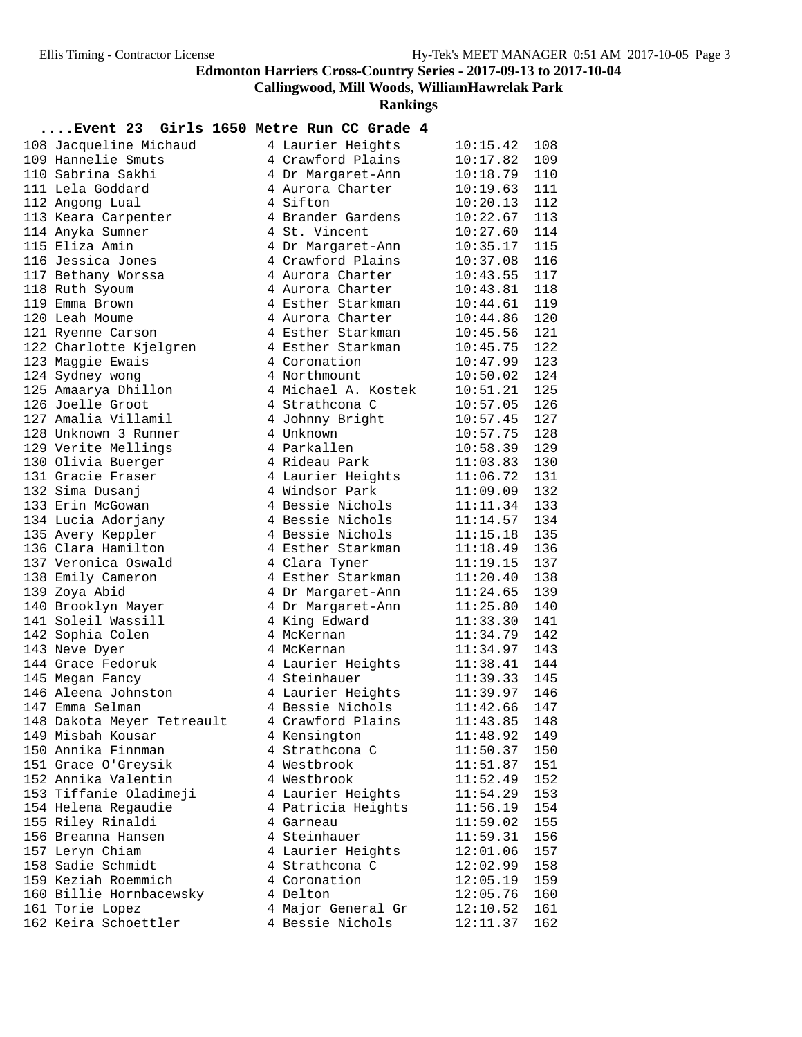**Callingwood, Mill Woods, WilliamHawrelak Park**

**Rankings**

#### **....Event 23 Girls 1650 Metre Run CC Grade 4**

| 108 Jacqueline Michaud     | 4 Laurier Heights   | 10:15.42     | 108 |
|----------------------------|---------------------|--------------|-----|
| 109 Hannelie Smuts         | 4 Crawford Plains   | 10:17.82     | 109 |
| 110 Sabrina Sakhi          | 4 Dr Margaret-Ann   | 10:18.79     | 110 |
| 111 Lela Goddard           | 4 Aurora Charter    | 10:19.63     | 111 |
|                            | 4 Sifton            | 10:20.13     | 112 |
| 112 Angong Lual            |                     |              | 113 |
| 113 Keara Carpenter        | 4 Brander Gardens   | 10:22.67     |     |
| 114 Anyka Sumner           | 4 St. Vincent       | 10:27.60     | 114 |
| 115 Eliza Amin             | 4 Dr Margaret-Ann   | 10:35.17     | 115 |
| 116 Jessica Jones          | 4 Crawford Plains   | 10:37.08     | 116 |
| 117 Bethany Worssa         | 4 Aurora Charter    | 10:43.55     | 117 |
| 118 Ruth Syoum             | 4 Aurora Charter    | 10:43.81     | 118 |
| 119 Emma Brown             | 4 Esther Starkman   | 10:44.61     | 119 |
| 120 Leah Moume             | 4 Aurora Charter    | 10:44.86     | 120 |
| 121 Ryenne Carson          | 4 Esther Starkman   | 10:45.56     | 121 |
| 122 Charlotte Kjelgren     | 4 Esther Starkman   | 10:45.75     | 122 |
| 123 Maggie Ewais           | 4 Coronation        | 10:47.99     | 123 |
| 124 Sydney wong            | 4 Northmount        | 10:50.02     | 124 |
| 125 Amaarya Dhillon        | 4 Michael A. Kostek | 10:51.21     | 125 |
| 126 Joelle Groot           | 4 Strathcona C      |              | 126 |
|                            |                     | 10:57.05     |     |
| 127 Amalia Villamil        | 4 Johnny Bright     | 10:57.45     | 127 |
| 128 Unknown 3 Runner       | 4 Unknown           | 10:57.75     | 128 |
| 129 Verite Mellings        | 4 Parkallen         | 10:58.39     | 129 |
| 130 Olivia Buerger         | 4 Rideau Park       | 11:03.83     | 130 |
| 131 Gracie Fraser          | 4 Laurier Heights   | 11:06.72     | 131 |
| 132 Sima Dusanj            | 4 Windsor Park      | 11:09.09     | 132 |
| 133 Erin McGowan           | 4 Bessie Nichols    | 11:11.34     | 133 |
| 134 Lucia Adorjany         | 4 Bessie Nichols    | 11:14.57     | 134 |
| 135 Avery Keppler          | 4 Bessie Nichols    | 11:15.18     | 135 |
| 136 Clara Hamilton         | 4 Esther Starkman   | 11:18.49     | 136 |
| 137 Veronica Oswald        | 4 Clara Tyner       | 11:19.15     | 137 |
| 138 Emily Cameron          | 4 Esther Starkman   | 11:20.40     | 138 |
| 139 Zoya Abid              | 4 Dr Margaret-Ann   | 11:24.65     | 139 |
| 140 Brooklyn Mayer         | 4 Dr Margaret-Ann   | 11:25.80     | 140 |
| 141 Soleil Wassill         | 4 King Edward       | 11:33.30     | 141 |
|                            |                     |              | 142 |
| 142 Sophia Colen           | 4 McKernan          | 11:34.79     |     |
| 143 Neve Dyer              | 4 McKernan          | 11:34.97     | 143 |
| 144 Grace Fedoruk          | 4 Laurier Heights   | 11:38.41     | 144 |
| 145 Megan Fancy            | 4 Steinhauer        | 11:39.33     | 145 |
| 146 Aleena Johnston        | 4 Laurier Heights   | 11:39.97     | 146 |
| 147 Emma Selman            | 4 Bessie Nichols    | 11:42.66     | 147 |
| 148 Dakota Meyer Tetreault | 4 Crawford Plains   | 11:43.85 148 |     |
| 149 Misbah Kousar          | 4 Kensington        | 11:48.92     | 149 |
| 150 Annika Finnman         | 4 Strathcona C      | 11:50.37     | 150 |
| 151 Grace O'Greysik        | 4 Westbrook         | 11:51.87     | 151 |
| 152 Annika Valentin        | 4 Westbrook         | 11:52.49     | 152 |
| 153 Tiffanie Oladimeji     | 4 Laurier Heights   | 11:54.29     | 153 |
| 154 Helena Regaudie        | 4 Patricia Heights  | 11:56.19     | 154 |
| 155 Riley Rinaldi          | 4 Garneau           | 11:59.02     | 155 |
| 156 Breanna Hansen         | 4 Steinhauer        | 11:59.31     | 156 |
| 157 Leryn Chiam            | 4 Laurier Heights   | 12:01.06     | 157 |
| 158 Sadie Schmidt          | 4 Strathcona C      | 12:02.99     | 158 |
| 159 Keziah Roemmich        | 4 Coronation        | 12:05.19     | 159 |
| 160 Billie Hornbacewsky    | 4 Delton            | 12:05.76     | 160 |
| 161 Torie Lopez            | 4 Major General Gr  | 12:10.52     | 161 |
|                            |                     |              |     |
| 162 Keira Schoettler       | 4 Bessie Nichols    | 12:11.37     | 162 |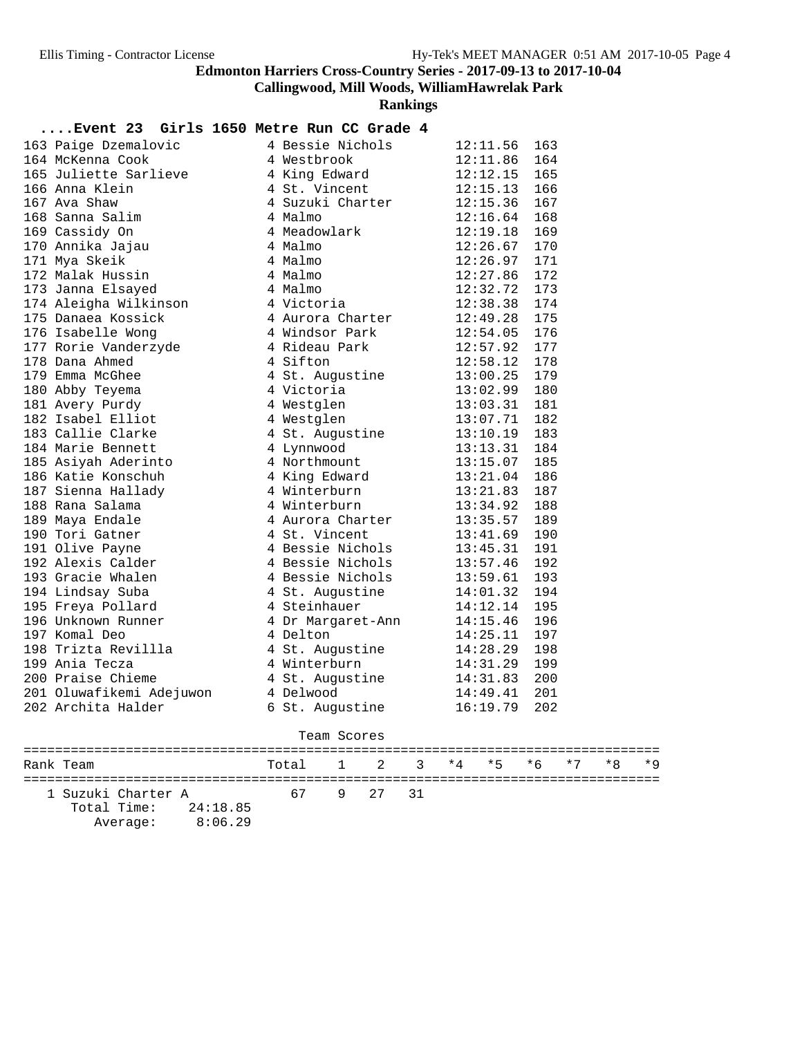**Callingwood, Mill Woods, WilliamHawrelak Park**

**Rankings**

#### **....Event 23 Girls 1650 Metre Run CC Grade 4**

| 163 Paige Dzemalovic                                   | 4 Bessie Nichols                                                                                                                              | 12:11.56       | 163 |
|--------------------------------------------------------|-----------------------------------------------------------------------------------------------------------------------------------------------|----------------|-----|
| 164 McKenna Cook                                       | 4 Westbrook 12:11.86 164<br>4 King Edward 12:12.15 165<br>4 St. Vincent 12:15.13 166<br>4 Suzuki Charter 12:15.36 167<br>4 Malmo 12:16.64 168 |                |     |
| 165 Juliette Sarlieve                                  |                                                                                                                                               |                |     |
| 166 Anna Klein                                         |                                                                                                                                               |                |     |
| 167 Ava Shaw                                           |                                                                                                                                               |                |     |
| 168 Sanna Salim                                        |                                                                                                                                               |                |     |
| 169 Cassidy On                                         | 4 Meadowlark                                                                                                                                  | 12:19.18       | 169 |
| 170 Annika Jajau                                       | 4 Malmo                                                                                                                                       | 12:26.67       | 170 |
| 171 Mya Skeik                                          | 4 Malmo                                                                                                                                       | 12:26.97 171   |     |
| 172 Malak Hussin                                       | 4 Malmo                                                                                                                                       | $12:27.86$ 172 |     |
| 173 Janna Elsayed                                      | 4 Malmo                                                                                                                                       | 12:32.72 173   |     |
| 174 Aleigha Wilkinson<br>175 Danaea Kossick            | 4 Victoria                                                                                                                                    | 12:38.38 174   |     |
|                                                        | 4 Aurora Charter 12:49.28                                                                                                                     |                | 175 |
| 176 Isabelle Wong                                      | 4 Windsor Park 12:54.05                                                                                                                       |                | 176 |
|                                                        | 4 Rideau Park                                                                                                                                 | 12:57.92       | 177 |
| 170 ISANGLES<br>177 Rorie Vanderzyde<br>178 Dana Ahmed | 4 Sifton                                                                                                                                      | 12:58.12 178   |     |
| 179 Emma McGhee                                        | 4 SILLON<br>4 St. Augustine 13:00.25 179<br>4 Victoria 13:02.99 180<br>4 Westslen 13:03.31 181                                                |                |     |
| 180 Abby Teyema                                        |                                                                                                                                               |                |     |
| 181 Avery Purdy                                        |                                                                                                                                               |                |     |
| 182 Isabel Elliot                                      | 4 Westglen                                                                                                                                    | 13:07.71       | 182 |
| 183 Callie Clarke                                      | 4 St. Augustine 13:10.19                                                                                                                      |                | 183 |
| 184 Marie Bennett                                      | 13:13.31<br>4 Lynnwood                                                                                                                        |                | 184 |
| 185 Asiyah Aderinto                                    | 4 Northmount 13:15.07 185<br>4 King Edward 13:21.04 186<br>4 Winterburn 13:21.83 187<br>4 Winterburn 13:34.92 188                             |                |     |
| 186 Katie Konschuh                                     |                                                                                                                                               |                |     |
| 186 Katit<br>187 Sienna Hallady<br>Colama              |                                                                                                                                               |                |     |
|                                                        |                                                                                                                                               |                |     |
| 189 Maya Endale                                        | 4 Aurora Charter 13:35.57                                                                                                                     |                | 189 |
| 190 Tori Gatner                                        | 4 St. Vincent                                                                                                                                 | 13:41.69       | 190 |
| 191 Olive Payne                                        | 4 Bessie Nichols 13:45.31                                                                                                                     |                | 191 |
| 192 Alexis Calder                                      | 4 Bessie Nichols 13:57.46                                                                                                                     |                | 192 |
| 193 Gracie Whalen                                      | 4 Bessie Nichols 13:59.61 193<br>4 St. Augustine 14:01.32 194<br>4 Steinhauer 14:12.14 195                                                    |                |     |
| 194 Lindsay Suba                                       |                                                                                                                                               |                |     |
| 195 Freya Pollard                                      |                                                                                                                                               |                |     |
| 196 Unknown Runner                                     | 4 Dr Margaret-Ann 14:15.46<br>4 Delton 14:25.11                                                                                               |                | 196 |
| 197 Komal Deo                                          |                                                                                                                                               |                | 197 |
| 198 Trizta Revillla                                    | 4 St. Augustine 14:28.29                                                                                                                      |                | 198 |
| 199 Ania Tecza                                         | 4 Winterburn                                                                                                                                  | 14:31.29       | 199 |
| 200 Praise Chieme                                      | 4 St. Augustine 14:31.83                                                                                                                      |                | 200 |
| 201 Oluwafikemi Adejuwon                               | 4 Delwood                                                                                                                                     | 14:49.41       | 201 |
| 202 Archita Halder                                     | 6 St. Augustine                                                                                                                               | 16:19.79       | 202 |

#### Team Scores

| Rank Team |                    |                        | Total 1 2 3 *4 *5 *6 *7 *8 *9 |            |  |  |  |  |
|-----------|--------------------|------------------------|-------------------------------|------------|--|--|--|--|
|           | 1 Suzuki Charter A |                        |                               | 67 9 27 31 |  |  |  |  |
|           |                    | Total Time: $24:18.85$ |                               |            |  |  |  |  |

| - - - - - - | -------- |
|-------------|----------|
| Average:    | 8:06.29  |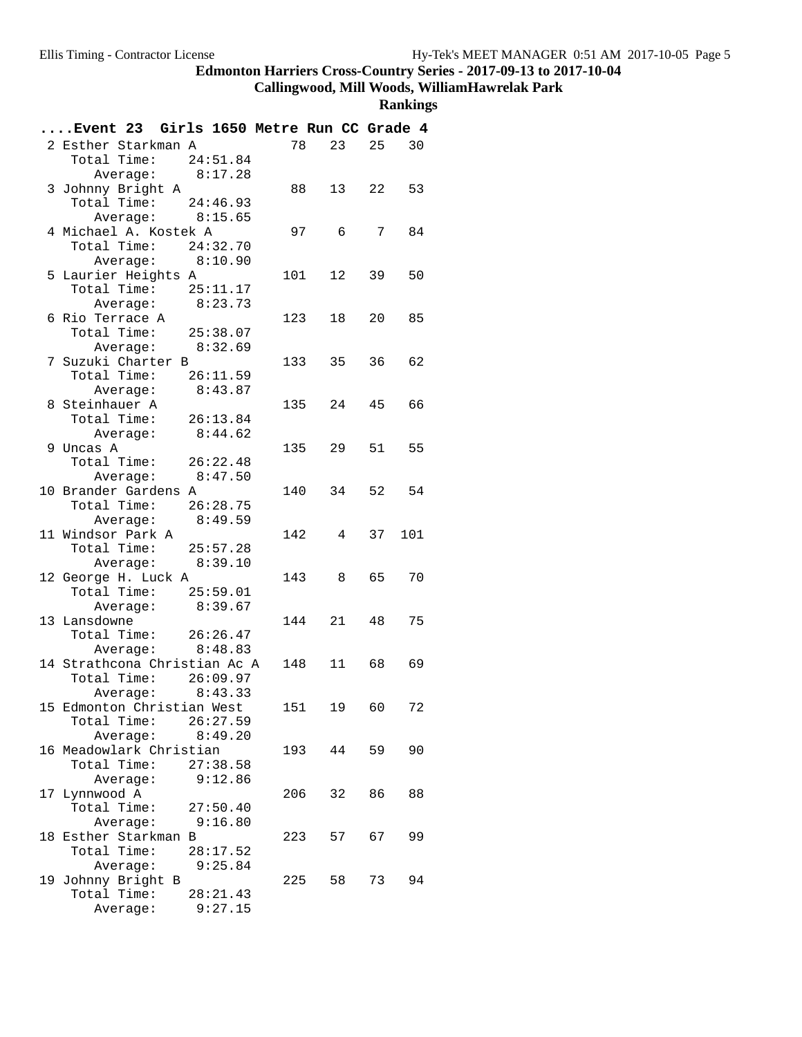## **Callingwood, Mill Woods, WilliamHawrelak Park**

| Event 23 Girls 1650 Metre Run CC Grade 4   |          |     |                 |    |       |
|--------------------------------------------|----------|-----|-----------------|----|-------|
| 2 Esther Starkman A                        |          |     | 78 23           |    | 25 30 |
| Total Time: $24:51.84$                     |          |     |                 |    |       |
| Average: $8:17.28$                         |          |     |                 |    |       |
| 3 Johnny Bright A                          |          |     | 88 13 22 53     |    |       |
| Total Time: $24:46.93$                     |          |     |                 |    |       |
| Average: $8:15.65$                         |          |     |                 |    |       |
| 4 Michael A. Kostek A                      |          |     | 97 6 7          |    | 84    |
| Total Time: 24:32.70                       |          |     |                 |    |       |
| Average: 8:10.90                           |          |     |                 |    |       |
| 5 Laurier Heights A                        |          |     | 101 12          | 39 | 50    |
| Total Time: 25:11.17                       |          |     |                 |    |       |
| Average: 8:23.73                           |          |     |                 |    |       |
| 6 Rio Terrace A                            |          |     | 123<br>18       |    | 20 85 |
| Total Time: 25:38.07                       |          |     |                 |    |       |
| Average: 8:32.69                           |          |     |                 |    |       |
| 7 Suzuki Charter B<br>Total Time: 26:11.59 |          |     | 133 35          | 36 | 62    |
| Average: $8:43.87$                         |          |     |                 |    |       |
| 8 Steinhauer A                             |          |     | 135 24          | 45 | 66    |
| Total Time: 26:13.84                       |          |     |                 |    |       |
| Average: 8:44.62                           |          |     |                 |    |       |
| 9 Uncas A                                  |          |     | 135<br>29       |    | 51 55 |
| Total Time: 26:22.48                       |          |     |                 |    |       |
| Average: 8:47.50                           |          |     |                 |    |       |
| 10 Brander Gardens A                       |          |     | 140 34 52 54    |    |       |
| Total Time: 26:28.75                       |          |     |                 |    |       |
| Average: 8:49.59                           |          |     |                 |    |       |
| 11 Windsor Park A                          |          |     | 142 4           | 37 | 101   |
| Total Time: 25:57.28                       |          |     |                 |    |       |
| Average: 8:39.10                           |          |     |                 |    |       |
| 12 George H. Luck A                        |          |     | 143 8 65        |    | 70    |
| Total Time: 25:59.01                       |          |     |                 |    |       |
| Average: 8:39.67                           |          |     |                 |    |       |
| 13 Lansdowne                               |          |     | 144<br>21       | 48 | 75    |
| Total Time: 26:26.47                       |          |     |                 |    |       |
| Average: 8:48.83                           |          |     |                 |    |       |
| 14 Strathcona Christian Ac A               |          |     | 148  11  68  69 |    |       |
| Total Time: 26:09.97                       |          |     |                 |    |       |
| Average: $8:43.33$                         |          |     |                 |    |       |
| 15 Edmonton Christian West                 |          |     | 151  19  60     |    | 72    |
| Total Time:<br>Average: 8:49.20            | 26:27.59 |     |                 |    |       |
| 16 Meadowlark Christian                    |          |     | 193<br>44       | 59 | 90    |
| Total Time:                                | 27:38.58 |     |                 |    |       |
| Average:                                   | 9:12.86  |     |                 |    |       |
| 17 Lynnwood A                              |          | 206 | 32              | 86 | 88    |
| Total Time:                                | 27:50.40 |     |                 |    |       |
| Average: 9:16.80                           |          |     |                 |    |       |
| 18 Esther Starkman B                       |          | 223 | 57              | 67 | 99    |
| Total Time:                                | 28:17.52 |     |                 |    |       |
| Average: 9:25.84                           |          |     |                 |    |       |
| 19 Johnny Bright B                         |          |     | 225<br>58       | 73 | 94    |
| Total Time:                                | 28:21.43 |     |                 |    |       |
| Average:                                   | 9:27.15  |     |                 |    |       |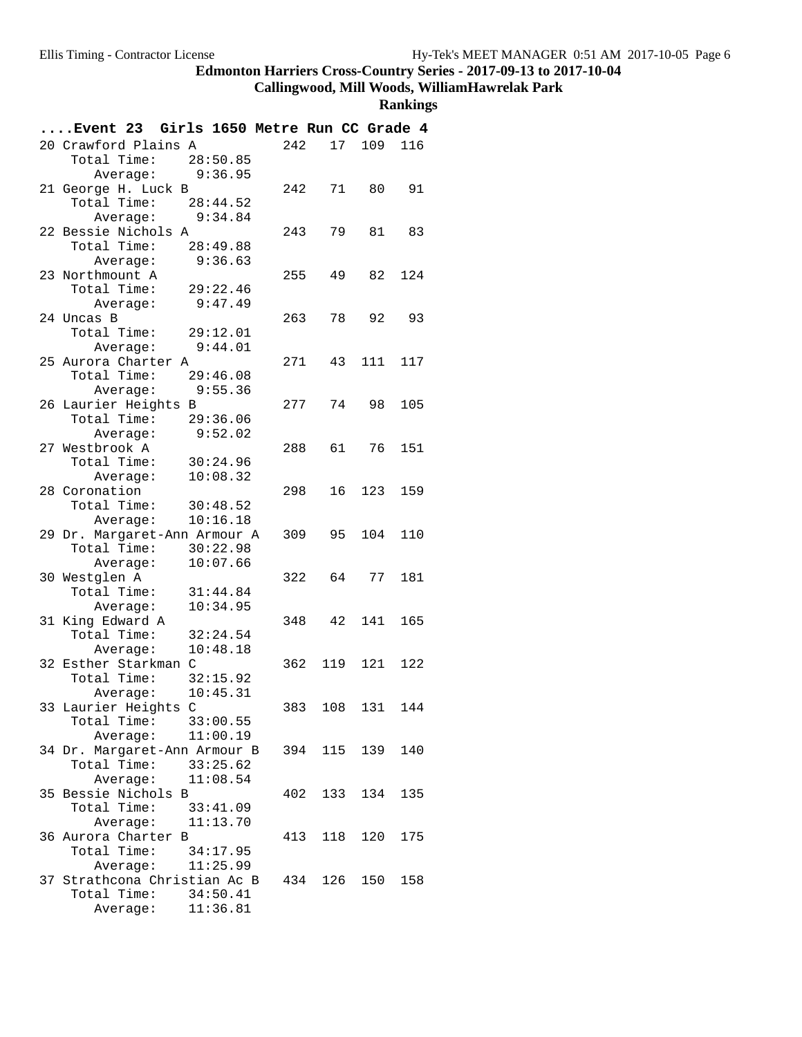# **Callingwood, Mill Woods, WilliamHawrelak Park**

| Event 23 Girls 1650 Metre Run CC Grade 4     |     |              |         |     |
|----------------------------------------------|-----|--------------|---------|-----|
| 20 Crawford Plains A                         | 242 | 17           | 109     | 116 |
| Total Time: 28:50.85                         |     |              |         |     |
| Average: 9:36.95                             |     |              |         |     |
| 21 George H. Luck B                          | 242 | 71           | 80      | 91  |
| Total Time: 28:44.52                         |     |              |         |     |
| Average: 9:34.84                             |     |              |         |     |
| 22 Bessie Nichols A                          | 243 | 79           | 81      | 83  |
| Total Time: 28:49.88                         |     |              |         |     |
| 9:36.63<br>Average:                          |     |              |         |     |
| 23 Northmount A                              | 255 | 49           | 82      | 124 |
| Total Time: 29:22.46                         |     |              |         |     |
| 9:47.49<br>Average:                          |     |              |         |     |
| 24 Uncas B                                   |     | 263 78 92 93 |         |     |
| Total Time:<br>29:12.01<br>9:44.01           |     |              |         |     |
| Average:<br>25 Aurora Charter A              | 271 | 43           | 111     | 117 |
| Total Time:<br>29:46.08                      |     |              |         |     |
| Average: 9:55.36                             |     |              |         |     |
| 26 Laurier Heights B                         | 277 | 74           | 98      | 105 |
| 29:36.06<br>Total Time:                      |     |              |         |     |
| 9:52.02<br>Average:                          |     |              |         |     |
| 27 Westbrook A                               | 288 | 61           | 76      | 151 |
| Total Time:<br>30:24.96                      |     |              |         |     |
| 10:08.32<br>Average:                         |     |              |         |     |
| 28 Coronation                                | 298 |              | 16 123  | 159 |
| 30:48.52<br>Total Time:                      |     |              |         |     |
| 10:16.18<br>Average:                         |     |              |         |     |
| 29 Dr. Margaret-Ann Armour A                 |     | 309 95 104   |         | 110 |
| Total Time:<br>30:22.98                      |     |              |         |     |
| 10:07.66<br>Average:                         |     |              |         |     |
| 30 Westglen A                                | 322 | 64           | 77      | 181 |
| Total Time:<br>31:44.84                      |     |              |         |     |
| 10:34.95<br>Average:                         |     |              |         |     |
| 31 King Edward A                             | 348 |              | 42 141  | 165 |
| Total Time:<br>32:24.54                      |     |              |         |     |
| 10:48.18<br>Average:                         |     |              |         |     |
| 32 Esther Starkman C                         |     | 362 119 121  |         | 122 |
| Total Time: 32:15.92                         |     |              |         |     |
| 10:45.31<br>Average:                         |     |              | 131     | 144 |
| 33 Laurier Heights C<br>Total Time: 33:00.55 | 383 | 108          |         |     |
| Average: 11:00.19                            |     |              |         |     |
| 34 Dr. Margaret-Ann Armour B                 |     | 394 115 139  |         | 140 |
| Total Time: 33:25.62                         |     |              |         |     |
| Average: 11:08.54                            |     |              |         |     |
| 35 Bessie Nichols B                          | 402 |              | 133 134 | 135 |
| Total Time: 33:41.09                         |     |              |         |     |
| Average: 11:13.70                            |     |              |         |     |
| 36 Aurora Charter B                          |     | 413 118 120  |         | 175 |
| Total Time: 34:17.95                         |     |              |         |     |
| Average: 11:25.99                            |     |              |         |     |
| 37 Strathcona Christian Ac B                 |     | 434 126 150  |         | 158 |
| Total Time: 34:50.41                         |     |              |         |     |
| Average: 11:36.81                            |     |              |         |     |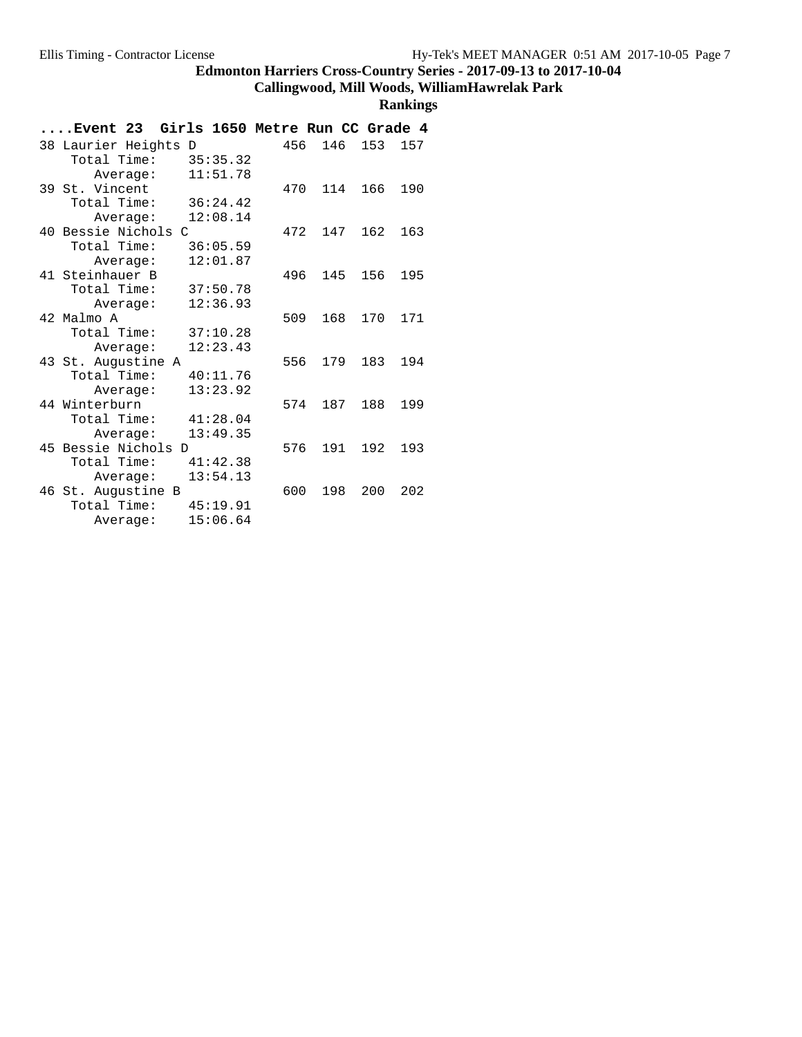## **Callingwood, Mill Woods, WilliamHawrelak Park**

| Event 23 Girls 1650 Metre Run CC Grade 4 |     |     |     |     |
|------------------------------------------|-----|-----|-----|-----|
| 38 Laurier Heights D                     | 456 | 146 | 153 | 157 |
| Total Time:<br>35:35.32                  |     |     |     |     |
| 11:51.78<br>Average:                     |     |     |     |     |
| 39 St. Vincent                           | 470 | 114 | 166 | 190 |
| Total Time:<br>36:24.42                  |     |     |     |     |
| 12:08.14<br>Average:                     |     |     |     |     |
| 40 Bessie Nichols C                      | 472 | 147 | 162 | 163 |
| Total Time:<br>36:05.59                  |     |     |     |     |
| 12:01.87<br>Average:                     |     |     |     |     |
| 41 Steinhauer B                          | 496 | 145 | 156 | 195 |
| Total Time:<br>37:50.78                  |     |     |     |     |
| 12:36.93<br>Average:                     |     |     |     |     |
| 42 Malmo A                               | 509 | 168 | 170 | 171 |
| Total Time:<br>37:10.28                  |     |     |     |     |
| 12:23.43<br>Average:                     |     |     |     |     |
| 43 St. Augustine A                       | 556 | 179 | 183 | 194 |
| Total Time:<br>40:11.76                  |     |     |     |     |
| 13:23.92<br>Average:                     |     |     |     |     |
| 44 Winterburn                            | 574 | 187 | 188 | 199 |
| Total Time:<br>41:28.04                  |     |     |     |     |
| 13:49.35<br>Average:                     |     |     |     |     |
| 45 Bessie Nichols D                      | 576 | 191 | 192 | 193 |
| Total Time:<br>41:42.38                  |     |     |     |     |
| 13:54.13<br>Average:                     |     |     |     |     |
| 46 St. Augustine B                       | 600 | 198 | 200 | 202 |
| Total Time:<br>45:19.91                  |     |     |     |     |
| 15:06.64<br>Average:                     |     |     |     |     |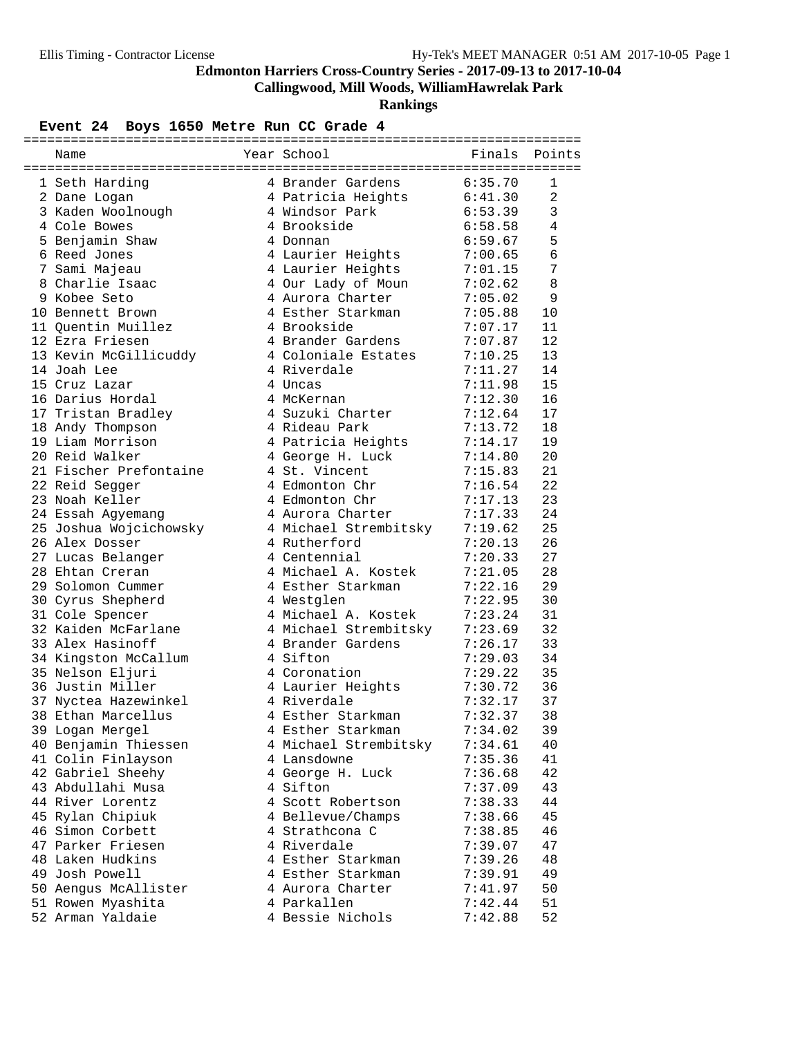**Callingwood, Mill Woods, WilliamHawrelak Park**

**Rankings**

## Event 24 Boys 1650 Metre Run CC Grade 4

| Name                   | Year School           | Finals  | Points         |
|------------------------|-----------------------|---------|----------------|
| 1 Seth Harding         | 4 Brander Gardens     | 6:35.70 | 1              |
| 2 Dane Logan           | 4 Patricia Heights    | 6:41.30 | $\overline{a}$ |
| 3 Kaden Woolnough      | 4 Windsor Park        | 6:53.39 | 3              |
| 4 Cole Bowes           | 4 Brookside           | 6:58.58 | $\overline{4}$ |
| 5 Benjamin Shaw        | 4 Donnan              | 6:59.67 | 5              |
| 6 Reed Jones           | 4 Laurier Heights     | 7:00.65 | 6              |
| 7 Sami Majeau          | 4 Laurier Heights     | 7:01.15 | 7              |
| 8 Charlie Isaac        | 4 Our Lady of Moun    | 7:02.62 | 8              |
| 9 Kobee Seto           | 4 Aurora Charter      | 7:05.02 | 9              |
| 10 Bennett Brown       | 4 Esther Starkman     | 7:05.88 | 10             |
| 11 Quentin Muillez     | 4 Brookside           | 7:07.17 | 11             |
| 12 Ezra Friesen        | 4 Brander Gardens     | 7:07.87 | 12             |
| 13 Kevin McGillicuddy  | 4 Coloniale Estates   | 7:10.25 | 13             |
| 14 Joah Lee            | 4 Riverdale           | 7:11.27 | 14             |
| 15 Cruz Lazar          | 4 Uncas               | 7:11.98 | 15             |
| 16 Darius Hordal       | 4 McKernan            | 7:12.30 | 16             |
| 17 Tristan Bradley     | 4 Suzuki Charter      | 7:12.64 | 17             |
| 18 Andy Thompson       | 4 Rideau Park         | 7:13.72 | 18             |
| 19 Liam Morrison       | 4 Patricia Heights    | 7:14.17 | 19             |
| 20 Reid Walker         | 4 George H. Luck      | 7:14.80 | 20             |
| 21 Fischer Prefontaine | 4 St. Vincent         | 7:15.83 | 21             |
| 22 Reid Segger         | 4 Edmonton Chr        | 7:16.54 | 22             |
| 23 Noah Keller         | 4 Edmonton Chr        | 7:17.13 | 23             |
| 24 Essah Agyemang      | 4 Aurora Charter      | 7:17.33 | 24             |
| 25 Joshua Wojcichowsky | 4 Michael Strembitsky | 7:19.62 | 25             |
| 26 Alex Dosser         | 4 Rutherford          | 7:20.13 | 26             |
| 27 Lucas Belanger      | 4 Centennial          | 7:20.33 | 27             |
| 28 Ehtan Creran        | 4 Michael A. Kostek   | 7:21.05 | 28             |
| 29 Solomon Cummer      | 4 Esther Starkman     | 7:22.16 | 29             |
| 30 Cyrus Shepherd      | 4 Westglen            | 7:22.95 | 30             |
| 31 Cole Spencer        | 4 Michael A. Kostek   | 7:23.24 | 31             |
| 32 Kaiden McFarlane    | 4 Michael Strembitsky | 7:23.69 | 32             |
| 33 Alex Hasinoff       | 4 Brander Gardens     | 7:26.17 | 33             |
| 34 Kingston McCallum   | 4 Sifton              | 7:29.03 | 34             |
| 35 Nelson Eljuri       | 4 Coronation          | 7:29.22 | 35             |
| 36 Justin Miller       | 4 Laurier Heights     | 7:30.72 | 36             |
| 37 Nyctea Hazewinkel   | 4 Riverdale           | 7:32.17 | 37             |
| 38 Ethan Marcellus     | 4 Esther Starkman     | 7:32.37 | 38             |
| 39 Logan Mergel        | 4 Esther Starkman     | 7:34.02 | 39             |
| 40 Benjamin Thiessen   | 4 Michael Strembitsky | 7:34.61 | 40             |
| 41 Colin Finlayson     | 4 Lansdowne           | 7:35.36 | 41             |
| 42 Gabriel Sheehy      | 4 George H. Luck      | 7:36.68 | 42             |
| 43 Abdullahi Musa      | 4 Sifton              | 7:37.09 | 43             |
| 44 River Lorentz       | 4 Scott Robertson     | 7:38.33 | 44             |
| 45 Rylan Chipiuk       | 4 Bellevue/Champs     | 7:38.66 | 45             |
| 46 Simon Corbett       | 4 Strathcona C        | 7:38.85 | 46             |
| 47 Parker Friesen      | 4 Riverdale           | 7:39.07 | 47             |
| 48 Laken Hudkins       | 4 Esther Starkman     | 7:39.26 | 48             |
| 49 Josh Powell         | 4 Esther Starkman     | 7:39.91 | 49             |
| 50 Aengus McAllister   | 4 Aurora Charter      | 7:41.97 | 50             |
| 51 Rowen Myashita      | 4 Parkallen           | 7:42.44 | 51             |
| 52 Arman Yaldaie       | 4 Bessie Nichols      | 7:42.88 | 52             |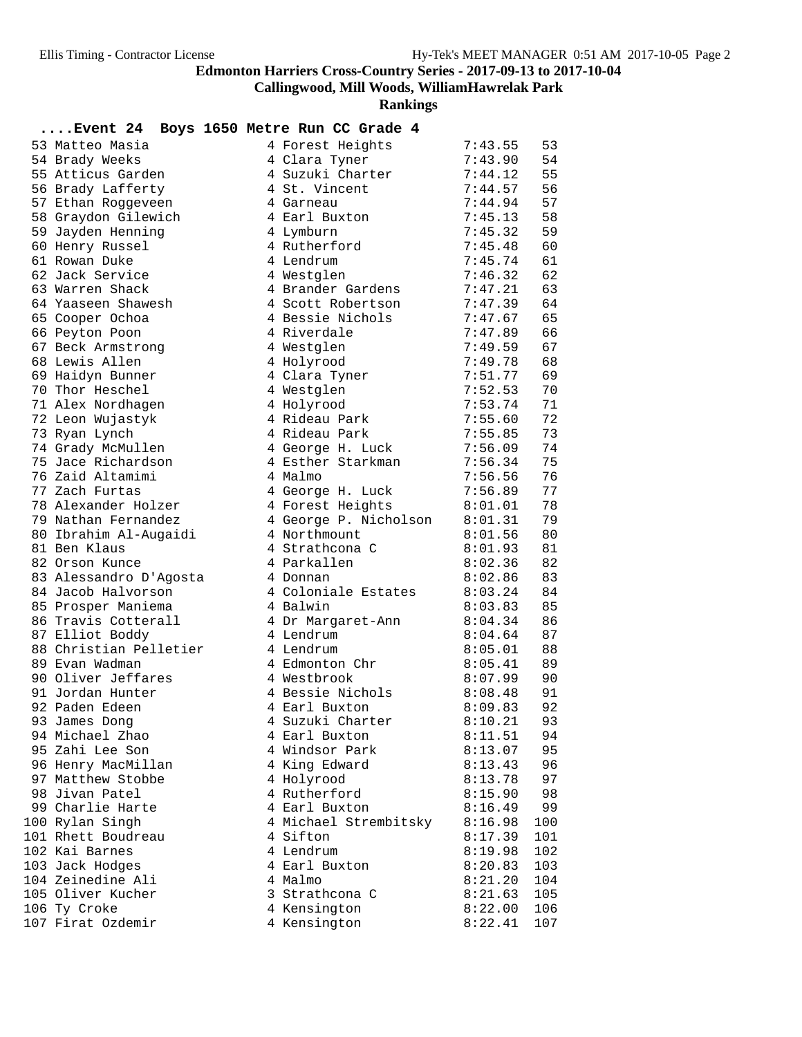**Callingwood, Mill Woods, WilliamHawrelak Park**

| Event 24 Boys 1650 Metre Run CC Grade 4. |                                |                    |          |
|------------------------------------------|--------------------------------|--------------------|----------|
| 53 Matteo Masia                          | 4 Forest Heights               | 7:43.55            | 53       |
| 54 Brady Weeks                           | 4 Clara Tyner                  | 7:43.90            | 54       |
| 55 Atticus Garden                        | 4 Suzuki Charter               | 7:44.12            | 55       |
| 56 Brady Lafferty                        | 4 St. Vincent                  | 7:44.57            | 56       |
| 57 Ethan Roggeveen                       | 4 Garneau                      | 7:44.94            | 57       |
| 58 Graydon Gilewich                      | 4 Earl Buxton                  | 7:45.13            | 58       |
| 59 Jayden Henning                        | 4 Lymburn                      | 7:45.32            | 59       |
| 60 Henry Russel                          | 4 Rutherford                   | 7:45.48            | 60       |
| 61 Rowan Duke                            | 4 Lendrum                      | 7:45.74            | 61       |
| 62 Jack Service                          | 4 Westglen                     | 7:46.32            | 62       |
| 63 Warren Shack                          | 4 Brander Gardens              | 7:47.21            | 63       |
| 64 Yaaseen Shawesh                       | 4 Scott Robertson              | 7:47.39            | 64       |
| 65 Cooper Ochoa                          | 4 Bessie Nichols               | 7:47.67            | 65       |
| 66 Peyton Poon                           | 4 Riverdale                    | 7:47.89            | 66       |
| 67 Beck Armstrong                        | 4 Westglen                     | 7:49.59            | 67       |
| 68 Lewis Allen                           | 4 Holyrood                     | 7:49.78            | 68       |
| 69 Haidyn Bunner                         | 4 Clara Tyner                  | 7:51.77            | 69       |
| 70 Thor Heschel                          | 4 Westglen                     | 7:52.53            | 70       |
| 71 Alex Nordhagen                        | 4 Holyrood                     | 7:53.74            | 71       |
| 72 Leon Wujastyk                         | 4 Rideau Park                  | 7:55.60            | 72       |
| 73 Ryan Lynch                            | 4 Rideau Park                  | 7:55.85            | 73       |
| 74 Grady McMullen                        | 4 George H. Luck               | 7:56.09            | 74       |
| 75 Jace Richardson                       | 4 Esther Starkman              | 7:56.34            | 75       |
| 76 Zaid Altamimi                         | 4 Malmo                        | 7:56.56            | 76       |
| 77 Zach Furtas                           | 4 George H. Luck               | 7:56.89            | 77       |
| 78 Alexander Holzer                      | 4 Forest Heights               | 8:01.01            | 78       |
| 79 Nathan Fernandez                      | 4 George P. Nicholson          | 8:01.31            | 79       |
| 80 Ibrahim Al-Augaidi<br>81 Ben Klaus    | 4 Northmount<br>4 Strathcona C | 8:01.56<br>8:01.93 | 80<br>81 |
| 82 Orson Kunce                           | 4 Parkallen                    | 8:02.36            | 82       |
| 83 Alessandro D'Agosta                   | 4 Donnan                       | 8:02.86            | 83       |
| 84 Jacob Halvorson                       | 4 Coloniale Estates            | 8:03.24            | 84       |
| 85 Prosper Maniema                       | 4 Balwin                       | 8:03.83            | 85       |
| 86 Travis Cotterall                      | 4 Dr Margaret-Ann              | 8:04.34            | 86       |
| 87 Elliot Boddy                          | 4 Lendrum                      | 8:04.64            | 87       |
| 88 Christian Pelletier                   | 4 Lendrum                      | 8:05.01            | 88       |
| 89 Evan Wadman                           | 4 Edmonton Chr                 | 8:05.41            | 89       |
| 90 Oliver Jeffares                       | 4 Westbrook                    | 8:07.99            | 90       |
| 91 Jordan Hunter                         | 4 Bessie Nichols               | 8:08.48            | 91       |
| 92 Paden Edeen                           | 4 Earl Buxton                  | 8:09.83            | 92       |
| 93 James Dong                            | 4 Suzuki Charter               | 8:10.21            | 93       |
| 94 Michael Zhao                          | 4 Earl Buxton                  | 8:11.51            | 94       |
| 95 Zahi Lee Son                          | 4 Windsor Park                 | 8:13.07            | 95       |
| 96 Henry MacMillan                       | 4 King Edward                  | 8:13.43            | 96       |
| 97 Matthew Stobbe                        | 4 Holyrood                     | 8:13.78            | 97       |
| 98 Jivan Patel                           | 4 Rutherford                   | 8:15.90            | 98       |
| 99 Charlie Harte                         | 4 Earl Buxton                  | 8:16.49            | 99       |
| 100 Rylan Singh                          | 4 Michael Strembitsky          | 8:16.98            | 100      |
| 101 Rhett Boudreau                       | 4 Sifton                       | 8:17.39            | 101      |
| 102 Kai Barnes                           | 4 Lendrum                      | 8:19.98            | 102      |
| 103 Jack Hodges                          | 4 Earl Buxton                  | 8:20.83            | 103      |
| 104 Zeinedine Ali                        | 4 Malmo                        | 8:21.20            | 104      |
| 105 Oliver Kucher                        | 3 Strathcona C                 | 8:21.63            | 105      |
| 106 Ty Croke                             | 4 Kensington                   | 8:22.00            | 106      |
| 107 Firat Ozdemir                        | 4 Kensington                   | 8:22.41            | 107      |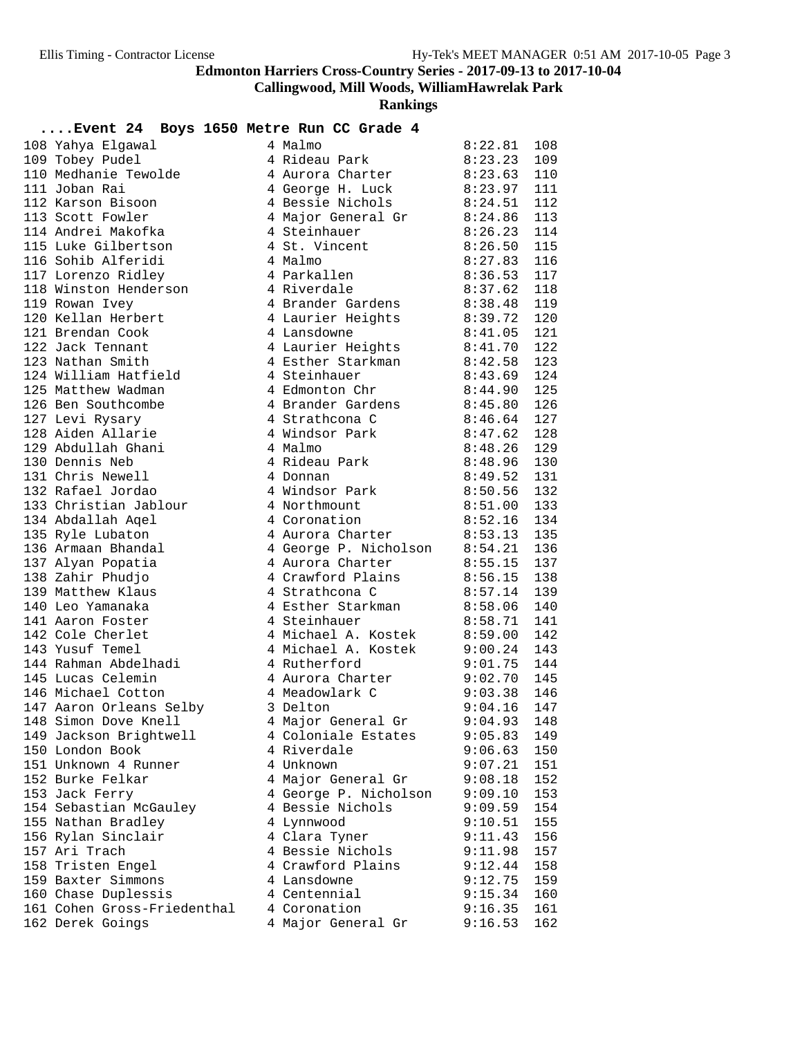**Callingwood, Mill Woods, WilliamHawrelak Park**

| Event 24 Boys 1650 Metre Run CC Grade 4 |                               |                    |            |
|-----------------------------------------|-------------------------------|--------------------|------------|
| 108 Yahya Elgawal                       | 4 Malmo                       | 8:22.81            | 108        |
| 109 Tobey Pudel                         | 4 Rideau Park                 | 8:23.23            | 109        |
| 110 Medhanie Tewolde                    | 4 Aurora Charter              | 8:23.63            | 110        |
| 111 Joban Rai                           | 4 George H. Luck              | 8:23.97            | 111        |
| 112 Karson Bisoon                       | 4 Bessie Nichols              | 8:24.51            | 112        |
| 113 Scott Fowler                        | 4 Major General Gr            | 8:24.86            | 113        |
| 114 Andrei Makofka                      | 4 Steinhauer                  | 8:26.23            | 114        |
| 115 Luke Gilbertson                     | 4 St. Vincent                 | 8:26.50            | 115        |
| 116 Sohib Alferidi                      | 4 Malmo                       | 8:27.83            | 116        |
| 117 Lorenzo Ridley                      | 4 Parkallen                   | 8:36.53            | 117        |
| 118 Winston Henderson                   | 4 Riverdale                   | 8:37.62            | 118        |
| 119 Rowan Ivey                          | 4 Brander Gardens             | 8:38.48            | 119        |
| 120 Kellan Herbert                      | 4 Laurier Heights             | 8:39.72            | 120        |
| 121 Brendan Cook                        | 4 Lansdowne                   | 8:41.05            | 121        |
| 122 Jack Tennant                        | 4 Laurier Heights             | 8:41.70            | 122        |
| 123 Nathan Smith                        | 4 Esther Starkman             | 8:42.58            | 123        |
| 124 William Hatfield                    | 4 Steinhauer                  | 8:43.69            | 124        |
| 125 Matthew Wadman                      | 4 Edmonton Chr                | 8:44.90            | 125        |
| 126 Ben Southcombe                      | 4 Brander Gardens             | 8:45.80            | 126        |
| 127 Levi Rysary                         | 4 Strathcona C                | 8:46.64            | 127        |
| 128 Aiden Allarie                       | 4 Windsor Park                | 8:47.62            | 128        |
| 129 Abdullah Ghani                      | 4 Malmo                       | 8:48.26            | 129        |
| 130 Dennis Neb                          | 4 Rideau Park                 | 8:48.96            | 130        |
| 131 Chris Newell                        |                               |                    |            |
| 132 Rafael Jordao                       | 4 Donnan                      | 8:49.52            | 131        |
|                                         | 4 Windsor Park                | 8:50.56<br>8:51.00 | 132<br>133 |
| 133 Christian Jablour                   | 4 Northmount                  |                    |            |
| 134 Abdallah Aqel                       | 4 Coronation                  | 8:52.16            | 134        |
| 135 Ryle Lubaton                        | 4 Aurora Charter              | 8:53.13            | 135        |
| 136 Armaan Bhandal                      | 4 George P. Nicholson 8:54.21 |                    | 136        |
| 137 Alyan Popatia                       | 4 Aurora Charter              | 8:55.15            | 137        |
| 138 Zahir Phudjo                        | 4 Crawford Plains             | 8:56.15            | 138        |
| 139 Matthew Klaus                       | 4 Strathcona C                | 8:57.14            | 139        |
| 140 Leo Yamanaka                        | 4 Esther Starkman 8:58.06     |                    | 140        |
| 141 Aaron Foster                        | 4 Steinhauer                  | 8:58.71            | 141        |
| 142 Cole Cherlet                        | 4 Michael A. Kostek           | 8:59.00            | 142        |
| 143 Yusuf Temel                         | 4 Michael A. Kostek           | 9:00.24            | 143        |
| 144 Rahman Abdelhadi                    | 4 Rutherford                  | 9:01.75            | 144        |
| 145 Lucas Celemin                       | 4 Aurora Charter              | 9:02.70            | 145        |
| 146 Michael Cotton                      | 4 Meadowlark C                | 9:03.38            | 146        |
| 147 Aaron Orleans Selby                 | 3 Delton                      | 9:04.16            | 147        |
| 148 Simon Dove Knell                    | 4 Major General Gr            | 9:04.93            | 148        |
| 149 Jackson Brightwell                  | 4 Coloniale Estates           | 9:05.83            | 149        |
| 150 London Book                         | 4 Riverdale                   | 9:06.63            | 150        |
| 151 Unknown 4 Runner                    | 4 Unknown                     | 9:07.21            | 151        |
| 152 Burke Felkar                        | 4 Major General Gr            | 9:08.18            | 152        |
| 153 Jack Ferry                          | 4 George P. Nicholson         | 9:09.10            | 153        |
| 154 Sebastian McGauley                  | 4 Bessie Nichols              | 9:09.59            | 154        |
| 155 Nathan Bradley                      | 4 Lynnwood                    | 9:10.51            | 155        |
| 156 Rylan Sinclair                      | 4 Clara Tyner                 | 9:11.43            | 156        |
| 157 Ari Trach                           | 4 Bessie Nichols              | 9:11.98            | 157        |
| 158 Tristen Engel                       | 4 Crawford Plains             | 9:12.44            | 158        |
| 159 Baxter Simmons                      | 4 Lansdowne                   | 9:12.75            | 159        |
| 160 Chase Duplessis                     | 4 Centennial                  | 9:15.34            | 160        |
| 161 Cohen Gross-Friedenthal             | 4 Coronation                  | 9:16.35            | 161        |
| 162 Derek Goings                        | 4 Major General Gr            | 9:16.53            | 162        |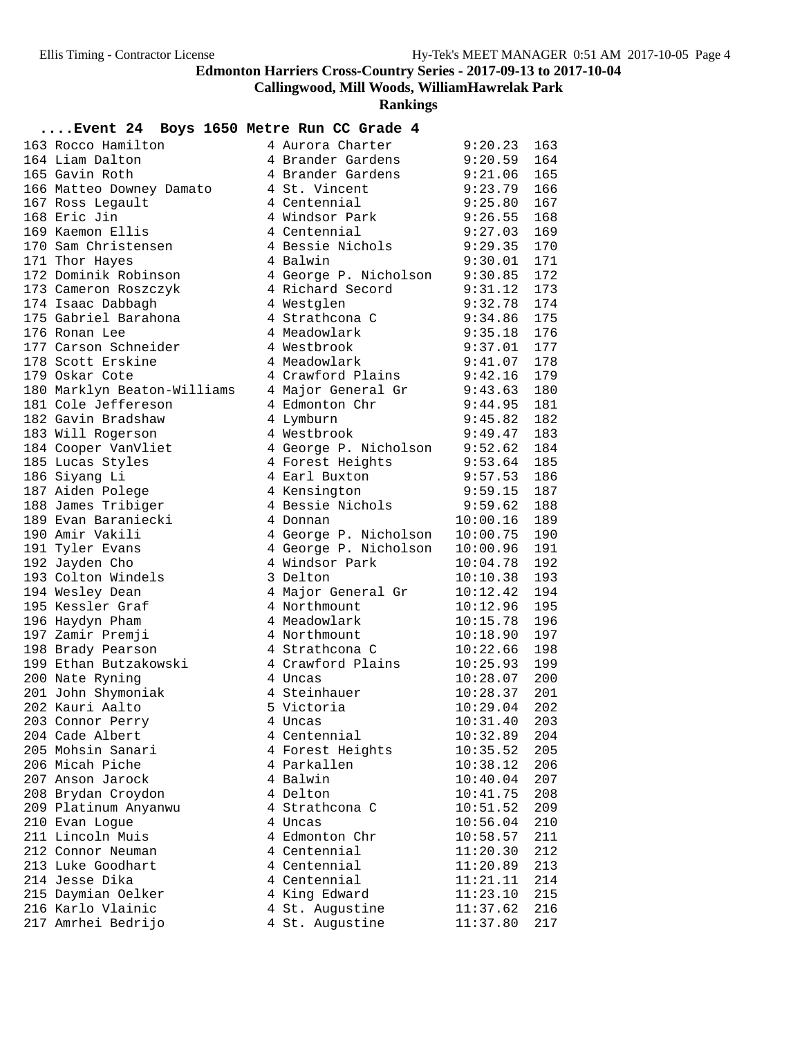**Callingwood, Mill Woods, WilliamHawrelak Park**

**Rankings**

| 163 Rocco Hamilton          | 4 Aurora Charter      | 9:20.23       | 163 |
|-----------------------------|-----------------------|---------------|-----|
| 164 Liam Dalton             | 4 Brander Gardens     | 9:20.59       | 164 |
| 165 Gavin Roth              | 4 Brander Gardens     | 9:21.06       | 165 |
| 166 Matteo Downey Damato    | 4 St. Vincent         | 9:23.79       | 166 |
| 167 Ross Legault            | 4 Centennial          | 9:25.80       | 167 |
| 168 Eric Jin                | 4 Windsor Park        | 9:26.55       | 168 |
| 169 Kaemon Ellis            | 4 Centennial          | 9:27.03       | 169 |
| 170 Sam Christensen         | 4 Bessie Nichols      | 9:29.35       | 170 |
| 171 Thor Hayes              | 4 Balwin              | 9:30.01       | 171 |
| 172 Dominik Robinson        | 4 George P. Nicholson | 9:30.85       | 172 |
| 173 Cameron Roszczyk        | 4 Richard Secord      | $9:31.12$ 173 |     |
| 174 Isaac Dabbagh           | 4 Westglen            | 9:32.78       | 174 |
| 175 Gabriel Barahona        | 4 Strathcona C        | 9:34.86       | 175 |
| 176 Ronan Lee               | 4 Meadowlark          | 9:35.18       | 176 |
| 177 Carson Schneider        | 4 Westbrook           | 9:37.01 177   |     |
| 178 Scott Erskine           | 4 Meadowlark          | $9:41.07$ 178 |     |
| 179 Oskar Cote              | 4 Crawford Plains     | 9:42.16       | 179 |
| 180 Marklyn Beaton-Williams | 4 Major General Gr    | 9:43.63       | 180 |
| 181 Cole Jeffereson         | 4 Edmonton Chr        | 9:44.95       | 181 |
| 182 Gavin Bradshaw          | 4 Lymburn             | 9:45.82       | 182 |
| 183 Will Rogerson           | 4 Westbrook           | $9:49.47$ 183 |     |
| 184 Cooper VanVliet         | 4 George P. Nicholson | 9:52.62       | 184 |
| 185 Lucas Styles            | 4 Forest Heights      |               |     |
|                             |                       | $9:53.64$ 185 |     |
| 186 Siyang Li               | 4 Earl Buxton         | $9:57.53$ 186 |     |
| 187 Aiden Polege            | 4 Kensington          | 9:59.15       | 187 |
| 188 James Tribiger          | 4 Bessie Nichols      | 9:59.62       | 188 |
| 189 Evan Baraniecki         | 4 Donnan              | 10:00.16      | 189 |
| 190 Amir Vakili             | 4 George P. Nicholson | 10:00.75      | 190 |
| 191 Tyler Evans             | 4 George P. Nicholson | 10:00.96      | 191 |
| 192 Jayden Cho              | 4 Windsor Park        | 10:04.78      | 192 |
| 193 Colton Windels          | 3 Delton              | 10:10.38      | 193 |
| 194 Wesley Dean             | 4 Major General Gr    | 10:12.42      | 194 |
| 195 Kessler Graf            | 4 Northmount          | 10:12.96      | 195 |
| 196 Haydyn Pham             | 4 Meadowlark          | 10:15.78      | 196 |
| 197 Zamir Premji            | 4 Northmount          | 10:18.90      | 197 |
| 198 Brady Pearson           | 4 Strathcona C        | 10:22.66      | 198 |
| 199 Ethan Butzakowski       | 4 Crawford Plains     | 10:25.93      | 199 |
| 200 Nate Ryning             | 4 Uncas               | 10:28.07      | 200 |
| 201 John Shymoniak          | 4 Steinhauer          | 10:28.37      | 201 |
| 202 Kauri Aalto             | 5 Victoria            | 10:29.04      | 202 |
| 203 Connor Perry            | 4 Uncas               | 10:31.40      | 203 |
| 204 Cade Albert             | 4 Centennial          | 10:32.89      | 204 |
| 205 Mohsin Sanari           | 4 Forest Heights      | 10:35.52      | 205 |
| 206 Micah Piche             | 4 Parkallen           | 10:38.12      | 206 |
| 207 Anson Jarock            | 4 Balwin              | 10:40.04      | 207 |
| 208 Brydan Croydon          | 4 Delton              | 10:41.75      | 208 |
| 209 Platinum Anyanwu        | 4 Strathcona C        | 10:51.52      | 209 |
| 210 Evan Logue              | 4 Uncas               | 10:56.04      | 210 |
| 211 Lincoln Muis            | 4 Edmonton Chr        | 10:58.57      | 211 |
| 212 Connor Neuman           | 4 Centennial          |               |     |
|                             |                       | 11:20.30      | 212 |
| 213 Luke Goodhart           | 4 Centennial          | 11:20.89      | 213 |
| 214 Jesse Dika              | 4 Centennial          | 11:21.11      | 214 |
| 215 Daymian Oelker          | 4 King Edward         | 11:23.10      | 215 |
| 216 Karlo Vlainic           | 4 St. Augustine       | 11:37.62      | 216 |
| 217 Amrhei Bedrijo          | 4 St. Augustine       | 11:37.80      | 217 |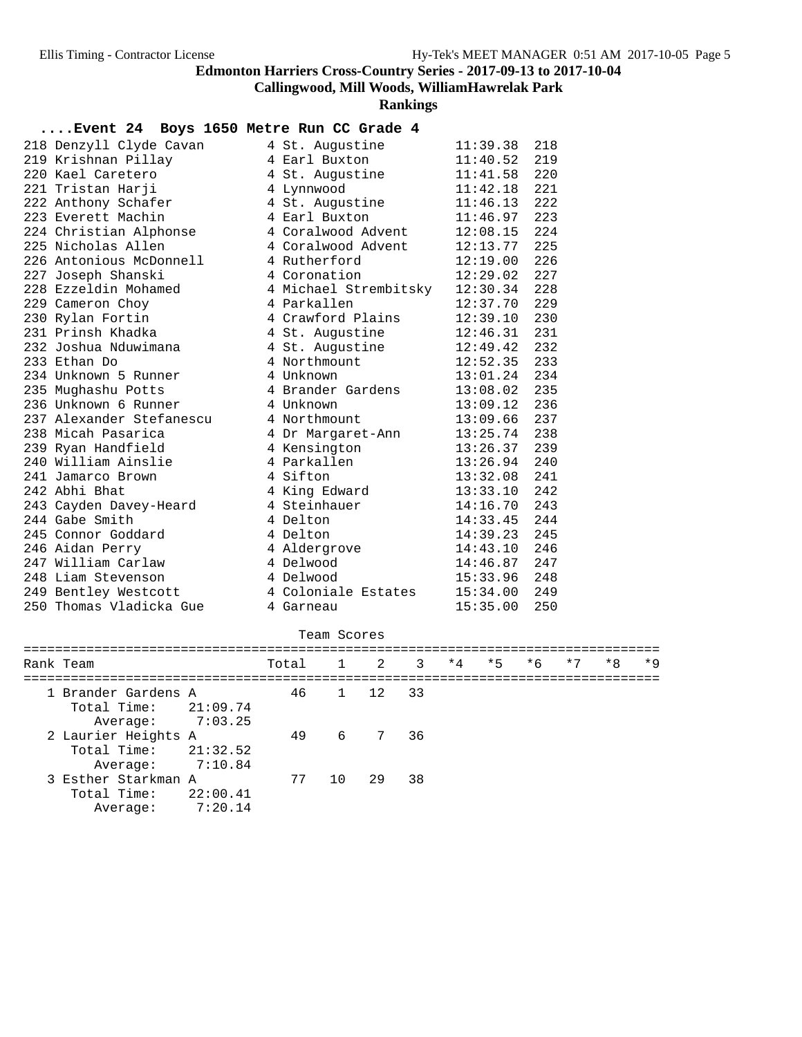**Callingwood, Mill Woods, WilliamHawrelak Park**

**Rankings**

#### **....Event 24 Boys 1650 Metre Run CC Grade 4**

| 218 Denzyll Clyde Cavan  | 4 St. Augustine       | 11:39.38       | 218 |
|--------------------------|-----------------------|----------------|-----|
| 219 Krishnan Pillay      | 4 Earl Buxton         | 11:40.52       | 219 |
| 220 Kael Caretero        | 4 St. Auqustine       | 11:41.58       | 220 |
| 221 Tristan Harji        | 4 Lynnwood            | 11:42.18       | 221 |
| 222 Anthony Schafer      | 4 St. Augustine       | 11:46.13       | 222 |
| 223 Everett Machin       | 4 Earl Buxton         | 11:46.97       | 223 |
| 224 Christian Alphonse   | 4 Coralwood Advent    | 12:08.15       | 224 |
| 225 Nicholas Allen       | 4 Coralwood Advent    | 12:13.77       | 225 |
| 226 Antonious McDonnell  | 4 Rutherford          | 12:19.00       | 226 |
| 227 Joseph Shanski       | 4 Coronation          | 12:29.02       | 227 |
| 228 Ezzeldin Mohamed     | 4 Michael Strembitsky | 12:30.34       | 228 |
| 229 Cameron Choy         | 4 Parkallen           | 12:37.70       | 229 |
| 230 Rylan Fortin         | 4 Crawford Plains     | 12:39.10       | 230 |
| 231 Prinsh Khadka        | 4 St. Augustine       | 12:46.31       | 231 |
| 232 Joshua Nduwimana     | 4 St. Augustine       | 12:49.42       | 232 |
| 233 Ethan Do             | 4 Northmount          | $12:52.35$ 233 |     |
| 234 Unknown 5 Runner     | 4 Unknown             | 13:01.24 234   |     |
| 235 Mughashu Potts       | 4 Brander Gardens     | 13:08.02       | 235 |
| 236 Unknown 6 Runner     | 4 Unknown             | 13:09.12       | 236 |
| 237 Alexander Stefanescu | 4 Northmount          | 13:09.66       | 237 |
| 238 Micah Pasarica       | 4 Dr Margaret-Ann     | 13:25.74       | 238 |
| 239 Ryan Handfield       | 4 Kensington          | 13:26.37       | 239 |
| 240 William Ainslie      | 4 Parkallen           | 13:26.94       | 240 |
| 241 Jamarco Brown        | 4 Sifton              | 13:32.08       | 241 |
| 242 Abhi Bhat            | 4 King Edward         | 13:33.10       | 242 |
| 243 Cayden Davey-Heard   | 4 Steinhauer          | 14:16.70       | 243 |
| 244 Gabe Smith           | 4 Delton              | 14:33.45       | 244 |
| 245 Connor Goddard       | 4 Delton              | 14:39.23       | 245 |
| 246 Aidan Perry          | 4 Aldergrove          | 14:43.10       | 246 |
| 247 William Carlaw       | 4 Delwood             | 14:46.87       | 247 |
| 248 Liam Stevenson       | 4 Delwood             | 15:33.96       | 248 |
| 249 Bentley Westcott     | 4 Coloniale Estates   | 15:34.00       | 249 |
| 250 Thomas Vladicka Gue  | 4 Garneau             | 15:35.00       | 250 |

#### Team Scores

| Rank Team                                     |                     | Total 1 2 3 |     |            |    | $*4$ | $*5$ | $*6$ | $*7$ | $*8$ | $*9$ |
|-----------------------------------------------|---------------------|-------------|-----|------------|----|------|------|------|------|------|------|
| 1 Brander Gardens A<br>Total Time: $21:09.74$ |                     |             |     | 46 1 12 33 |    |      |      |      |      |      |      |
| Average:                                      | 7:03.25             |             |     |            |    |      |      |      |      |      |      |
| 2 Laurier Heights A<br>Total Time: $21:32.52$ |                     | 49          |     | 6 7 36     |    |      |      |      |      |      |      |
| Average:<br>3 Esther Starkman A               | 7:10.84             | 77          | 1 O | 29         | 38 |      |      |      |      |      |      |
| Total Time:<br>Average:                       | 22:00.41<br>7:20.14 |             |     |            |    |      |      |      |      |      |      |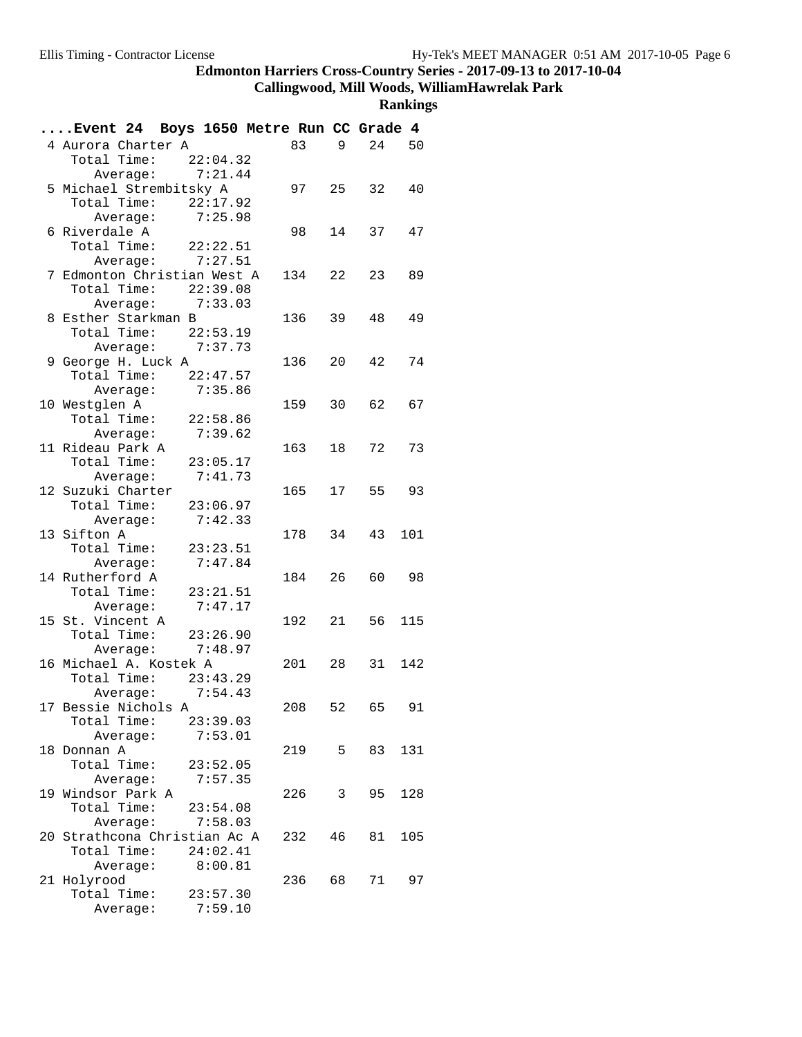**Callingwood, Mill Woods, WilliamHawrelak Park**

| Event 24 Boys 1650 Metre Run CC Grade 4 |                    |          |        |    |        |     |
|-----------------------------------------|--------------------|----------|--------|----|--------|-----|
| 4 Aurora Charter A                      |                    |          | 83     | 9  | 24 50  |     |
| Total Time: $22:04.32$                  |                    |          |        |    |        |     |
|                                         | Average: $7:21.44$ |          |        |    |        |     |
| 5 Michael Strembitsky A                 |                    |          | 97 25  |    | 32     | 40  |
| Total Time: 22:17.92                    |                    |          |        |    |        |     |
|                                         | Average: 7:25.98   |          |        |    |        |     |
| 6 Riverdale A                           |                    |          | 98     | 14 | 37     | 47  |
| Total Time: 22:22.51                    |                    |          |        |    |        |     |
|                                         | Average: $7:27.51$ |          |        |    |        |     |
| 7 Edmonton Christian West A             |                    |          | 134 22 |    | 23     | 89  |
| Total Time: 22:39.08                    |                    |          |        |    |        |     |
|                                         | Average: 7:33.03   |          |        |    |        |     |
| 8 Esther Starkman B                     |                    |          | 136 39 |    | 48     | 49  |
| Total Time: 22:53.19                    |                    |          |        |    |        |     |
|                                         | Average: $7:37.73$ |          |        |    |        |     |
| 9 George H. Luck A                      |                    |          | 136 20 |    | 42     | 74  |
| Total Time: 22:47.57                    |                    |          |        |    |        |     |
|                                         | Average: 7:35.86   |          |        |    |        |     |
| 10 Westglen A                           |                    |          | 159    | 30 | 62     | 67  |
| Total Time: 22:58.86                    |                    |          |        |    |        |     |
|                                         | Average:           | 7:39.62  |        |    |        |     |
| 11 Rideau Park A                        |                    |          | 163 18 |    | 72     | 73  |
| Total Time: 23:05.17                    |                    |          |        |    |        |     |
|                                         | Average: 7:41.73   |          |        |    |        |     |
| 12 Suzuki Charter                       |                    |          | 165 17 |    | 55 93  |     |
| Total Time: 23:06.97                    |                    |          |        |    |        |     |
|                                         | Average:           | 7:42.33  |        |    |        |     |
| 13 Sifton A                             |                    |          | 178 34 |    | 43     | 101 |
| Total Time: 23:23.51                    |                    |          |        |    |        |     |
|                                         | Average: 7:47.84   |          |        |    |        |     |
| 14 Rutherford A                         |                    |          | 184 26 |    | 60 98  |     |
| Total Time: 23:21.51                    |                    |          |        |    |        |     |
|                                         | Average:           | 7:47.17  |        |    |        |     |
| 15 St. Vincent A                        |                    |          | 192 21 |    | 56     | 115 |
| Total Time: 23:26.90                    |                    |          |        |    |        |     |
|                                         | Average:           | 7:48.97  |        |    |        |     |
| 16 Michael A. Kostek A                  |                    |          | 201 28 |    | 31 142 |     |
| Total Time: 23:43.29                    |                    |          |        |    |        |     |
|                                         | Average: 7:54.43   |          |        |    |        |     |
| 17 Bessie Nichols A                     |                    |          | 208    | 52 | 65     | 91  |
| Total Time: 23:39.03                    |                    |          |        |    |        |     |
|                                         | Average:           | 7:53.01  |        |    |        |     |
| 18 Donnan A                             |                    |          | 219    | 5  | 83     | 131 |
| Total Time:                             |                    | 23:52.05 |        |    |        |     |
|                                         | Average:           | 7:57.35  |        |    |        |     |
| 19 Windsor Park A                       |                    |          | 226    | 3  | 95     | 128 |
| Total Time:                             |                    | 23:54.08 |        |    |        |     |
|                                         | Average: 7:58.03   |          |        |    |        |     |
| 20 Strathcona Christian Ac A            |                    |          | 232    | 46 | 81     | 105 |
| Total Time: 24:02.41                    |                    |          |        |    |        |     |
|                                         | Average:           | 8:00.81  |        |    |        |     |
| 21 Holyrood                             |                    |          | 236 68 |    | 71 —   | 97  |
| Total Time:                             |                    | 23:57.30 |        |    |        |     |
|                                         | Average:           | 7:59.10  |        |    |        |     |
|                                         |                    |          |        |    |        |     |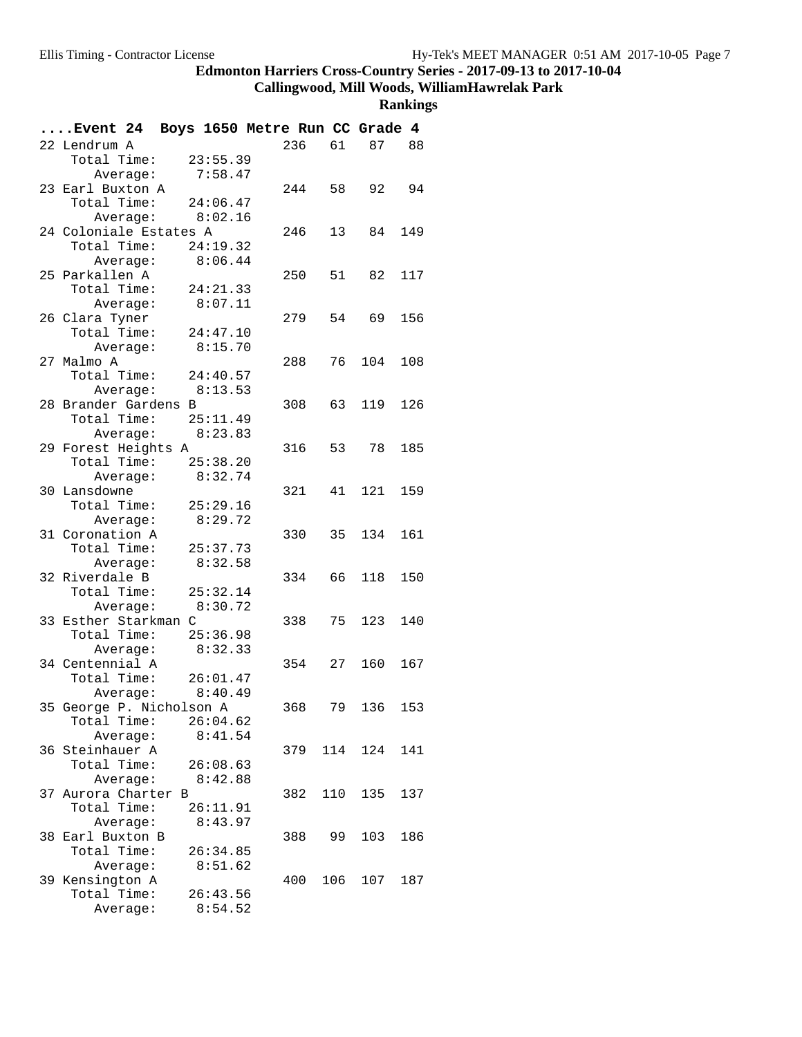**Callingwood, Mill Woods, WilliamHawrelak Park**

| Event 24 Boys 1650 Metre Run CC Grade 4 |          |                  |                     |        |     |            |     |
|-----------------------------------------|----------|------------------|---------------------|--------|-----|------------|-----|
| 22 Lendrum A                            |          |                  |                     | 236    | 61  | 87 88      |     |
| Total Time: 23:55.39                    |          |                  |                     |        |     |            |     |
|                                         | Average: |                  | 7:58.47             |        |     |            |     |
| 23 Earl Buxton A                        |          |                  |                     | 244 58 |     | 92         | 94  |
| Total Time: 24:06.47                    |          |                  |                     |        |     |            |     |
|                                         |          | Average: 8:02.16 |                     |        |     |            |     |
| 24 Coloniale Estates A                  |          |                  |                     | 246    | 13  | 84         | 149 |
| Total Time:                             |          |                  | 24:19.32            |        |     |            |     |
|                                         | Average: |                  | 8:06.44             |        |     |            |     |
| 25 Parkallen A                          |          |                  |                     |        |     | 250 51 82  | 117 |
| Total Time:                             |          |                  | 24:21.33            |        |     |            |     |
|                                         | Average: |                  | 8:07.11             |        |     |            |     |
| 26 Clara Tyner                          |          |                  |                     | 279    |     | 54 69      | 156 |
| Total Time:                             |          | 24:47.10         |                     |        |     |            |     |
|                                         | Average: |                  | 8:15.70             |        |     |            |     |
| 27 Malmo A                              |          |                  |                     | 288    | 76  | 104        | 108 |
| Total Time: 24:40.57                    |          |                  |                     |        |     |            |     |
|                                         |          | Average: 8:13.53 |                     |        |     |            |     |
| 28 Brander Gardens B                    |          |                  |                     | 308    | 63  | 119        | 126 |
| Total Time: 25:11.49                    |          |                  |                     |        |     |            |     |
|                                         |          | Average: 8:23.83 |                     |        |     |            |     |
| 29 Forest Heights A                     |          |                  |                     |        |     | 316 53 78  | 185 |
| Total Time:                             |          |                  | 25:38.20            |        |     |            |     |
|                                         |          | Average: 8:32.74 |                     |        |     |            |     |
| 30 Lansdowne                            |          |                  |                     | 321    |     | 41 121 159 |     |
| Total Time:                             |          |                  | 25:29.16            |        |     |            |     |
|                                         | Average: |                  | 8:29.72             |        |     |            |     |
| 31 Coronation A                         |          |                  |                     | 330    | 35  | 134        | 161 |
| Total Time:                             |          |                  | 25:37.73            |        |     |            |     |
|                                         | Average: |                  | 8:32.58             |        |     |            |     |
| 32 Riverdale B                          |          |                  |                     | 334    | 66  | 118        | 150 |
| Total Time: 25:32.14                    |          |                  |                     |        |     |            |     |
|                                         | Average: |                  | 8:30.72             |        |     |            |     |
| 33 Esther Starkman C                    |          |                  |                     | 338    | 75  | 123        | 140 |
| Total Time: 25:36.98                    |          |                  |                     |        |     |            |     |
|                                         | Average: |                  | 8:32.33             |        |     |            |     |
| 34 Centennial A                         |          |                  |                     | 354 27 |     | 160        | 167 |
| Total Time: 26:01.47                    |          |                  |                     |        |     |            |     |
|                                         | Average: |                  | 8:40.49             |        |     |            |     |
| 35 George P. Nicholson A                |          |                  |                     | 368    | 79  | 136        | 153 |
| Total Time:                             |          |                  | 26:04.62            |        |     |            |     |
|                                         | Average: |                  | 8:41.54             |        |     |            |     |
| 36 Steinhauer A                         |          |                  |                     | 379    | 114 | 124        | 141 |
| Total Time:                             |          |                  | 26:08.63            |        |     |            |     |
|                                         | Average: |                  | 8:42.88             | 382    | 110 |            |     |
| 37 Aurora Charter B                     |          |                  |                     |        |     | 135        | 137 |
| Total Time:                             | Average: |                  | 26:11.91<br>8:43.97 |        |     |            |     |
| 38 Earl Buxton B                        |          |                  |                     | 388    | 99  | 103        | 186 |
| Total Time:                             |          |                  | 26:34.85            |        |     |            |     |
|                                         |          |                  | 8:51.62             |        |     |            |     |
| 39 Kensington A                         | Average: |                  |                     | 400    | 106 | 107        | 187 |
| Total Time:                             |          |                  | 26:43.56            |        |     |            |     |
|                                         | Average: |                  | 8:54.52             |        |     |            |     |
|                                         |          |                  |                     |        |     |            |     |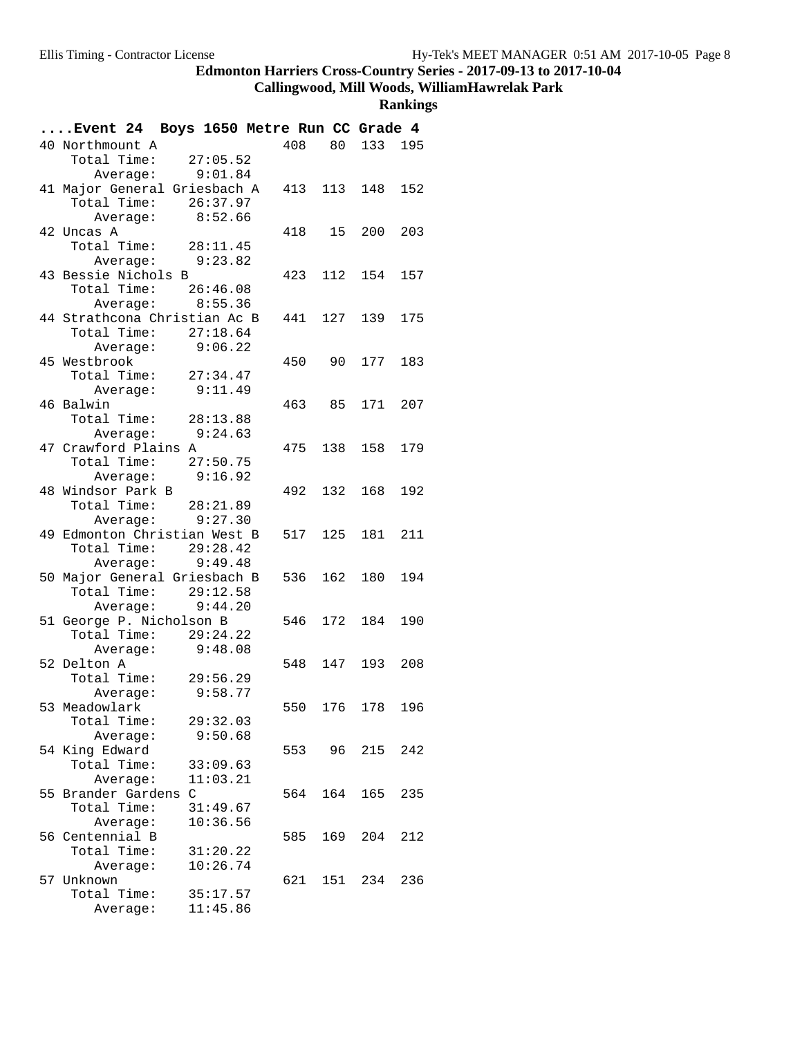# **Callingwood, Mill Woods, WilliamHawrelak Park**

| Event 24 Boys 1650 Metre Run CC Grade 4 |                        |          |     |     |                 |     |
|-----------------------------------------|------------------------|----------|-----|-----|-----------------|-----|
| 40 Northmount A                         |                        |          |     |     | 408 80 133 195  |     |
|                                         | Total Time: $27:05.52$ |          |     |     |                 |     |
|                                         | Average: 9:01.84       |          |     |     |                 |     |
| 41 Major General Griesbach A            |                        |          |     |     | 413 113 148     | 152 |
|                                         | Total Time: 26:37.97   |          |     |     |                 |     |
|                                         | Average: 8:52.66       |          |     |     |                 |     |
| 42 Uncas A                              |                        |          |     |     | 418 15 200      | 203 |
| Total Time: 28:11.45                    |                        |          |     |     |                 |     |
|                                         | Average: 9:23.82       |          |     |     |                 |     |
| 43 Bessie Nichols B                     |                        |          |     |     | 423 112 154 157 |     |
| Total Time:                             |                        | 26:46.08 |     |     |                 |     |
|                                         | Average: 8:55.36       |          |     |     |                 |     |
| 44 Strathcona Christian Ac B            |                        |          |     |     | 441 127 139 175 |     |
|                                         | Total Time: 27:18.64   |          |     |     |                 |     |
|                                         | Average: 9:06.22       |          |     |     |                 |     |
| 45 Westbrook                            |                        |          |     |     | 450 90 177      | 183 |
| Total Time: 27:34.47                    |                        |          |     |     |                 |     |
|                                         | Average: 9:11.49       |          |     |     |                 |     |
| 46 Balwin                               |                        |          |     |     | 463 85 171 207  |     |
| Total Time: 28:13.88                    |                        |          |     |     |                 |     |
|                                         | Average: 9:24.63       |          |     |     |                 |     |
| 47 Crawford Plains A                    |                        |          |     |     | 475 138 158 179 |     |
|                                         | Total Time: 27:50.75   |          |     |     |                 |     |
|                                         | Average: 9:16.92       |          |     |     |                 |     |
| 48 Windsor Park B                       |                        |          |     |     | 492 132 168 192 |     |
|                                         | Total Time: 28:21.89   |          |     |     |                 |     |
|                                         | Average: $9:27.30$     |          |     |     |                 |     |
| 49 Edmonton Christian West B            |                        |          |     |     | 517 125 181 211 |     |
|                                         | Total Time: 29:28.42   |          |     |     |                 |     |
|                                         | Average: 9:49.48       |          |     |     |                 |     |
| 50 Major General Griesbach B            |                        |          |     |     | 536 162 180     | 194 |
|                                         | Total Time: 29:12.58   |          |     |     |                 |     |
|                                         | Average: $9:44.20$     |          |     |     |                 |     |
| 51 George P. Nicholson B                |                        |          |     |     | 546 172 184     | 190 |
|                                         | Total Time: $29:24.22$ |          |     |     |                 |     |
|                                         | Average: 9:48.08       |          |     |     |                 |     |
| 52 Delton A                             |                        |          |     |     | 548 147 193 208 |     |
|                                         | Total Time: 29:56.29   |          |     |     |                 |     |
|                                         | Average: 9:58.77       |          |     |     |                 |     |
|                                         |                        |          |     |     |                 |     |
| 53 Meadowlark                           |                        |          | 550 |     | 176 178         | 196 |
| Total Time:                             |                        | 29:32.03 |     |     |                 |     |
|                                         | Average:               | 9:50.68  |     |     |                 |     |
| 54 King Edward                          |                        |          | 553 | 96  | 215             | 242 |
| Total Time:                             |                        | 33:09.63 |     |     |                 |     |
|                                         | Average:               | 11:03.21 |     |     |                 |     |
| 55 Brander Gardens C                    |                        |          | 564 | 164 | 165             | 235 |
| Total Time:                             |                        | 31:49.67 |     |     |                 |     |
|                                         | Average:               | 10:36.56 |     |     |                 |     |
| 56 Centennial B                         |                        |          | 585 | 169 | 204             | 212 |
| Total Time:                             |                        | 31:20.22 |     |     |                 |     |
|                                         | Average:               | 10:26.74 |     |     |                 |     |
| 57 Unknown                              |                        |          | 621 |     | 151 234         | 236 |
| Total Time:                             |                        | 35:17.57 |     |     |                 |     |
|                                         | Average:               | 11:45.86 |     |     |                 |     |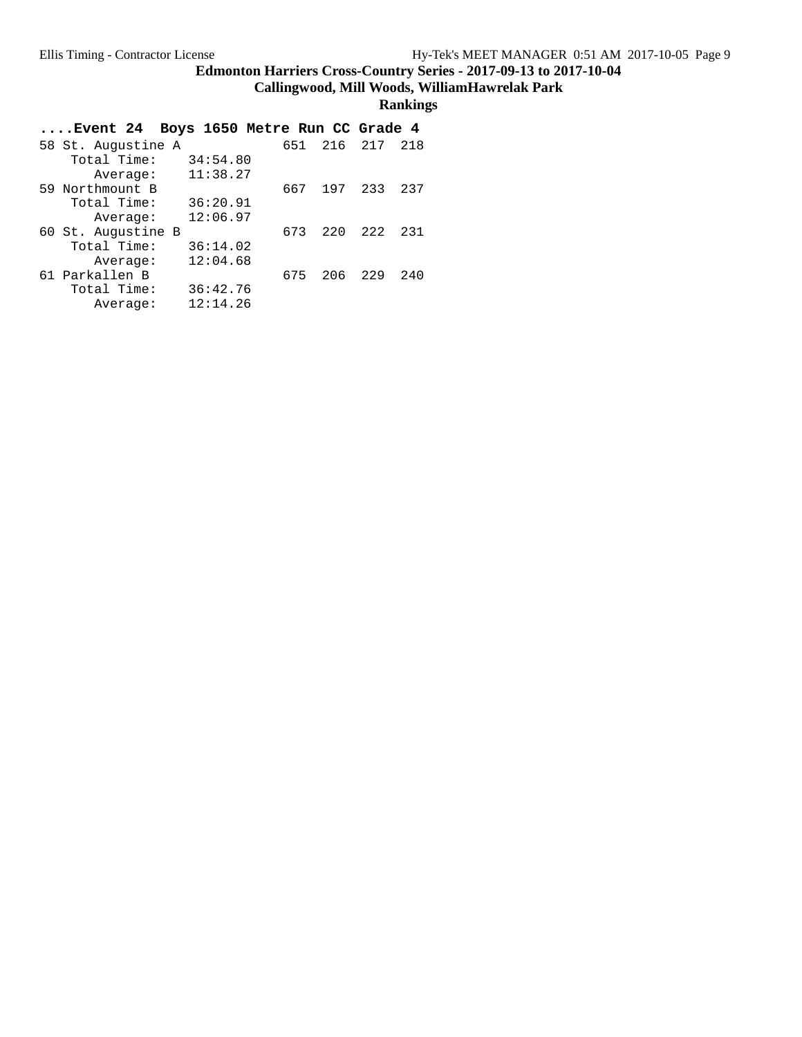**Callingwood, Mill Woods, WilliamHawrelak Park**

| Event 24 Boys 1650 Metre Run CC Grade 4 |          |            |       |     |
|-----------------------------------------|----------|------------|-------|-----|
| 58 St. Augustine A                      |          | 216<br>651 | 217   | 218 |
| Total Time:                             | 34:54.80 |            |       |     |
| Average:                                | 11:38.27 |            |       |     |
| 59 Northmount B                         |          | 667<br>197 | 233   | 237 |
| Total Time:                             | 36:20.91 |            |       |     |
| Average:                                | 12:06.97 |            |       |     |
| 60 St. Augustine B                      |          | 220<br>673 | 2.2.2 | 231 |
| Total Time:                             | 36:14.02 |            |       |     |
| Average:                                | 12:04.68 |            |       |     |
| 61 Parkallen B                          |          | 206<br>675 | 229   | 240 |
| Total Time:                             | 36:42.76 |            |       |     |
| Average:                                | 12:14.26 |            |       |     |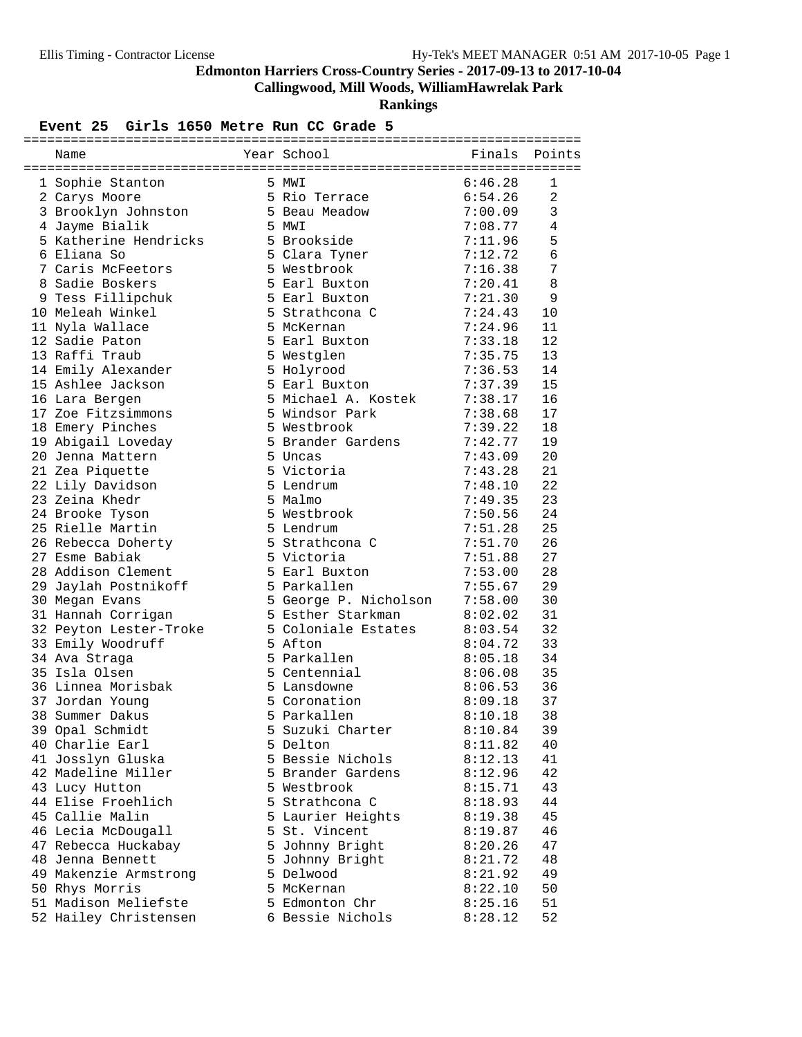**Callingwood, Mill Woods, WilliamHawrelak Park**

**Rankings**

#### Event 25 Girls 1650 Metre Run CC Grade 5

| Name                   | Year School           | Finals  | Points         |
|------------------------|-----------------------|---------|----------------|
| 1 Sophie Stanton       | 5 MWI                 | 6:46.28 | 1              |
| 2 Carys Moore          | 5 Rio Terrace         | 6:54.26 | $\overline{2}$ |
| 3 Brooklyn Johnston    | 5 Beau Meadow         | 7:00.09 | 3              |
| 4 Jayme Bialik         | 5 MWI                 | 7:08.77 | 4              |
| 5 Katherine Hendricks  | 5 Brookside           | 7:11.96 | 5              |
| 6 Eliana So            | 5 Clara Tyner         | 7:12.72 | 6              |
| 7 Caris McFeetors      | 5 Westbrook           | 7:16.38 | 7              |
| 8 Sadie Boskers        | 5 Earl Buxton         | 7:20.41 | 8              |
| 9 Tess Fillipchuk      | 5 Earl Buxton         | 7:21.30 | 9              |
| 10 Meleah Winkel       | 5 Strathcona C        | 7:24.43 | 10             |
| 11 Nyla Wallace        | 5 McKernan            | 7:24.96 | 11             |
| 12 Sadie Paton         | 5 Earl Buxton         | 7:33.18 | 12             |
| 13 Raffi Traub         | 5 Westglen            | 7:35.75 | 13             |
| 14 Emily Alexander     | 5 Holyrood            | 7:36.53 | 14             |
| 15 Ashlee Jackson      | 5 Earl Buxton         | 7:37.39 | 15             |
| 16 Lara Bergen         | 5 Michael A. Kostek   | 7:38.17 | 16             |
| 17 Zoe Fitzsimmons     | 5 Windsor Park        | 7:38.68 | 17             |
| 18 Emery Pinches       | 5 Westbrook           | 7:39.22 | 18             |
| 19 Abigail Loveday     | 5 Brander Gardens     | 7:42.77 | 19             |
| 20 Jenna Mattern       | 5 Uncas               | 7:43.09 | 20             |
| 21 Zea Piquette        | 5 Victoria            | 7:43.28 | 21             |
| 22 Lily Davidson       | 5 Lendrum             | 7:48.10 | 22             |
| 23 Zeina Khedr         | 5 Malmo               | 7:49.35 | 23             |
| 24 Brooke Tyson        | 5 Westbrook           | 7:50.56 | 24             |
| 25 Rielle Martin       | 5 Lendrum             | 7:51.28 | 25             |
| 26 Rebecca Doherty     | 5 Strathcona C        | 7:51.70 | 26             |
| 27 Esme Babiak         | 5 Victoria            | 7:51.88 | 27             |
| 28 Addison Clement     | 5 Earl Buxton         | 7:53.00 | 28             |
| 29 Jaylah Postnikoff   | 5 Parkallen           | 7:55.67 | 29             |
| 30 Megan Evans         | 5 George P. Nicholson | 7:58.00 | 30             |
| 31 Hannah Corrigan     | 5 Esther Starkman     | 8:02.02 | 31             |
| 32 Peyton Lester-Troke | 5 Coloniale Estates   | 8:03.54 | 32             |
| 33 Emily Woodruff      | 5 Afton               | 8:04.72 | 33             |
| 34 Ava Straga          | 5 Parkallen           | 8:05.18 | 34             |
| 35 Isla Olsen          | 5 Centennial          | 8:06.08 | 35             |
| 36 Linnea Morisbak     | 5 Lansdowne           | 8:06.53 | 36             |
| 37 Jordan Young        | 5 Coronation          | 8:09.18 | 37             |
| 38 Summer Dakus        | 5 Parkallen           | 8:10.18 | 38             |
| 39 Opal Schmidt        | 5 Suzuki Charter      | 8:10.84 | 39             |
| 40 Charlie Earl        | 5 Delton              | 8:11.82 | 40             |
| 41 Josslyn Gluska      | 5 Bessie Nichols      | 8:12.13 | 41             |
| 42 Madeline Miller     | 5 Brander Gardens     | 8:12.96 | 42             |
| 43 Lucy Hutton         | 5 Westbrook           | 8:15.71 | 43             |
| 44 Elise Froehlich     | 5 Strathcona C        | 8:18.93 | 44             |
| 45 Callie Malin        | 5 Laurier Heights     | 8:19.38 | 45             |
| 46 Lecia McDougall     | 5 St. Vincent         | 8:19.87 | 46             |
| 47 Rebecca Huckabay    | 5 Johnny Bright       | 8:20.26 | 47             |
| 48 Jenna Bennett       | 5 Johnny Bright       | 8:21.72 | 48             |
| 49 Makenzie Armstrong  | 5 Delwood             | 8:21.92 | 49             |
| 50 Rhys Morris         | 5 McKernan            | 8:22.10 | 50             |
| 51 Madison Meliefste   | 5 Edmonton Chr        | 8:25.16 | 51             |
| 52 Hailey Christensen  | 6 Bessie Nichols      | 8:28.12 | 52             |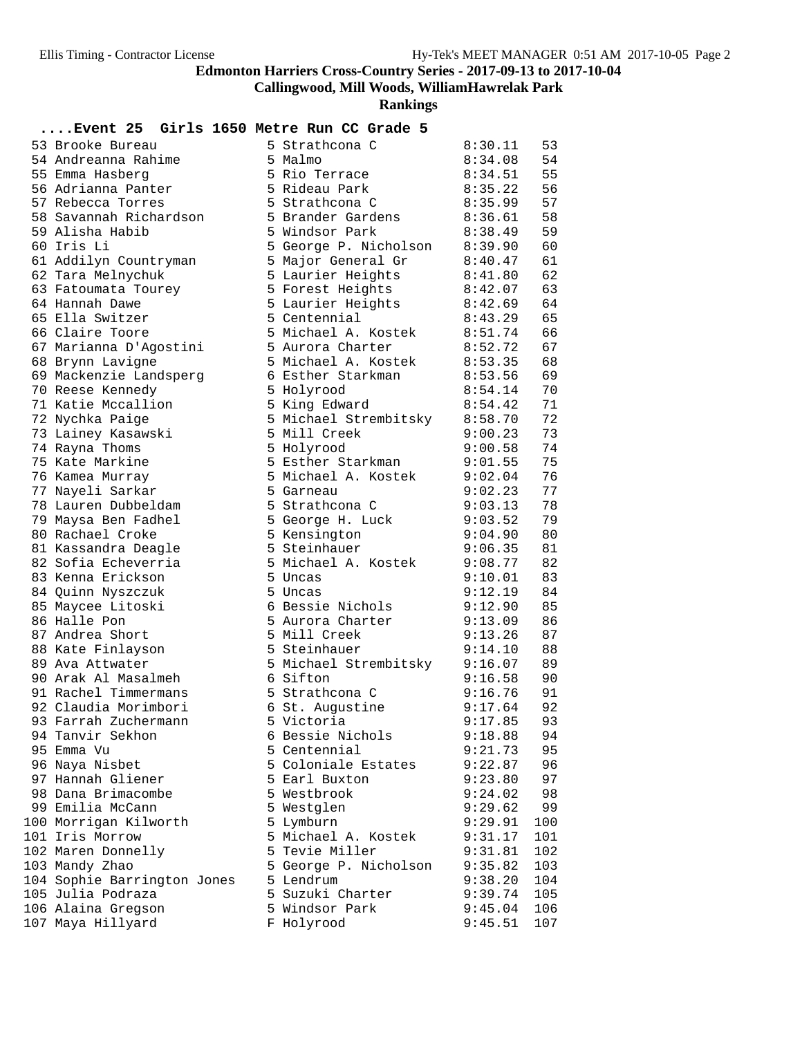**Callingwood, Mill Woods, WilliamHawrelak Park**

**Rankings**

## **....Event 25 Girls 1650 Metre Run CC Grade 5**

| 53 Brooke Bureau            | 5 Strathcona C        | 8:30.11 | 53  |
|-----------------------------|-----------------------|---------|-----|
| 54 Andreanna Rahime         | 5 Malmo               | 8:34.08 | 54  |
| 55 Emma Hasberg             | 5 Rio Terrace         | 8:34.51 | 55  |
| 56 Adrianna Panter          | 5 Rideau Park         | 8:35.22 | 56  |
| 57 Rebecca Torres           | 5 Strathcona C        | 8:35.99 | 57  |
| 58 Savannah Richardson      | 5 Brander Gardens     | 8:36.61 | 58  |
| 59 Alisha Habib             | 5 Windsor Park        | 8:38.49 | 59  |
| 60 Iris Li                  |                       | 8:39.90 | 60  |
|                             | 5 George P. Nicholson |         |     |
| 61 Addilyn Countryman       | 5 Major General Gr    | 8:40.47 | 61  |
| 62 Tara Melnychuk           | 5 Laurier Heights     | 8:41.80 | 62  |
| 63 Fatoumata Tourey         | 5 Forest Heights      | 8:42.07 | 63  |
| 64 Hannah Dawe              | 5 Laurier Heights     | 8:42.69 | 64  |
| 65 Ella Switzer             | 5 Centennial          | 8:43.29 | 65  |
| 66 Claire Toore             | 5 Michael A. Kostek   | 8:51.74 | 66  |
| 67 Marianna D'Agostini      | 5 Aurora Charter      | 8:52.72 | 67  |
| 68 Brynn Lavigne            | 5 Michael A. Kostek   | 8:53.35 | 68  |
| 69 Mackenzie Landsperg      | 6 Esther Starkman     | 8:53.56 | 69  |
| 70 Reese Kennedy            | 5 Holyrood            | 8:54.14 | 70  |
| 71 Katie Mccallion          | 5 King Edward         | 8:54.42 | 71  |
| 72 Nychka Paige             | 5 Michael Strembitsky | 8:58.70 | 72  |
|                             | 5 Mill Creek          | 9:00.23 | 73  |
| 73 Lainey Kasawski          |                       |         |     |
| 74 Rayna Thoms              | 5 Holyrood            | 9:00.58 | 74  |
| 75 Kate Markine             | 5 Esther Starkman     | 9:01.55 | 75  |
| 76 Kamea Murray             | 5 Michael A. Kostek   | 9:02.04 | 76  |
| 77 Nayeli Sarkar            | 5 Garneau             | 9:02.23 | 77  |
| 78 Lauren Dubbeldam         | 5 Strathcona C        | 9:03.13 | 78  |
| 79 Maysa Ben Fadhel         | 5 George H. Luck      | 9:03.52 | 79  |
| 80 Rachael Croke            | 5 Kensington          | 9:04.90 | 80  |
| 81 Kassandra Deagle         | 5 Steinhauer          | 9:06.35 | 81  |
| 82 Sofia Echeverria         | 5 Michael A. Kostek   | 9:08.77 | 82  |
| 83 Kenna Erickson           | 5 Uncas               | 9:10.01 | 83  |
| 84 Quinn Nyszczuk           | 5 Uncas               | 9:12.19 | 84  |
| 85 Maycee Litoski           | 6 Bessie Nichols      | 9:12.90 | 85  |
| 86 Halle Pon                | 5 Aurora Charter      | 9:13.09 | 86  |
| 87 Andrea Short             | 5 Mill Creek          | 9:13.26 | 87  |
| 88 Kate Finlayson           | 5 Steinhauer          | 9:14.10 | 88  |
| 89 Ava Attwater             | 5 Michael Strembitsky | 9:16.07 | 89  |
| 90 Arak Al Masalmeh         | 6 Sifton              | 9:16.58 | 90  |
| 91 Rachel Timmermans        |                       |         | 91  |
|                             | 5 Strathcona C        | 9:16.76 |     |
| 92 Claudia Morimbori        | 6 St. Augustine       | 9:17.64 | 92  |
| 93 Farrah Zuchermann        | 5 Victoria            | 9:17.85 | 93  |
| 94 Tanvir Sekhon            | 6 Bessie Nichols      | 9:18.88 | 94  |
| 95 Emma Vu                  | 5 Centennial          | 9:21.73 | 95  |
| 96 Naya Nisbet              | 5 Coloniale Estates   | 9:22.87 | 96  |
| 97 Hannah Gliener           | 5 Earl Buxton         | 9:23.80 | 97  |
| 98 Dana Brimacombe          | 5 Westbrook           | 9:24.02 | 98  |
| 99 Emilia McCann            | 5 Westglen            | 9:29.62 | 99  |
| 100 Morrigan Kilworth       | 5 Lymburn             | 9:29.91 | 100 |
| 101 Iris Morrow             | 5 Michael A. Kostek   | 9:31.17 | 101 |
| 102 Maren Donnelly          | 5 Tevie Miller        | 9:31.81 | 102 |
| 103 Mandy Zhao              | 5 George P. Nicholson | 9:35.82 | 103 |
| 104 Sophie Barrington Jones | 5 Lendrum             | 9:38.20 | 104 |
| 105 Julia Podraza           | 5 Suzuki Charter      | 9:39.74 | 105 |
| 106 Alaina Gregson          | 5 Windsor Park        | 9:45.04 | 106 |
| 107 Maya Hillyard           | F Holyrood            | 9:45.51 | 107 |
|                             |                       |         |     |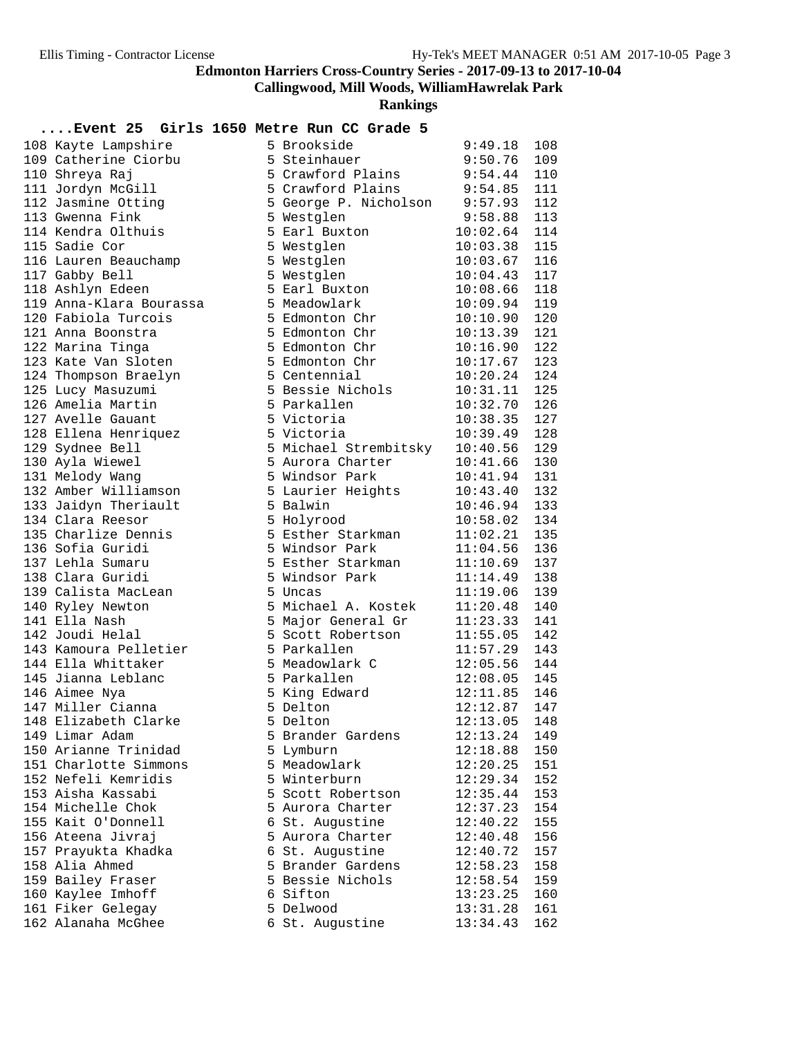**Callingwood, Mill Woods, WilliamHawrelak Park**

**Rankings**

#### **....Event 25 Girls 1650 Metre Run CC Grade 5**

| 108 Kayte Lampshire     | 5 Brookside           | 9:49.18        | 108 |
|-------------------------|-----------------------|----------------|-----|
| 109 Catherine Ciorbu    | 5 Steinhauer          | 9:50.76        | 109 |
| 110 Shreya Raj          | 5 Crawford Plains     | 9:54.44        | 110 |
| 111 Jordyn McGill       | 5 Crawford Plains     | 9:54.85        | 111 |
| 112 Jasmine Otting      | 5 George P. Nicholson | 9:57.93        | 112 |
| 113 Gwenna Fink         | 5 Westglen            | 9:58.88        | 113 |
| 114 Kendra Olthuis      | 5 Earl Buxton         | 10:02.64       | 114 |
| 115 Sadie Cor           | 5 Westglen            | 10:03.38       | 115 |
| 116 Lauren Beauchamp    | 5 Westglen            | 10:03.67       | 116 |
| 117 Gabby Bell          | 5 Westglen            | 10:04.43       | 117 |
| 118 Ashlyn Edeen        | 5 Earl Buxton         | 10:08.66       | 118 |
| 119 Anna-Klara Bourassa | 5 Meadowlark          | 10:09.94       | 119 |
| 120 Fabiola Turcois     | 5 Edmonton Chr        | 10:10.90       | 120 |
| 121 Anna Boonstra       | 5 Edmonton Chr        | 10:13.39       | 121 |
| 122 Marina Tinga        | 5 Edmonton Chr        | 10:16.90       | 122 |
| 123 Kate Van Sloten     | 5 Edmonton Chr        | 10:17.67       | 123 |
| 124 Thompson Braelyn    | 5 Centennial          | 10:20.24       | 124 |
| 125 Lucy Masuzumi       | 5 Bessie Nichols      | 10:31.11       | 125 |
| 126 Amelia Martin       | 5 Parkallen           | 10:32.70       | 126 |
| 127 Avelle Gauant       | 5 Victoria            | 10:38.35       | 127 |
| 128 Ellena Henriquez    | 5 Victoria            | 10:39.49       | 128 |
| 129 Sydnee Bell         | 5 Michael Strembitsky | 10:40.56       | 129 |
| 130 Ayla Wiewel         | 5 Aurora Charter      | 10:41.66       | 130 |
| 131 Melody Wang         | 5 Windsor Park        | 10:41.94       | 131 |
| 132 Amber Williamson    | 5 Laurier Heights     | 10:43.40       | 132 |
| 133 Jaidyn Theriault    | 5 Balwin              | 10:46.94       | 133 |
| 134 Clara Reesor        | 5 Holyrood            | 10:58.02       | 134 |
| 135 Charlize Dennis     | 5 Esther Starkman     | 11:02.21       | 135 |
| 136 Sofia Guridi        | 5 Windsor Park        | 11:04.56       | 136 |
| 137 Lehla Sumaru        | 5 Esther Starkman     | 11:10.69       | 137 |
| 138 Clara Guridi        | 5 Windsor Park        | 11:14.49       | 138 |
| 139 Calista MacLean     | 5 Uncas               | 11:19.06       | 139 |
| 140 Ryley Newton        | 5 Michael A. Kostek   | 11:20.48       | 140 |
| 141 Ella Nash           | 5 Major General Gr    | 11:23.33       | 141 |
| 142 Joudi Helal         | 5 Scott Robertson     | 11:55.05       | 142 |
| 143 Kamoura Pelletier   | 5 Parkallen           | 11:57.29       | 143 |
| 144 Ella Whittaker      | 5 Meadowlark C        | 12:05.56       | 144 |
| 145 Jianna Leblanc      | 5 Parkallen           | 12:08.05       | 145 |
| 146 Aimee Nya           | 5 King Edward         | 12:11.85       | 146 |
| 147 Miller Cianna       | 5 Delton              | 12:12.87       | 147 |
| 148 Elizabeth Clarke    | 5 Delton              | $12:13.05$ 148 |     |
| 149 Limar Adam          | 5 Brander Gardens     | 12:13.24       | 149 |
| 150 Arianne Trinidad    | 5 Lymburn             | 12:18.88       | 150 |
| 151 Charlotte Simmons   | 5 Meadowlark          | 12:20.25       | 151 |
| 152 Nefeli Kemridis     | 5 Winterburn          | 12:29.34       | 152 |
| 153 Aisha Kassabi       | 5 Scott Robertson     | 12:35.44       | 153 |
| 154 Michelle Chok       | 5 Aurora Charter      | 12:37.23       | 154 |
| 155 Kait O'Donnell      | 6 St. Augustine       | 12:40.22       | 155 |
| 156 Ateena Jivraj       | 5 Aurora Charter      | 12:40.48       | 156 |
| 157 Prayukta Khadka     | 6 St. Augustine       | 12:40.72       | 157 |
| 158 Alia Ahmed          | 5 Brander Gardens     | 12:58.23       | 158 |
| 159 Bailey Fraser       | 5 Bessie Nichols      | 12:58.54       | 159 |
| 160 Kaylee Imhoff       | 6 Sifton              | 13:23.25       | 160 |
| 161 Fiker Gelegay       | 5 Delwood             | 13:31.28       | 161 |
| 162 Alanaha McGhee      | 6 St. Augustine       | 13:34.43       | 162 |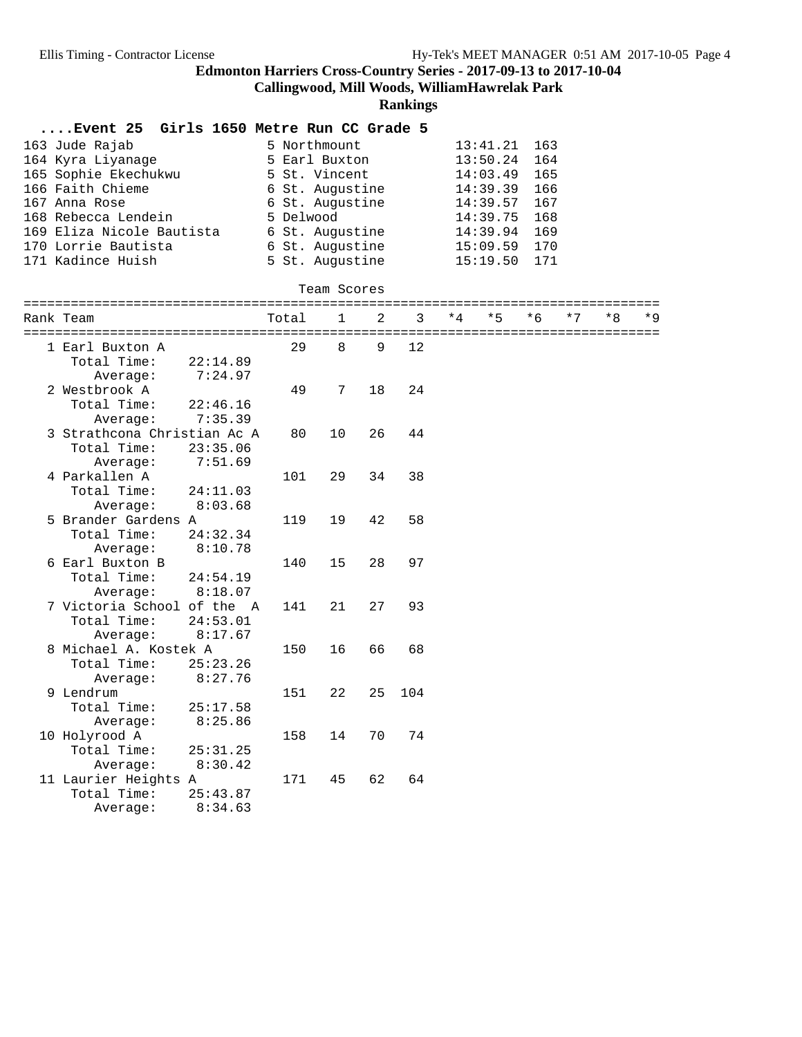**Callingwood, Mill Woods, WilliamHawrelak Park**

| Event 25 Girls 1650 Metre Run CC Grade 5 |                     |                 |              |    |          |          |          |     |      |      |     |
|------------------------------------------|---------------------|-----------------|--------------|----|----------|----------|----------|-----|------|------|-----|
| 163 Jude Rajab                           |                     | 5 Northmount    |              |    |          |          | 13:41.21 | 163 |      |      |     |
| 164 Kyra Liyanage                        |                     | 5 Earl Buxton   |              |    |          |          | 13:50.24 | 164 |      |      |     |
| 165 Sophie Ekechukwu                     |                     | 5 St. Vincent   |              |    |          |          | 14:03.49 | 165 |      |      |     |
| 166 Faith Chieme                         |                     | 6 St. Augustine |              |    |          | 14:39.39 |          |     |      |      |     |
| 167 Anna Rose                            |                     | 6 St. Augustine |              |    |          |          | 14:39.57 | 167 |      |      |     |
| 168 Rebecca Lendein                      |                     | 5 Delwood       |              |    |          |          | 14:39.75 | 168 |      |      |     |
| 169 Eliza Nicole Bautista                |                     | 6 St. Augustine |              |    | 14:39.94 |          |          | 169 |      |      |     |
| 170 Lorrie Bautista                      |                     | 6 St. Augustine |              |    |          |          | 15:09.59 | 170 |      |      |     |
| 171 Kadince Huish                        |                     | 5 St. Augustine |              |    |          |          | 15:19.50 | 171 |      |      |     |
|                                          |                     |                 | Team Scores  |    |          |          |          |     |      |      |     |
| Rank Team                                |                     | Total           | $\mathbf{1}$ | 2  | 3        | $*4$     | * 5      | * 6 | $*7$ | $*8$ | * 9 |
|                                          |                     |                 |              |    |          |          |          |     |      |      |     |
| 1 Earl Buxton A                          |                     | 29              | 8            | 9  | 12       |          |          |     |      |      |     |
| Total Time:                              | 22:14.89            |                 |              |    |          |          |          |     |      |      |     |
| Average:                                 | 7:24.97             |                 |              |    |          |          |          |     |      |      |     |
| 2 Westbrook A                            |                     | 49              | 7            | 18 | 24       |          |          |     |      |      |     |
| Total Time:                              | 22:46.16            |                 |              |    |          |          |          |     |      |      |     |
| Average:                                 | 7:35.39             |                 |              |    |          |          |          |     |      |      |     |
| 3 Strathcona Christian Ac A              |                     | 80              | 10           | 26 | 44       |          |          |     |      |      |     |
| Total Time:                              | 23:35.06            |                 |              |    |          |          |          |     |      |      |     |
| Average:                                 | 7:51.69             |                 |              |    |          |          |          |     |      |      |     |
| 4 Parkallen A                            |                     | 101             | 29           | 34 | 38       |          |          |     |      |      |     |
| Total Time:                              | 24:11.03            |                 |              |    |          |          |          |     |      |      |     |
| Average:                                 | 8:03.68             |                 |              |    |          |          |          |     |      |      |     |
| 5 Brander Gardens A                      |                     | 119             | 19           | 42 | 58       |          |          |     |      |      |     |
| Total Time:                              | 24:32.34<br>8:10.78 |                 |              |    |          |          |          |     |      |      |     |
| Average:<br>6 Earl Buxton B              |                     | 140             | 15           | 28 | 97       |          |          |     |      |      |     |
| Total Time:                              | 24:54.19            |                 |              |    |          |          |          |     |      |      |     |
| Average:                                 | 8:18.07             |                 |              |    |          |          |          |     |      |      |     |
| 7 Victoria School of the A               |                     | 141             | 21           | 27 | 93       |          |          |     |      |      |     |
| Total Time:                              | 24:53.01            |                 |              |    |          |          |          |     |      |      |     |
| Average:                                 | 8:17.67             |                 |              |    |          |          |          |     |      |      |     |
| 8 Michael A. Kostek A                    |                     | 150             | 16           | 66 | 68       |          |          |     |      |      |     |
| Total Time:                              | 25:23.26            |                 |              |    |          |          |          |     |      |      |     |
| Average:                                 | 8:27.76             |                 |              |    |          |          |          |     |      |      |     |
| 9 Lendrum                                |                     | 151             | 22           | 25 | 104      |          |          |     |      |      |     |
| Total Time:                              | 25:17.58            |                 |              |    |          |          |          |     |      |      |     |
| Average:                                 | 8:25.86             |                 |              |    |          |          |          |     |      |      |     |
| 10 Holyrood A                            |                     | 158             | 14           | 70 | 74       |          |          |     |      |      |     |
| Total Time:                              | 25:31.25            |                 |              |    |          |          |          |     |      |      |     |
| Average:                                 | 8:30.42             |                 |              |    |          |          |          |     |      |      |     |
| 11 Laurier Heights                       | Α                   | 171             | 45           | 62 | 64       |          |          |     |      |      |     |
| Total Time:                              | 25:43.87            |                 |              |    |          |          |          |     |      |      |     |
| Average:                                 | 8:34.63             |                 |              |    |          |          |          |     |      |      |     |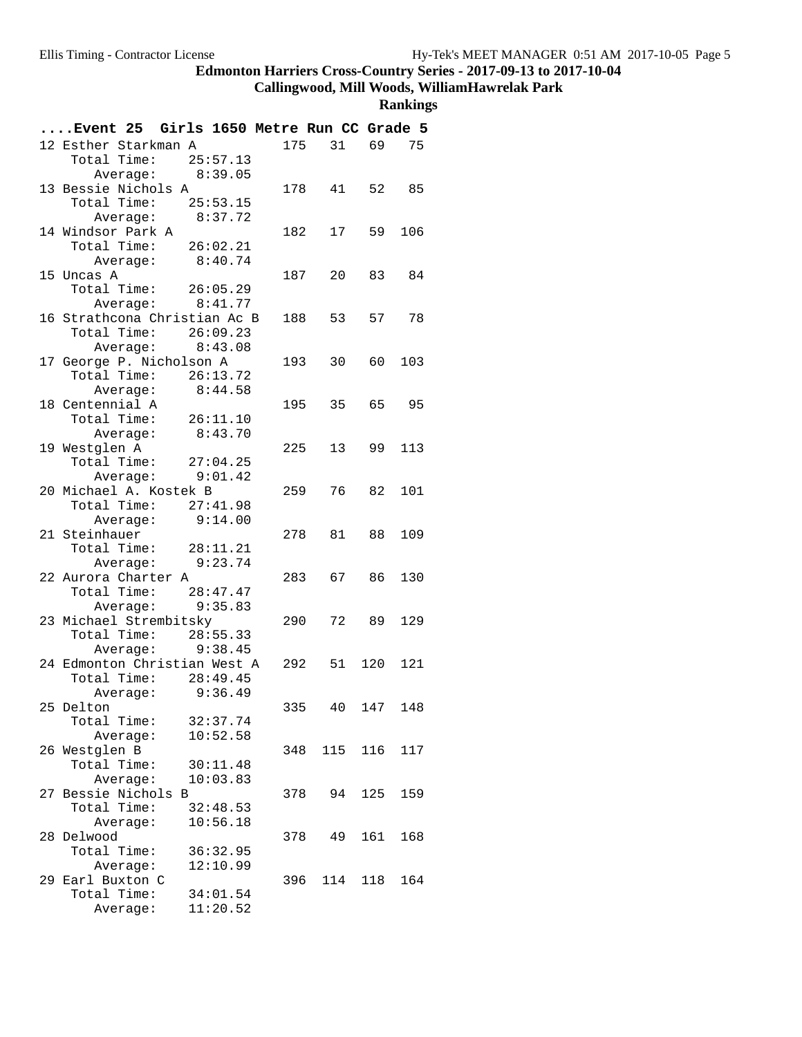# **Callingwood, Mill Woods, WilliamHawrelak Park**

| Event 25 Girls 1650 Metre Run CC Grade 5   |     |                 |        |       |
|--------------------------------------------|-----|-----------------|--------|-------|
| 12 Esther Starkman A                       | 175 |                 | 31 69  | 75    |
| 25:57.13<br>Total Time:                    |     |                 |        |       |
| Average: 8:39.05                           |     |                 |        |       |
| 13 Bessie Nichols A                        |     | 178  41  52  85 |        |       |
| Total Time: 25:53.15                       |     |                 |        |       |
| Average: 8:37.72                           |     |                 |        |       |
| 14 Windsor Park A                          | 182 | 17              | 59     | 106   |
| Total Time: 26:02.21                       |     |                 |        |       |
| Average: 8:40.74                           |     |                 |        |       |
| 15 Uncas A                                 | 187 | 20              | 83     | 84    |
| Total Time: 26:05.29<br>Average: $8:41.77$ |     |                 |        |       |
| 16 Strathcona Christian Ac B               |     | 188 53          | 57     | 78    |
| Total Time:<br>26:09.23                    |     |                 |        |       |
| Average: 8:43.08                           |     |                 |        |       |
| 17 George P. Nicholson A                   |     | 193 30 60       |        | 103   |
| Total Time: 26:13.72                       |     |                 |        |       |
| Average: 8:44.58                           |     |                 |        |       |
| 18 Centennial A                            | 195 | 35              |        | 65 95 |
| Total Time:<br>26:11.10                    |     |                 |        |       |
| Average: 8:43.70                           |     |                 |        |       |
| 19 Westglen A                              | 225 | 13              | 99     | 113   |
| Total Time: $27:04.25$                     |     |                 |        |       |
| Average: 9:01.42                           |     |                 |        |       |
| 20 Michael A. Kostek B                     | 259 | 76 —            | 82     | 101   |
| Total Time:<br>27:41.98                    |     |                 |        |       |
| 9:14.00<br>Average:                        |     |                 |        |       |
| 21 Steinhauer                              |     | 278 81          | 88     | 109   |
| Total Time: 28:11.21                       |     |                 |        |       |
| Average: 9:23.74                           |     |                 |        |       |
| 22 Aurora Charter A                        |     | 283 67          | 86     | 130   |
| Total Time: 28:47.47<br>Average: 9:35.83   |     |                 |        |       |
| 23 Michael Strembitsky                     | 290 | 72              | 89     | 129   |
| Total Time: 28:55.33                       |     |                 |        |       |
| Average: 9:38.45                           |     |                 |        |       |
| 24 Edmonton Christian West A               |     | 292 51 120      |        | 121   |
| Total Time:<br>28:49.45                    |     |                 |        |       |
| Average: 9:36.49                           |     |                 |        |       |
| 25 Delton                                  | 335 |                 | 40 147 | 148   |
| Total Time:<br>32:37.74                    |     |                 |        |       |
| Average:<br>10:52.58                       |     |                 |        |       |
| 26 Westglen B                              | 348 | 115             | 116    | 117   |
| Total Time:<br>30:11.48                    |     |                 |        |       |
| Average:<br>10:03.83                       |     |                 |        |       |
| 27 Bessie Nichols B                        | 378 | 94              | 125    | 159   |
| Total Time:<br>32:48.53                    |     |                 |        |       |
| 10:56.18<br>Average:                       |     |                 |        |       |
| 28 Delwood                                 | 378 | 49              | 161    | 168   |
| Total Time:<br>36:32.95<br>12:10.99        |     |                 |        |       |
| Average:<br>29 Earl Buxton C               | 396 | 114             | 118    | 164   |
| Total Time:<br>34:01.54                    |     |                 |        |       |
| 11:20.52<br>Average:                       |     |                 |        |       |
|                                            |     |                 |        |       |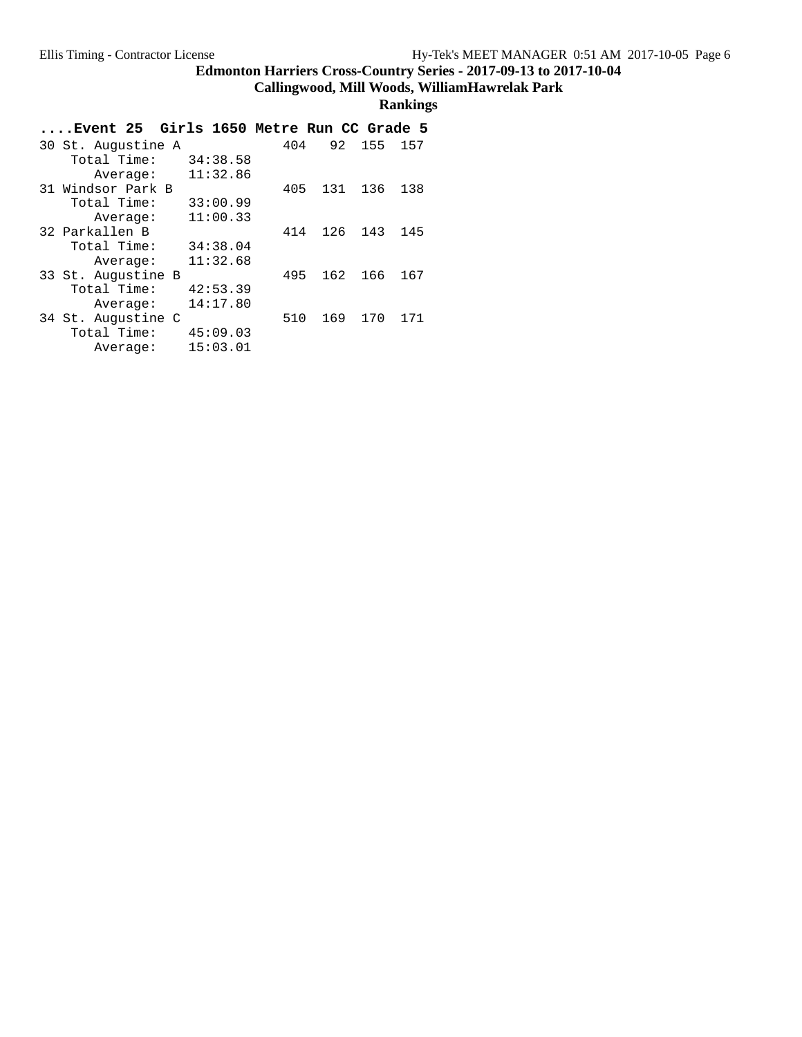## **Callingwood, Mill Woods, WilliamHawrelak Park**

| Event 25 Girls 1650 Metre Run CC Grade 5. |     |                   |
|-------------------------------------------|-----|-------------------|
| 30 St. Augustine A                        | 404 | 92<br>155<br>157  |
| Total Time:<br>34:38.58                   |     |                   |
| 11:32.86<br>Average:                      |     |                   |
| 31 Windsor Park B                         | 405 | 131<br>136<br>138 |
| Total Time:<br>33:00.99                   |     |                   |
| 11:00.33<br>Average:                      |     |                   |
| 32 Parkallen B                            | 414 | 126<br>143<br>145 |
| Total Time:<br>34:38.04                   |     |                   |
| 11:32.68<br>Average:                      |     |                   |
| 33 St. Augustine B                        | 495 | 162<br>166<br>167 |
| Total Time:<br>42:53.39                   |     |                   |
| 14:17.80<br>Average:                      |     |                   |
| 34 St. Augustine C                        | 510 | 169<br>171<br>170 |
| Total Time:<br>45:09.03                   |     |                   |
| 15:03.01<br>Average:                      |     |                   |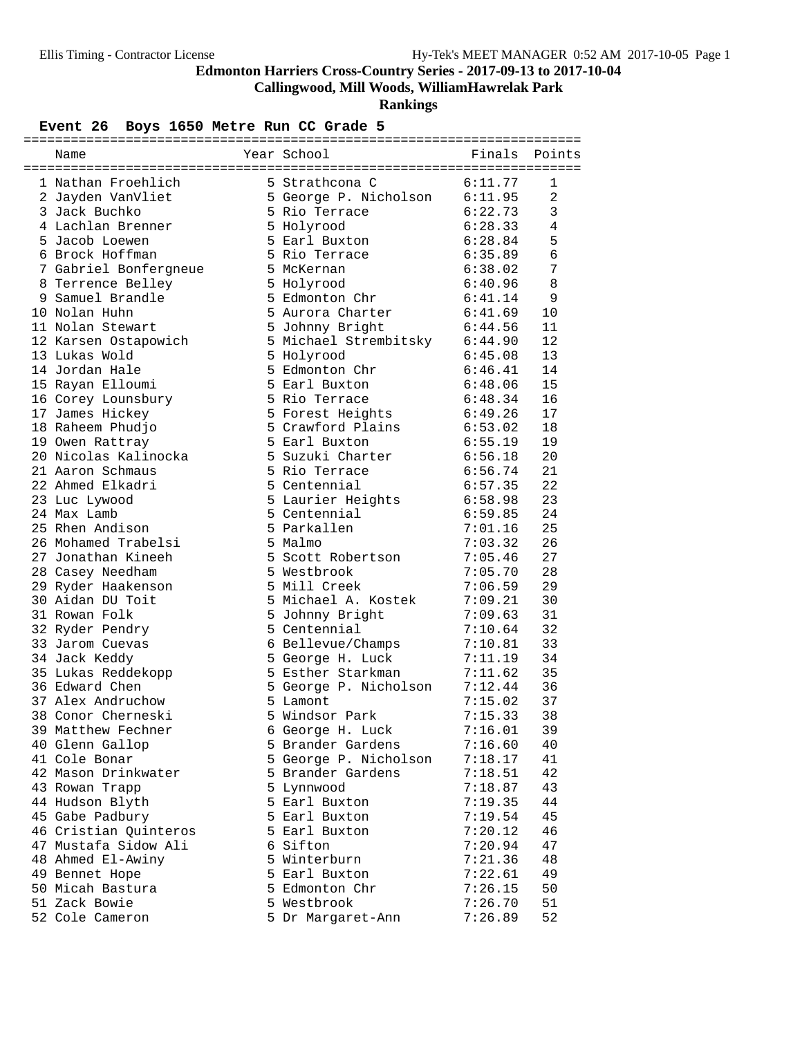**Callingwood, Mill Woods, WilliamHawrelak Park**

**Rankings**

## Event 26 Boys 1650 Metre Run CC Grade 5

| Name                  | Year School                   | Finals             | Points         |
|-----------------------|-------------------------------|--------------------|----------------|
| 1 Nathan Froehlich    | 5 Strathcona C                | 6:11.77            | 1              |
| 2 Jayden VanVliet     | 5 George P. Nicholson 6:11.95 |                    | $\overline{2}$ |
| 3 Jack Buchko         | 5 Rio Terrace                 | 6:22.73            | 3              |
| 4 Lachlan Brenner     | 5 Holyrood                    | 6:28.33            | 4              |
| 5 Jacob Loewen        | 5 Earl Buxton                 | 6:28.84            | 5              |
| 6 Brock Hoffman       | 5 Rio Terrace                 | 6:35.89            | 6              |
| 7 Gabriel Bonfergneue | 5 McKernan                    | 6:38.02            | 7              |
| 8 Terrence Belley     | 5 Holyrood                    | 6:40.96            | 8              |
| 9 Samuel Brandle      | 5 Edmonton Chr                | 6:41.14            | 9              |
| 10 Nolan Huhn         | 5 Aurora Charter              | 6:41.69            | 10             |
| 11 Nolan Stewart      | 5 Johnny Bright               | 6:44.56            | 11             |
| 12 Karsen Ostapowich  | 5 Michael Strembitsky 6:44.90 |                    | 12             |
| 13 Lukas Wold         | 5 Holyrood                    | 6:45.08            | 13             |
| 14 Jordan Hale        | 5 Edmonton Chr                | 6:45.08<br>6:46.41 | 14             |
| 15 Rayan Elloumi      | 5 Earl Buxton                 | 6:48.06            | 15             |
| 16 Corey Lounsbury    | 5 Rio Terrace                 | 6:48.34            | 16             |
| 17 James Hickey       | 5 Forest Heights              | 6:49.26            | 17             |
| 18 Raheem Phudjo      | 5 Crawford Plains             | 6:53.02            | 18             |
| 19 Owen Rattray       | 5 Earl Buxton                 | 6:55.19            | 19             |
| 20 Nicolas Kalinocka  | 5 Suzuki Charter              | 6:56.18            | 20             |
| 21 Aaron Schmaus      | 5 Rio Terrace                 | 6:56.74            | 21             |
| 22 Ahmed Elkadri      | 5 Centennial                  | 6:57.35            | 22             |
| 23 Luc Lywood         | 5 Laurier Heights             | 6:58.98            | 23             |
| 24 Max Lamb           | 5 Centennial                  | 6:59.85            | 24             |
| 25 Rhen Andison       | 5 Parkallen                   | 7:01.16            | 25             |
| 26 Mohamed Trabelsi   | 5 Malmo                       | 7:03.32            | 26             |
| 27 Jonathan Kineeh    | 5 Scott Robertson             | 7:05.46            | 27             |
| 28 Casey Needham      | 5 Westbrook                   | 7:05.70            | 28             |
| 29 Ryder Haakenson    | 5 Mill Creek                  | 7:06.59            | 29             |
| 30 Aidan DU Toit      | 5 Michael A. Kostek           | 7:09.21            | 30             |
| 31 Rowan Folk         | 5 Johnny Bright               | 7:09.63            | 31             |
| 32 Ryder Pendry       | 5 Centennial                  | 7:10.64            | 32             |
| 33 Jarom Cuevas       | 6 Bellevue/Champs             | 7:10.81            | 33             |
| 34 Jack Keddy         | 5 George H. Luck              | 7:11.19            | 34             |
| 35 Lukas Reddekopp    | 5 Esther Starkman             | 7:11.62            | 35             |
| 36 Edward Chen        | 5 George P. Nicholson         | 7:12.44            | 36             |
| 37 Alex Andruchow     | 5 Lamont                      | 7:15.02            | 37             |
| 38 Conor Cherneski    | 5 Windsor Park                | 7:15.33            | 38             |
| 39 Matthew Fechner    | 6 George H. Luck              | 7:16.01            | 39             |
| 40 Glenn Gallop       | 5 Brander Gardens             | 7:16.60            | 40             |
| 41 Cole Bonar         | 5 George P. Nicholson         | 7:18.17            | 41             |
| 42 Mason Drinkwater   | 5 Brander Gardens             | 7:18.51            | 42             |
| 43 Rowan Trapp        | 5 Lynnwood                    | 7:18.87            | 43             |
| 44 Hudson Blyth       | 5 Earl Buxton                 | 7:19.35            | 44             |
| 45 Gabe Padbury       | 5 Earl Buxton                 | 7:19.54            | 45             |
| 46 Cristian Quinteros | 5 Earl Buxton                 | 7:20.12            | 46             |
| 47 Mustafa Sidow Ali  | 6 Sifton                      | 7:20.94            | 47             |
| 48 Ahmed El-Awiny     | 5 Winterburn                  | 7:21.36            | 48             |
| 49 Bennet Hope        | 5 Earl Buxton                 | 7:22.61            | 49             |
| 50 Micah Bastura      | 5 Edmonton Chr                | 7:26.15            | 50             |
| 51 Zack Bowie         | 5 Westbrook                   | 7:26.70            | 51             |
| 52 Cole Cameron       | 5 Dr Margaret-Ann             | 7:26.89            | 52             |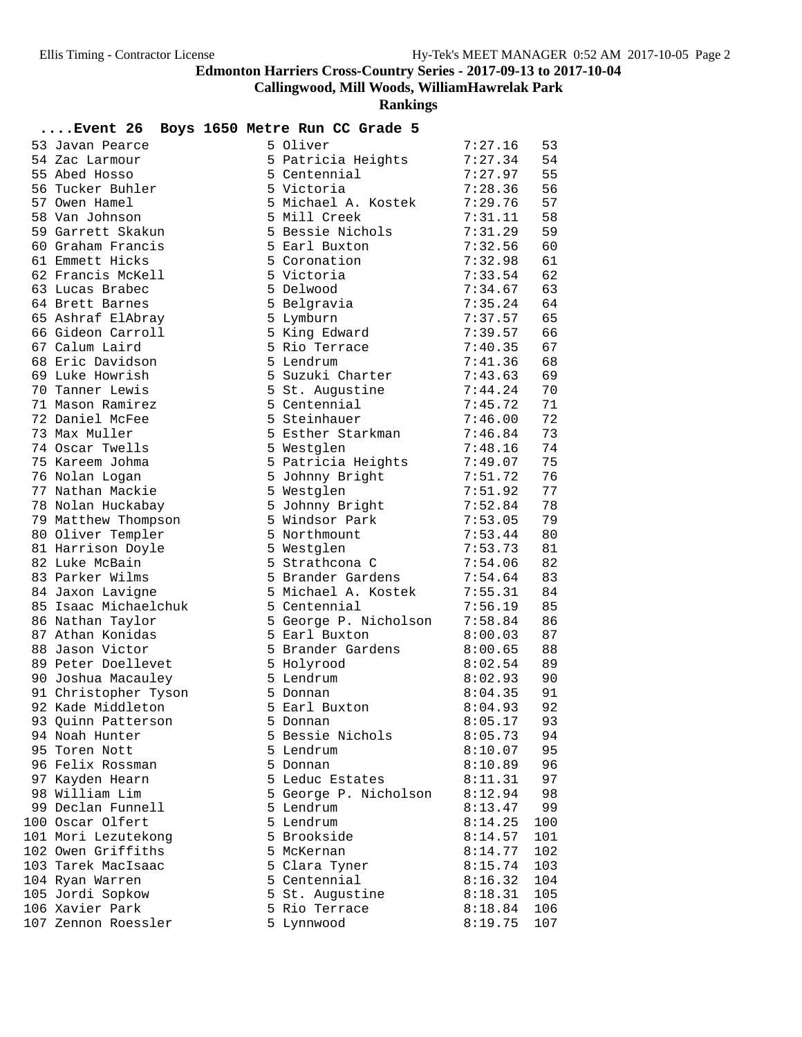**Callingwood, Mill Woods, WilliamHawrelak Park**

| <b>Event 26</b>                     | Boys 1650 Metre Run CC Grade 5 |                    |          |
|-------------------------------------|--------------------------------|--------------------|----------|
| 53 Javan Pearce                     | 5 Oliver                       | 7:27.16            | 53       |
| 54 Zac Larmour                      | 5 Patricia Heights             | 7:27.34            | 54       |
| 55 Abed Hosso                       | 5 Centennial                   | 7:27.97            | 55       |
| 56 Tucker Buhler                    | 5 Victoria                     | 7:28.36            | 56       |
| 57 Owen Hamel                       | 5 Michael A. Kostek            | 7:29.76            | 57       |
| 58 Van Johnson                      | 5 Mill Creek                   | 7:31.11            | 58       |
| 59 Garrett Skakun                   | 5 Bessie Nichols               | 7:31.29            | 59       |
| 60 Graham Francis                   | 5 Earl Buxton                  | 7:32.56            | 60       |
| 61 Emmett Hicks                     | 5 Coronation                   | 7:32.98            | 61       |
| 62 Francis McKell                   | 5 Victoria                     | 7:33.54            | 62       |
| 63 Lucas Brabec                     | 5 Delwood                      | 7:34.67            | 63       |
| 64 Brett Barnes                     | 5 Belgravia                    | 7:35.24            | 64       |
| 65 Ashraf ElAbray                   | 5 Lymburn                      | 7:37.57            | 65       |
| 66 Gideon Carroll                   | 5 King Edward                  | 7:39.57            | 66       |
| 67 Calum Laird                      | 5 Rio Terrace                  | 7:40.35            | 67       |
| 68 Eric Davidson                    | 5 Lendrum                      | 7:41.36            | 68       |
| 69 Luke Howrish                     | 5 Suzuki Charter               | 7:43.63            | 69       |
| 70 Tanner Lewis                     | 5 St. Augustine                | 7:44.24            | 70       |
| 71 Mason Ramirez                    | 5 Centennial                   | 7:45.72            | 71       |
| 72 Daniel McFee                     | 5 Steinhauer                   | 7:46.00            | 72       |
| 73 Max Muller                       | 5 Esther Starkman              | 7:46.84            | 73       |
| 74 Oscar Twells                     | 5 Westglen                     | 7:48.16            | 74       |
| 75 Kareem Johma                     | 5 Patricia Heights             | 7:49.07            | 75       |
| 76 Nolan Logan                      | 5 Johnny Bright                | 7:51.72            | 76       |
| 77 Nathan Mackie                    | 5 Westglen                     | 7:51.92            | 77       |
| 78 Nolan Huckabay                   | 5 Johnny Bright                | 7:52.84            | 78       |
| 79 Matthew Thompson                 | 5 Windsor Park                 | 7:53.05            | 79       |
| 80 Oliver Templer                   | 5 Northmount                   | 7:53.44            | 80       |
| 81 Harrison Doyle                   | 5 Westglen                     | 7:53.73            | 81       |
| 82 Luke McBain                      | 5 Strathcona C                 | 7:54.06            | 82       |
| 83 Parker Wilms                     | 5 Brander Gardens              | 7:54.64            | 83       |
| 84 Jaxon Lavigne                    | 5 Michael A. Kostek            | 7:55.31            | 84       |
| 85 Isaac Michaelchuk                | 5 Centennial                   | 7:56.19            | 85       |
| 86 Nathan Taylor                    | 5 George P. Nicholson          | 7:58.84            | 86       |
| 87 Athan Konidas<br>88 Jason Victor | 5 Earl Buxton                  | 8:00.03            | 87       |
| 89 Peter Doellevet                  | 5 Brander Gardens              | 8:00.65            | 88<br>89 |
| 90 Joshua Macauley                  | 5 Holyrood<br>5 Lendrum        | 8:02.54<br>8:02.93 | 90       |
| 91 Christopher Tyson                | 5 Donnan                       | 8:04.35            | 91       |
| 92 Kade Middleton                   | 5 Earl Buxton                  | 8:04.93            | 92       |
| 93 Quinn Patterson                  | 5 Donnan                       | 8:05.17            | 93       |
| 94 Noah Hunter                      | 5 Bessie Nichols               | 8:05.73            | 94       |
| 95 Toren Nott                       | 5 Lendrum                      | 8:10.07            | 95       |
| 96 Felix Rossman                    | 5 Donnan                       | 8:10.89            | 96       |
| 97 Kayden Hearn                     | 5 Leduc Estates                | 8:11.31            | 97       |
| 98 William Lim                      | 5 George P. Nicholson          | 8:12.94            | 98       |
| 99 Declan Funnell                   | 5 Lendrum                      | 8:13.47            | 99       |
| 100 Oscar Olfert                    | 5 Lendrum                      | 8:14.25            | 100      |
| 101 Mori Lezutekong                 | 5 Brookside                    | 8:14.57            | 101      |
| 102 Owen Griffiths                  | 5 McKernan                     | 8:14.77            | 102      |
| 103 Tarek MacIsaac                  | 5 Clara Tyner                  | 8:15.74            | 103      |
| 104 Ryan Warren                     | 5 Centennial                   | 8:16.32            | 104      |
| 105 Jordi Sopkow                    | 5 St. Augustine                | 8:18.31            | 105      |
| 106 Xavier Park                     | 5 Rio Terrace                  | 8:18.84            | 106      |
| 107 Zennon Roessler                 | 5 Lynnwood                     | 8:19.75            | 107      |
|                                     |                                |                    |          |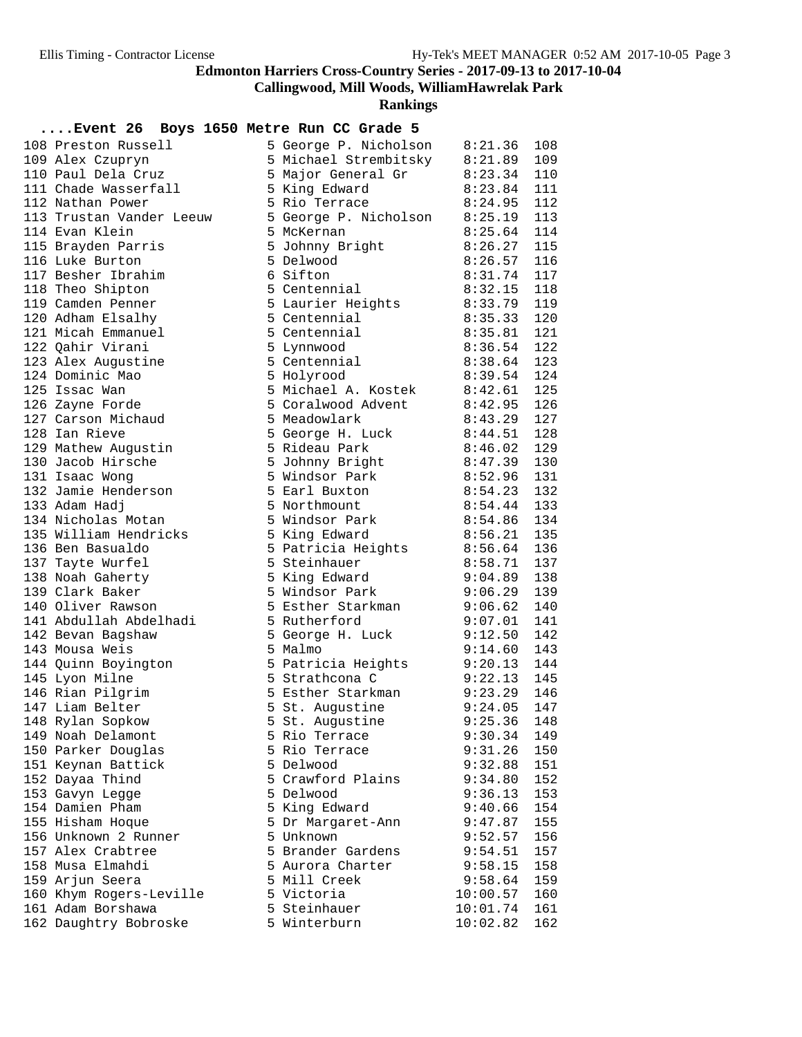**Callingwood, Mill Woods, WilliamHawrelak Park**

**Rankings**

| 108 Preston Russell      | 5 George P. Nicholson 8:21.36                                                          |                            | 108 |
|--------------------------|----------------------------------------------------------------------------------------|----------------------------|-----|
| 109 Alex Czupryn         | 5 Michael Strembitsky 8:21.89                                                          |                            | 109 |
| 110 Paul Dela Cruz       | 5 Major General Gr 8:23.34                                                             |                            | 110 |
| 111 Chade Wasserfall     | 5 King Edward 8:23.84<br>5 Rio Terrace 8:24.95                                         |                            | 111 |
| 112 Nathan Power         |                                                                                        | 8:24.95                    | 112 |
| 113 Trustan Vander Leeuw | 5 R10 Terrace<br>5 George P. Nicholson 8:25.19 113<br>5 McKernan 8:25.64 114           |                            |     |
| 114 Evan Klein           |                                                                                        |                            |     |
| 115 Brayden Parris       | 5 Johnny Bright 8:26.27                                                                |                            | 115 |
| 116 Luke Burton          | 5 Delwood<br>8:26.57                                                                   |                            | 116 |
| 117 Besher Ibrahim       |                                                                                        |                            | 117 |
| 118 Theo Shipton         |                                                                                        | 8:32.15 118<br>8:33.79 119 |     |
| 119 Camden Penner        | 3.20.57<br>5 Centennial<br>5 Laurier Heights<br>5 Centennial<br>8:33.79                |                            |     |
| 120 Adham Elsalhy        | 5 Centennial 8:35.33<br>5 Centennial 8:35.81                                           | 8:35.33                    | 120 |
| 121 Micah Emmanuel       |                                                                                        |                            | 121 |
| 122 Qahir Virani         | 5 Lynnwood                                                                             | 8:36.54                    | 122 |
| 123 Alex Augustine       | 5 Centennial 8:38.64 123<br>5 Holyrood 8:39.54 124                                     |                            |     |
| 124 Dominic Mao          | 5 Holyrood                                                                             | $8:39.54$ 124              |     |
| 125 Issac Wan            | 5 Michael A. Kostek 8:42.61 125                                                        |                            |     |
| 126 Zayne Forde          | 5 Coralwood Advent 8:42.95                                                             |                            | 126 |
| 127 Carson Michaud       | 5 Meadowlark                                                                           | 8:43.29                    | 127 |
| 128 Ian Rieve            | 5 George H. Luck 8:44.51                                                               |                            | 128 |
| 129 Mathew Augustin      | 5 Rideau Park                                                                          | 8:46.02                    | 129 |
| 130 Jacob Hirsche        | 5 Johnny Bright 8:47.39 130<br>5 Windsor Park 8:52.96 131<br>5 Earl Buxton 8:54.23 132 |                            |     |
| 131 Isaac Wong           |                                                                                        |                            |     |
| 132 Jamie Henderson      |                                                                                        |                            |     |
| 133 Adam Hadj            | 8:54.44<br>5 Northmount                                                                |                            | 133 |
| 134 Nicholas Motan       | 5 Windsor Park 8:54.86                                                                 |                            | 134 |
| 135 William Hendricks    | 5 King Edward                                                                          | $8:56.21$ 135              |     |
| 136 Ben Basualdo         | 5 Patricia Heights 8:56.64 136<br>5 Steinhauer 8:58.71 137                             |                            |     |
| 137 Tayte Wurfel         | b Steinhauer<br>5 King Edward<br>5 Ni                                                  | $8:58.71$ 137              |     |
| 138 Noah Gaherty         |                                                                                        | 9:04.89                    | 138 |
| 139 Clark Baker          | 5 Windsor Park 9:06.29                                                                 |                            | 139 |
| 140 Oliver Rawson        | 5 Esther Starkman 9:06.62                                                              |                            | 140 |
| 141 Abdullah Abdelhadi   | 5 Rutherford                                                                           | 9:07.01                    | 141 |
| 142 Bevan Bagshaw        | 5 George H. Luck                                                                       | 9:12.50                    | 142 |
| 143 Mousa Weis           | 5 Malmo                                                                                | $9:14.60$ 143              |     |
| 144 Quinn Boyington      | 5 Patricia Heights 9:20.13 144                                                         |                            |     |
| 145 Lyon Milne           | 5 Strathcona C                                                                         | $9:22.13$ 145              |     |
| 146 Rian Pilgrim         | 5 Esther Starkman 9:23.29 146                                                          |                            |     |
| 147 Liam Belter          | 5 St. Augustine 9:24.05                                                                |                            | 147 |
| 148 Rylan Sopkow         | 5 St. Augustine                                                                        | $9:25.36$ 148              |     |
| 149 Noah Delamont        | 5 Rio Terrace                                                                          | 9:30.34                    | 149 |
| 150 Parker Douglas       | 5 Rio Terrace                                                                          | 9:31.26                    | 150 |
| 151 Keynan Battick       | 5 Delwood                                                                              | 9:32.88                    | 151 |
| 152 Dayaa Thind          | 5 Crawford Plains                                                                      | 9:34.80                    | 152 |
| 153 Gavyn Legge          | 5 Delwood                                                                              | 9:36.13                    | 153 |
| 154 Damien Pham          | 5 King Edward                                                                          | 9:40.66                    | 154 |
| 155 Hisham Hoque         | 5 Dr Margaret-Ann                                                                      | 9:47.87                    | 155 |
| 156 Unknown 2 Runner     | 5 Unknown                                                                              | 9:52.57                    | 156 |
| 157 Alex Crabtree        | 5 Brander Gardens                                                                      | 9:54.51                    | 157 |
| 158 Musa Elmahdi         | 5 Aurora Charter                                                                       | 9:58.15                    | 158 |
| 159 Arjun Seera          | 5 Mill Creek                                                                           | 9:58.64                    | 159 |
| 160 Khym Rogers-Leville  | 5 Victoria                                                                             | 10:00.57                   | 160 |
| 161 Adam Borshawa        | 5 Steinhauer                                                                           | 10:01.74                   | 161 |
| 162 Daughtry Bobroske    | 5 Winterburn                                                                           | 10:02.82                   | 162 |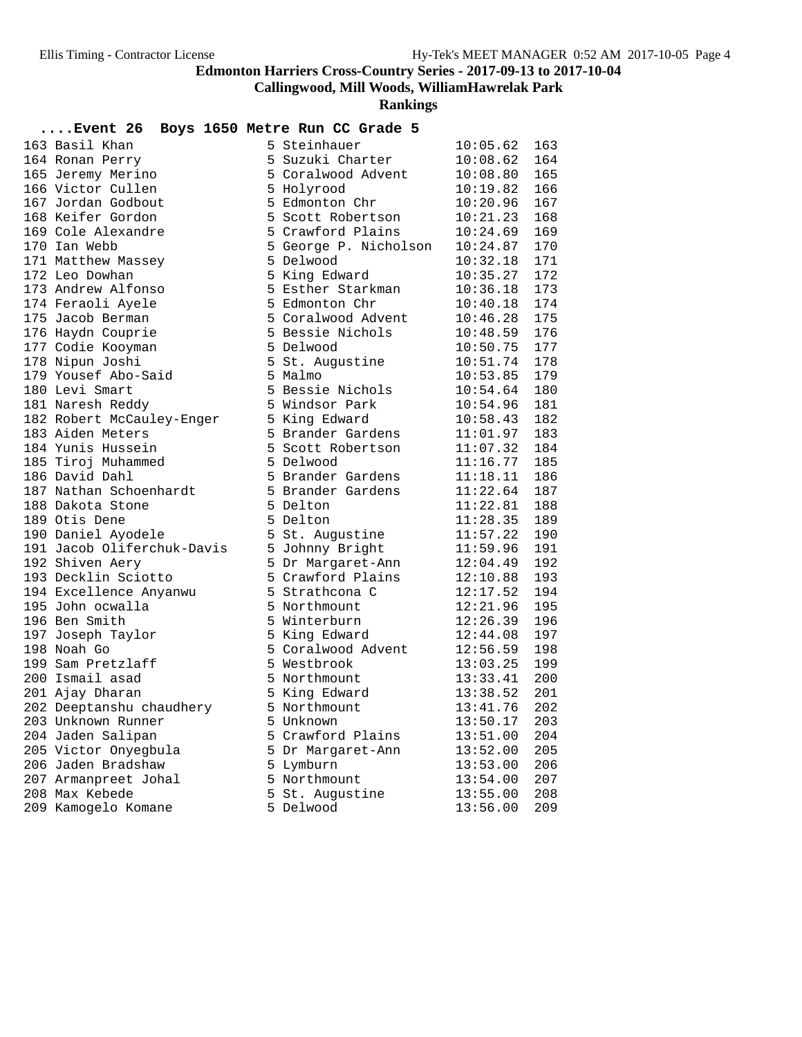**Callingwood, Mill Woods, WilliamHawrelak Park**

| $\ldots$ Event 26          |    | Boys 1650 Metre Run CC Grade 5 |              |     |
|----------------------------|----|--------------------------------|--------------|-----|
| 163 Basil Khan             |    | 5 Steinhauer                   | 10:05.62     | 163 |
| 164 Ronan Perry            |    | 5 Suzuki Charter               | 10:08.62     | 164 |
| 165 Jeremy Merino          |    | 5 Coralwood Advent             | 10:08.80     | 165 |
| 166 Victor Cullen          |    | 5 Holyrood                     | 10:19.82     | 166 |
| 167 Jordan Godbout         |    | 5 Edmonton Chr                 | 10:20.96     | 167 |
| 168 Keifer Gordon          |    | 5 Scott Robertson              | 10:21.23     | 168 |
| 169 Cole Alexandre         |    | 5 Crawford Plains              | 10:24.69     | 169 |
| 170 Ian Webb               |    | 5 George P. Nicholson          | 10:24.87     | 170 |
| 171 Matthew Massey         |    | 5 Delwood                      | 10:32.18     | 171 |
| 172 Leo Dowhan             |    | 5 King Edward                  | 10:35.27     | 172 |
| 173 Andrew Alfonso         |    | 5 Esther Starkman              | 10:36.18     | 173 |
| 174 Feraoli Ayele          |    | 5 Edmonton Chr                 | 10:40.18     | 174 |
| 175 Jacob Berman           |    | 5 Coralwood Advent             | 10:46.28     | 175 |
| 176 Haydn Couprie          |    | 5 Bessie Nichols               | 10:48.59     | 176 |
| 177 Codie Kooyman          |    | 5 Delwood                      | 10:50.75     | 177 |
| 178 Nipun Joshi            |    | 5 St. Augustine                | 10:51.74     | 178 |
| 179 Yousef Abo-Said        |    | 5 Malmo                        | 10:53.85     | 179 |
| 180 Levi Smart             |    | 5 Bessie Nichols               | 10:54.64     | 180 |
| 181 Naresh Reddy           |    | 5 Windsor Park                 | 10:54.96     | 181 |
| 182 Robert McCauley-Enger  |    | 5 King Edward                  | 10:58.43     | 182 |
| 183 Aiden Meters           |    | 5 Brander Gardens              | 11:01.97     | 183 |
| 184 Yunis Hussein          |    | 5 Scott Robertson              | 11:07.32     | 184 |
| 185 Tiroj Muhammed         |    | 5 Delwood                      | 11:16.77     | 185 |
| 186 David Dahl             |    | 5 Brander Gardens              | 11:18.11 186 |     |
| 187 Nathan Schoenhardt     |    | 5 Brander Gardens              | 11:22.64     | 187 |
| 188 Dakota Stone           |    | 5 Delton                       | 11:22.81     | 188 |
| 189 Otis Dene              |    | 5 Delton                       | 11:28.35     | 189 |
| 190 Daniel Ayodele         |    | 5 St. Augustine                | 11:57.22     | 190 |
| 191 Jacob Oliferchuk-Davis |    | 5 Johnny Bright                | 11:59.96     | 191 |
| 192 Shiven Aery            |    | 5 Dr Margaret-Ann              | 12:04.49     | 192 |
| 193 Decklin Sciotto        |    | 5 Crawford Plains              | 12:10.88     | 193 |
| 194 Excellence Anyanwu     |    | 5 Strathcona C                 | 12:17.52     | 194 |
| 195 John ocwalla           |    | 5 Northmount                   | 12:21.96     | 195 |
| 196 Ben Smith              |    | 5 Winterburn                   | 12:26.39     | 196 |
| 197 Joseph Taylor          |    | 5 King Edward                  | 12:44.08     | 197 |
| 198 Noah Go                |    | 5 Coralwood Advent             | 12:56.59     | 198 |
| 199 Sam Pretzlaff          |    | 5 Westbrook                    | 13:03.25     | 199 |
| 200 Ismail asad            |    | 5 Northmount                   | 13:33.41     | 200 |
| 201 Ajay Dharan            |    | 5 King Edward                  | 13:38.52     | 201 |
| 202 Deeptanshu chaudhery   |    | 5 Northmount                   | 13:41.76     | 202 |
| 203 Unknown Runner         |    | 5 Unknown                      | 13:50.17     | 203 |
| 204 Jaden Salipan          |    | 5 Crawford Plains              | 13:51.00     | 204 |
| 205 Victor Onyegbula       |    | 5 Dr Margaret-Ann              | 13:52.00     | 205 |
| 206 Jaden Bradshaw         |    | 5 Lymburn                      | 13:53.00     | 206 |
| 207 Armanpreet Johal       |    | 5 Northmount                   | 13:54.00     | 207 |
| 208 Max Kebede             | 5. | St. Augustine                  | 13:55.00     | 208 |
| 209 Kamogelo Komane        |    | 5 Delwood                      | 13:56.00     | 209 |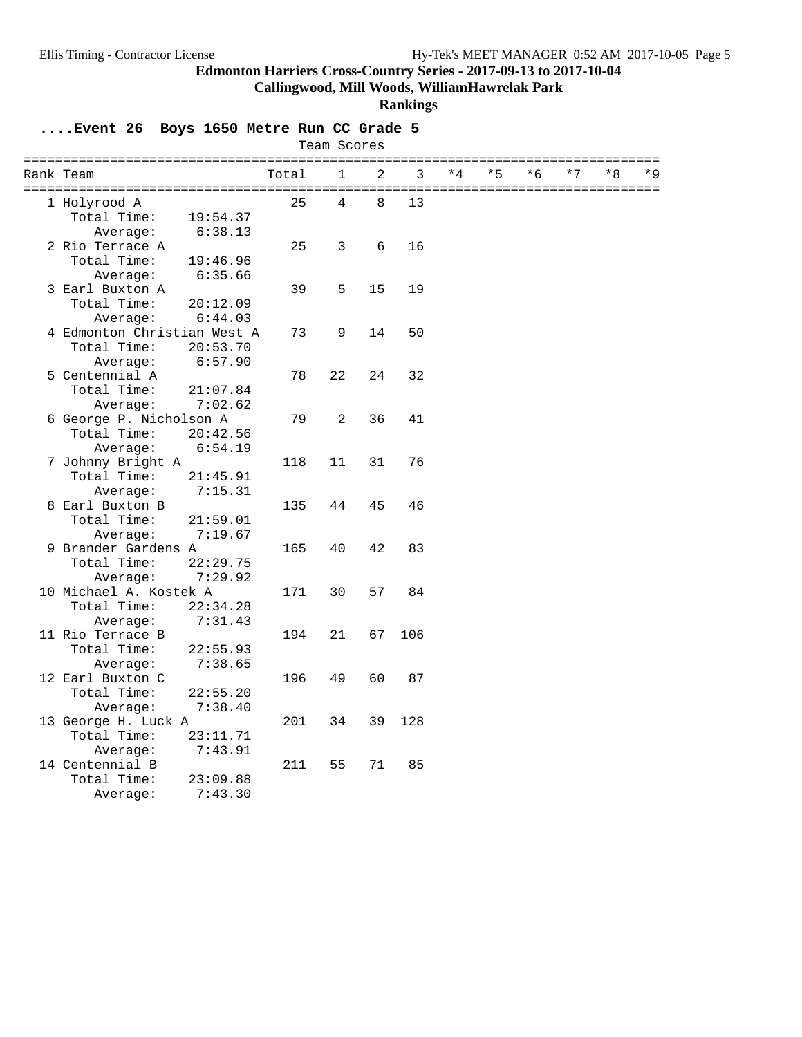**Callingwood, Mill Woods, WilliamHawrelak Park**

#### **Rankings**

|                             |          |       | Team Scores |    |     |      |      |      |      |      |       |
|-----------------------------|----------|-------|-------------|----|-----|------|------|------|------|------|-------|
| Rank Team                   |          | Total | 1           | 2  | 3   | $*4$ | $*5$ | $*6$ | $*7$ | $*8$ | $*$ 9 |
| 1 Holyrood A                |          | 25    | 4           | 8  | 13  |      |      |      |      |      |       |
| Total Time:                 | 19:54.37 |       |             |    |     |      |      |      |      |      |       |
| Average:                    | 6:38.13  |       |             |    |     |      |      |      |      |      |       |
| 2 Rio Terrace A             |          | 25    | 3           | 6  | 16  |      |      |      |      |      |       |
| Total Time:                 | 19:46.96 |       |             |    |     |      |      |      |      |      |       |
| Average:                    | 6:35.66  |       |             |    |     |      |      |      |      |      |       |
| 3 Earl Buxton A             |          | 39    | 5           | 15 | 19  |      |      |      |      |      |       |
| Total Time:                 | 20:12.09 |       |             |    |     |      |      |      |      |      |       |
| Average:                    | 6:44.03  |       |             |    |     |      |      |      |      |      |       |
| 4 Edmonton Christian West A |          | 73    | 9           | 14 | 50  |      |      |      |      |      |       |
| Total Time:                 | 20:53.70 |       |             |    |     |      |      |      |      |      |       |
| Average:                    | 6:57.90  |       |             |    |     |      |      |      |      |      |       |
| 5 Centennial A              |          | 78    | 22          | 24 | 32  |      |      |      |      |      |       |
| Total Time:                 | 21:07.84 |       |             |    |     |      |      |      |      |      |       |
| Average:                    | 7:02.62  |       |             |    |     |      |      |      |      |      |       |
| 6 George P. Nicholson A     |          | 79    | 2           | 36 | 41  |      |      |      |      |      |       |
| Total Time:                 | 20:42.56 |       |             |    |     |      |      |      |      |      |       |
| Average:                    | 6:54.19  |       |             |    |     |      |      |      |      |      |       |
| 7 Johnny Bright A           |          | 118   | 11          | 31 | 76  |      |      |      |      |      |       |
| Total Time:                 | 21:45.91 |       |             |    |     |      |      |      |      |      |       |
| Average:                    | 7:15.31  |       |             |    |     |      |      |      |      |      |       |
| 8 Earl Buxton B             |          | 135   | 44          | 45 | 46  |      |      |      |      |      |       |
| Total Time:                 | 21:59.01 |       |             |    |     |      |      |      |      |      |       |
| Average:                    | 7:19.67  |       |             |    |     |      |      |      |      |      |       |
| 9 Brander Gardens A         |          | 165   | 40          | 42 | 83  |      |      |      |      |      |       |
| Total Time:                 | 22:29.75 |       |             |    |     |      |      |      |      |      |       |
| Average:                    | 7:29.92  |       |             |    |     |      |      |      |      |      |       |
| 10 Michael A. Kostek A      |          | 171   | 30          | 57 | 84  |      |      |      |      |      |       |
| Total Time:                 | 22:34.28 |       |             |    |     |      |      |      |      |      |       |
| Average:                    | 7:31.43  |       |             |    |     |      |      |      |      |      |       |
| 11 Rio Terrace B            |          | 194   | 21          | 67 | 106 |      |      |      |      |      |       |
| Total Time:                 | 22:55.93 |       |             |    |     |      |      |      |      |      |       |
| Average:                    | 7:38.65  |       |             |    |     |      |      |      |      |      |       |
| 12 Earl Buxton C            |          | 196   | 49          | 60 | 87  |      |      |      |      |      |       |
| Total Time:                 | 22:55.20 |       |             |    |     |      |      |      |      |      |       |
| Average:                    | 7:38.40  |       |             |    |     |      |      |      |      |      |       |
| 13 George H. Luck A         |          | 201   | 34          | 39 | 128 |      |      |      |      |      |       |
| Total Time:                 | 23:11.71 |       |             |    |     |      |      |      |      |      |       |
| Average:                    | 7:43.91  |       |             |    |     |      |      |      |      |      |       |
| 14 Centennial B             |          | 211   | 55          | 71 | 85  |      |      |      |      |      |       |
| Total Time:                 | 23:09.88 |       |             |    |     |      |      |      |      |      |       |
| Average:                    | 7:43.30  |       |             |    |     |      |      |      |      |      |       |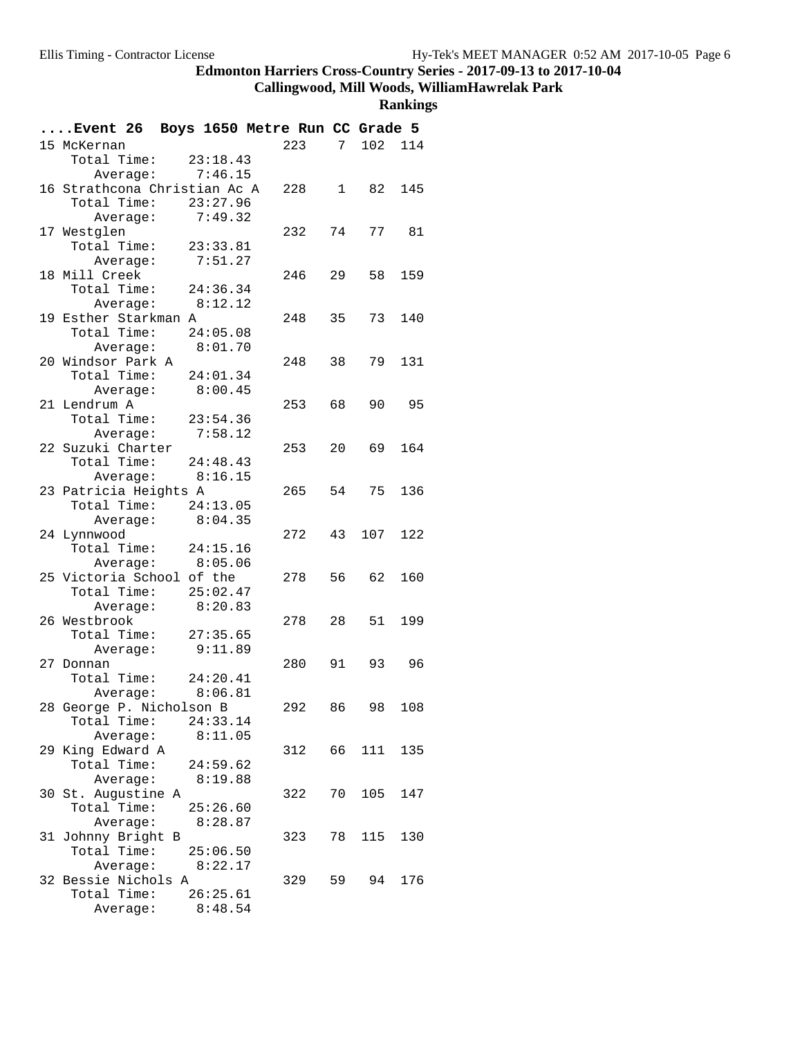## **Callingwood, Mill Woods, WilliamHawrelak Park**

| Event 26 Boys 1650 Metre Run CC Grade 5   |          |        |    |           |     |
|-------------------------------------------|----------|--------|----|-----------|-----|
| 15 McKernan                               |          | 223    |    | 7 102 114 |     |
| Total Time: 23:18.43                      |          |        |    |           |     |
| Average: 7:46.15                          |          |        |    |           |     |
| 16 Strathcona Christian Ac A              |          | 228 1  |    | 82        | 145 |
| Total Time: 23:27.96                      |          |        |    |           |     |
| Average: 7:49.32                          |          |        |    |           |     |
| 17 Westglen                               |          | 232    | 74 | 77        | 81  |
| Total Time: 23:33.81                      |          |        |    |           |     |
| Average:                                  | 7:51.27  |        |    |           |     |
| 18 Mill Creek                             |          | 246    | 29 | 58        | 159 |
| Total Time: 24:36.34                      |          |        |    |           |     |
| Average: 8:12.12                          |          |        |    |           |     |
| 19 Esther Starkman A                      |          | 248    | 35 | 73        | 140 |
| Total Time: 24:05.08                      |          |        |    |           |     |
| Average: 8:01.70                          |          |        |    |           |     |
| 20 Windsor Park A                         |          | 248    | 38 | 79        | 131 |
| Total Time: 24:01.34                      |          |        |    |           |     |
| Average: 8:00.45                          |          |        |    |           |     |
| 21 Lendrum A                              |          | 253    | 68 | 90        | 95  |
| Total Time: 23:54.36                      |          |        |    |           |     |
| Average: 7:58.12                          |          |        |    |           |     |
| 22 Suzuki Charter                         |          | 253    | 20 | 69        | 164 |
| Total Time: 24:48.43                      |          |        |    |           |     |
| Average: 8:16.15<br>23 Patricia Heights A |          | 265 54 |    | 75        | 136 |
| Total Time: 24:13.05                      |          |        |    |           |     |
| Average:                                  | 8:04.35  |        |    |           |     |
| 24 Lynnwood                               |          | 272    | 43 | 107       | 122 |
| Total Time: 24:15.16                      |          |        |    |           |     |
| Average: 8:05.06                          |          |        |    |           |     |
| 25 Victoria School of the                 |          | 278    | 56 | 62        | 160 |
| Total Time: 25:02.47                      |          |        |    |           |     |
| Average:                                  | 8:20.83  |        |    |           |     |
| 26 Westbrook                              |          | 278    | 28 | 51        | 199 |
| Total Time: 27:35.65                      |          |        |    |           |     |
| Average: 9:11.89                          |          |        |    |           |     |
| 27 Donnan                                 |          | 280 91 |    | 93        | 96  |
| Total Time: $24:20.41$                    |          |        |    |           |     |
| Average: 8:06.81                          |          |        |    |           |     |
| 28 George P. Nicholson B                  |          | 292    | 86 | 98        | 108 |
| Total Time:                               | 24:33.14 |        |    |           |     |
| Average:                                  | 8:11.05  |        |    |           |     |
| 29 King Edward A                          |          | 312    |    | 66 111    | 135 |
| Total Time:                               | 24:59.62 |        |    |           |     |
| Average:                                  | 8:19.88  |        |    |           |     |
| 30 St. Augustine A                        |          | 322    | 70 | 105       | 147 |
| Total Time:                               | 25:26.60 |        |    |           |     |
| Average:                                  | 8:28.87  |        |    |           |     |
| 31 Johnny Bright B                        |          | 323    | 78 | 115       | 130 |
| Total Time:                               | 25:06.50 |        |    |           |     |
| Average: 8:22.17                          |          |        |    |           |     |
| 32 Bessie Nichols A                       |          | 329    | 59 | 94        | 176 |
| Total Time:                               | 26:25.61 |        |    |           |     |
| Average:                                  | 8:48.54  |        |    |           |     |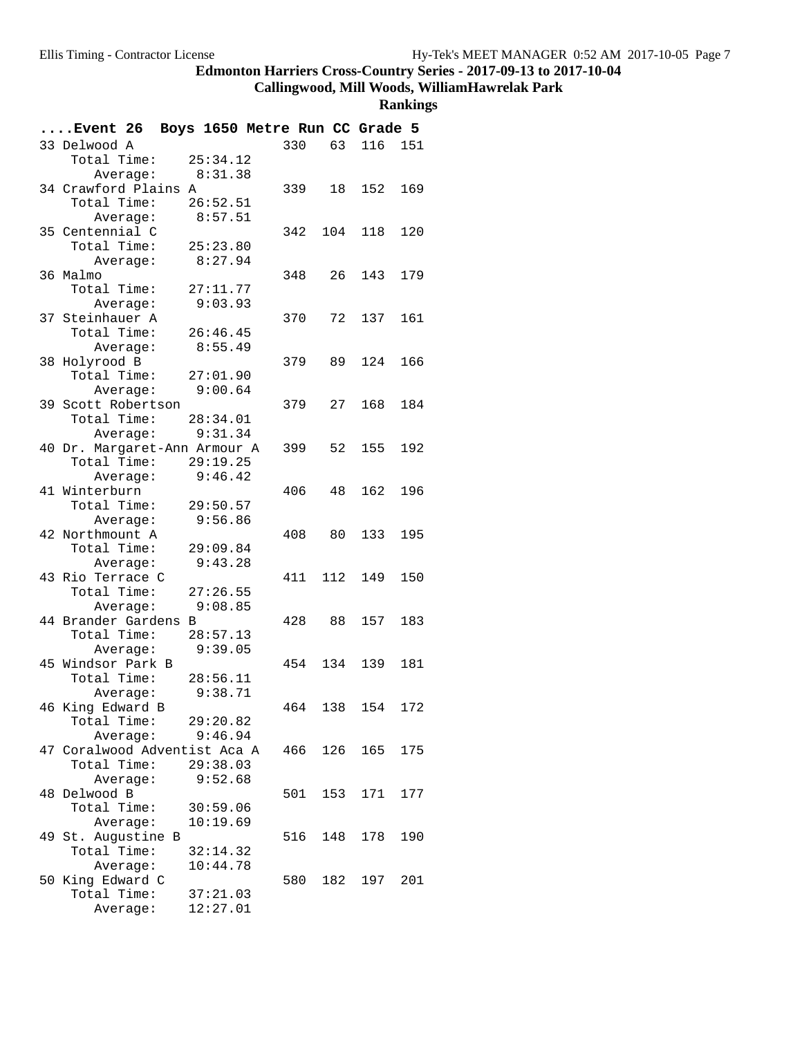# **Callingwood, Mill Woods, WilliamHawrelak Park**

| Event 26 Boys 1650 Metre Run CC Grade 5 |          |        |     |            |     |
|-----------------------------------------|----------|--------|-----|------------|-----|
| 33 Delwood A                            |          | 330    |     | 63 116 151 |     |
| Total Time: 25:34.12                    |          |        |     |            |     |
| Average:                                | 8:31.38  |        |     |            |     |
| 34 Crawford Plains A                    |          | 339    | 18  | 152        | 169 |
| Total Time:                             | 26:52.51 |        |     |            |     |
| Average:                                | 8:57.51  |        |     |            |     |
| 35 Centennial C                         |          | 342    | 104 | 118        | 120 |
| Total Time:                             | 25:23.80 |        |     |            |     |
| Average:                                | 8:27.94  |        |     |            |     |
| 36 Malmo                                |          | 348    | 26  | 143        | 179 |
| Total Time:                             | 27:11.77 |        |     |            |     |
| Average:                                | 9:03.93  |        |     |            |     |
| 37 Steinhauer A                         |          | 370    |     | 72 137     | 161 |
| Total Time:                             | 26:46.45 |        |     |            |     |
| Average:                                | 8:55.49  |        |     |            |     |
| 38 Holyrood B                           |          | 379    | 89  | 124        | 166 |
| Total Time:                             | 27:01.90 |        |     |            |     |
| Average:                                | 9:00.64  |        |     |            |     |
| 39 Scott Robertson                      |          | 379    | 27  | 168        | 184 |
| Total Time: 28:34.01                    |          |        |     |            |     |
| Average:                                | 9:31.34  |        |     |            |     |
| 40 Dr. Margaret-Ann Armour A            |          | 399    | 52  | 155        | 192 |
| Total Time:                             | 29:19.25 |        |     |            |     |
| Average:                                | 9:46.42  |        |     |            |     |
| 41 Winterburn                           |          | 406    | 48  | 162        | 196 |
| Total Time:                             | 29:50.57 |        |     |            |     |
| Average:                                | 9:56.86  |        |     |            |     |
| 42 Northmount A                         |          | 408    | 80  | 133        | 195 |
| Total Time:                             | 29:09.84 |        |     |            |     |
| Average:                                | 9:43.28  |        |     |            |     |
| 43 Rio Terrace C                        |          | 411    | 112 | 149        | 150 |
| Total Time:                             | 27:26.55 |        |     |            |     |
| Average:                                | 9:08.85  |        |     |            |     |
| 44 Brander Gardens B                    |          | 428 88 |     | 157        | 183 |
| Total Time:                             | 28:57.13 |        |     |            |     |
| Average:                                | 9:39.05  |        |     |            |     |
| 45 Windsor Park B                       |          | 454    | 134 | 139        | 181 |
| Total Time:                             | 28:56.11 |        |     |            |     |
| Average:                                | 9:38.71  |        |     |            |     |
| 46 King Edward B                        |          | 464    | 138 | 154        | 172 |
| Total Time:                             | 29:20.82 |        |     |            |     |
| Average:                                | 9:46.94  |        |     |            |     |
| 47 Coralwood Adventist Aca A            |          | 466    | 126 | 165        | 175 |
| Total Time:                             | 29:38.03 |        |     |            |     |
| Average:                                | 9:52.68  |        |     |            |     |
| 48 Delwood B                            |          | 501    | 153 | 171        | 177 |
| Total Time:                             | 30:59.06 |        |     |            |     |
| Average:                                | 10:19.69 |        |     |            |     |
| 49 St. Augustine B                      |          | 516    | 148 | 178        | 190 |
| Total Time:                             | 32:14.32 |        |     |            |     |
| Average:                                | 10:44.78 |        |     |            |     |
| 50 King Edward C                        |          | 580    | 182 | 197        | 201 |
| Total Time:                             | 37:21.03 |        |     |            |     |
| Average:                                | 12:27.01 |        |     |            |     |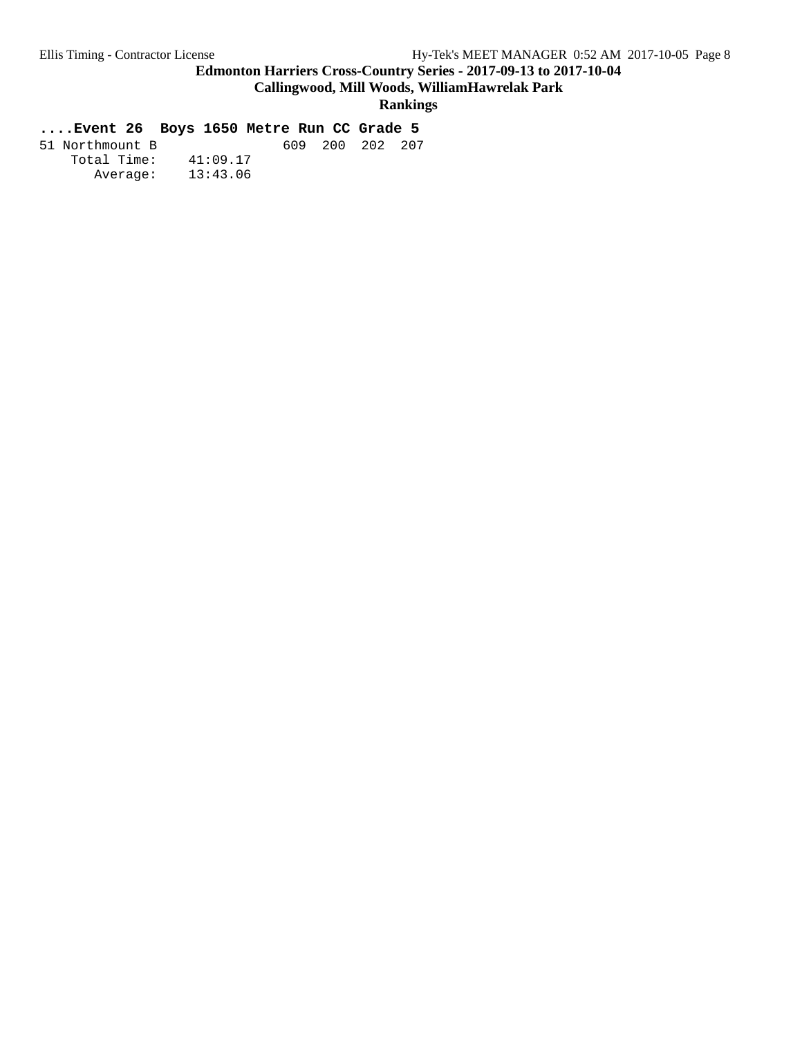**Callingwood, Mill Woods, WilliamHawrelak Park**

#### **Rankings**

| 51 Northmount B |          | 609 | 200 202 207 |  |
|-----------------|----------|-----|-------------|--|
| Total Time:     | 41:09.17 |     |             |  |
| Average:        | 13:43.06 |     |             |  |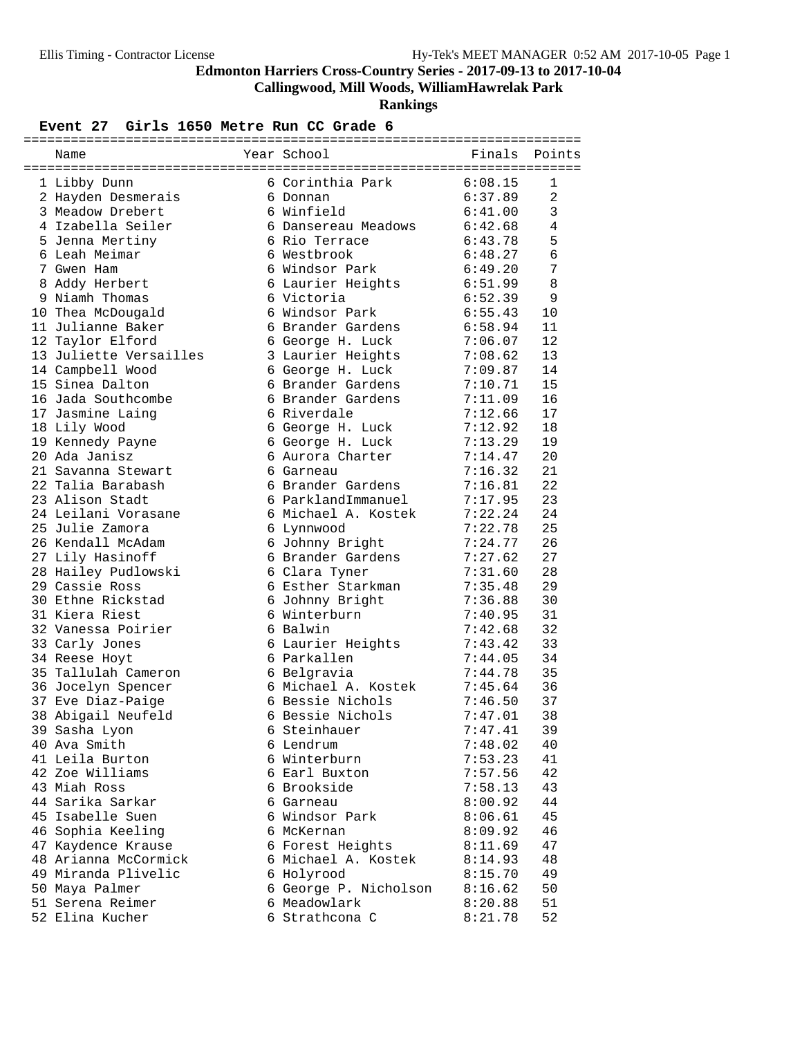**Callingwood, Mill Woods, WilliamHawrelak Park**

**Rankings**

#### Event 27 Girls 1650 Metre Run CC Grade 6

| Name                                       | Year School                             | Finals             | Points         |
|--------------------------------------------|-----------------------------------------|--------------------|----------------|
| 1 Libby Dunn                               | 6 Corinthia Park                        | 6:08.15            | 1              |
| 2 Hayden Desmerais                         | 6 Donnan                                | 6:37.89            | 2              |
| 3 Meadow Drebert                           | 6 Winfield                              | 6:41.00            | 3              |
| 4 Izabella Seiler                          | 6 Dansereau Meadows                     | 6:42.68            | $\overline{4}$ |
| 5 Jenna Mertiny                            | 6 Rio Terrace                           | 6:43.78            | 5              |
| 6 Leah Meimar                              | 6 Westbrook                             | 6:48.27            | 6              |
| 7 Gwen Ham                                 | 6 Windsor Park                          | 6:49.20            | 7              |
| 8 Addy Herbert                             | 6 Laurier Heights                       | 6:51.99            | 8              |
| 9 Niamh Thomas                             | 6 Victoria                              | 6:52.39            | 9              |
| 10 Thea McDougald                          | 6 Windsor Park                          | 6:55.43            | 10             |
| 11 Julianne Baker                          | 6 Brander Gardens                       | 6:58.94            | 11             |
| 12 Taylor Elford                           | 6 George H. Luck                        | 7:06.07            | 12             |
| 13 Juliette Versailles                     | 3 Laurier Heights                       | 7:08.62            | 13             |
| 14 Campbell Wood                           | 6 George H. Luck                        | 7:09.87            | 14             |
| 15 Sinea Dalton                            | 6 Brander Gardens                       | 7:10.71            | 15             |
| 16 Jada Southcombe                         | 6 Brander Gardens                       | 7:11.09            | 16             |
| 17 Jasmine Lainq                           | 6 Riverdale                             | 7:12.66            | 17             |
| 18 Lily Wood                               | 6 George H. Luck                        | 7:12.92            | 18             |
| 19 Kennedy Payne                           | 6 George H. Luck                        | 7:13.29            | 19             |
| 20 Ada Janisz                              | 6 Aurora Charter                        | 7:14.47            | 20             |
| 21 Savanna Stewart                         | 6 Garneau                               | 7:16.32            | 21             |
| 22 Talia Barabash                          | 6 Brander Gardens                       | 7:16.81            | 22             |
| 23 Alison Stadt                            | 6 ParklandImmanuel                      | 7:17.95            | 23             |
| 24 Leilani Vorasane                        | 6 Michael A. Kostek                     | 7:22.24            | 24             |
| 25 Julie Zamora                            | 6 Lynnwood                              | 7:22.78            | 25             |
| 26 Kendall McAdam                          | 6 Johnny Bright                         | 7:24.77            | 26             |
| 27 Lily Hasinoff                           | 6 Brander Gardens                       | 7:27.62            | 27             |
| 28 Hailey Pudlowski                        | 6 Clara Tyner                           | 7:31.60            | 28             |
| 29 Cassie Ross                             | 6 Esther Starkman                       | 7:35.48            | 29             |
| 30 Ethne Rickstad                          | 6 Johnny Bright                         | 7:36.88            | 30             |
| 31 Kiera Riest                             | 6 Winterburn                            | 7:40.95            | 31             |
| 32 Vanessa Poirier                         | 6 Balwin                                | 7:42.68            | 32             |
| 33 Carly Jones                             | 6 Laurier Heights                       | 7:43.42            | 33             |
| 34 Reese Hoyt                              | 6 Parkallen                             | 7:44.05            | 34             |
| 35 Tallulah Cameron                        | 6 Belgravia                             | 7:44.78            | 35             |
| 36 Jocelyn Spencer                         | 6 Michael A. Kostek                     | 7:45.64            | 36             |
| 37 Eve Diaz-Paige                          | 6 Bessie Nichols                        | 7:46.50            | 37             |
| 38 Abigail Neufeld                         | 6 Bessie Nichols                        | 7:47.01            | 38             |
| 39 Sasha Lyon                              | 6 Steinhauer                            | 7:47.41            | 39             |
| 40 Ava Smith                               | 6 Lendrum                               | 7:48.02            | 40             |
| 41 Leila Burton                            | 6 Winterburn                            | 7:53.23            | 41             |
| 42 Zoe Williams                            | 6 Earl Buxton                           | 7:57.56            | 42             |
| 43 Miah Ross                               | 6 Brookside                             | 7:58.13            | 43             |
| 44 Sarika Sarkar                           | 6 Garneau                               | 8:00.92            | 44             |
| 45 Isabelle Suen                           | 6 Windsor Park                          | 8:06.61            | 45             |
| 46 Sophia Keeling                          | 6 McKernan                              | 8:09.92            | 46             |
| 47 Kaydence Krause<br>48 Arianna McCormick | 6 Forest Heights<br>6 Michael A. Kostek | 8:11.69<br>8:14.93 | 47<br>48       |
| 49 Miranda Plivelic                        | 6 Holyrood                              | 8:15.70            | 49             |
| 50 Maya Palmer                             | 6 George P. Nicholson                   | 8:16.62            | 50             |
| 51 Serena Reimer                           | 6 Meadowlark                            | 8:20.88            | 51             |
| 52 Elina Kucher                            | 6 Strathcona C                          | 8:21.78            | 52             |
|                                            |                                         |                    |                |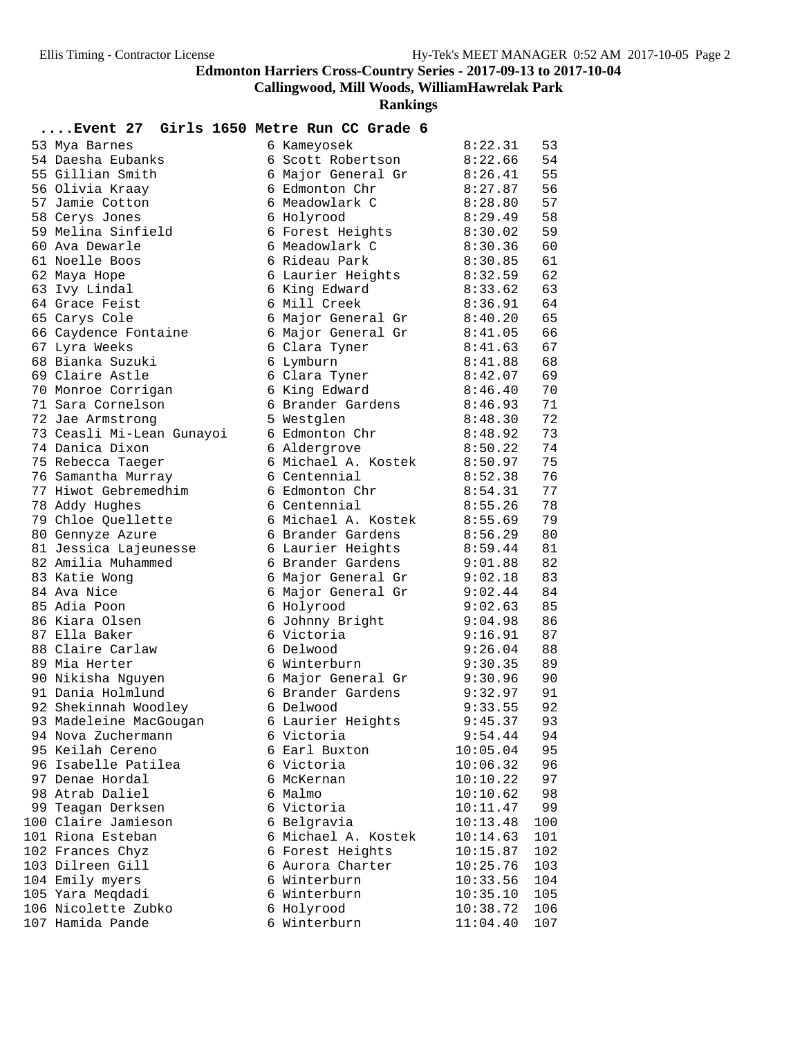# **Callingwood, Mill Woods, WilliamHawrelak Park**

| Event 27 Girls 1650 Metre Run CC Grade 6     |                                     |                      |            |
|----------------------------------------------|-------------------------------------|----------------------|------------|
| 53 Mya Barnes                                | 6 Kameyosek                         | 8:22.31              | 53         |
| 54 Daesha Eubanks                            | 6 Scott Robertson                   | 8:22.66              | 54         |
| 55 Gillian Smith                             | 6 Major General Gr                  | 8:26.41              | 55         |
| 56 Olivia Kraay                              | 6 Edmonton Chr                      | 8:27.87              | 56         |
| 57 Jamie Cotton                              | 6 Meadowlark C                      | 8:28.80              | 57         |
| 58 Cerys Jones                               | 6 Holyrood                          | 8:29.49              | 58         |
| 59 Melina Sinfield                           | 6 Forest Heights                    | 8:30.02              | 59         |
| 60 Ava Dewarle                               | 6 Meadowlark C                      | 8:30.36              | 60         |
| 61 Noelle Boos                               | 6 Rideau Park                       | 8:30.85              | 61         |
| 62 Maya Hope                                 | 6 Laurier Heights                   | 8:32.59              | 62         |
| 63 Ivy Lindal                                | 6 King Edward                       | 8:33.62              | 63         |
| 64 Grace Feist                               | 6 Mill Creek                        | 8:36.91              | 64         |
| 65 Carys Cole                                | 6 Major General Gr                  | 8:40.20              | 65         |
| 66 Caydence Fontaine                         | 6 Major General Gr                  | 8:41.05              | 66         |
| 67 Lyra Weeks                                | 6 Clara Tyner                       | 8:41.63              | 67         |
| 68 Bianka Suzuki                             | 6 Lymburn                           | 8:41.88              | 68         |
| 69 Claire Astle                              | 6 Clara Tyner                       | 8:42.07              | 69         |
| 70 Monroe Corrigan                           | 6 King Edward                       | 8:46.40              | 70         |
| 71 Sara Cornelson                            | 6 Brander Gardens                   | 8:46.93              | 71         |
| 72 Jae Armstrong                             | 5 Westglen                          | 8:48.30              | 72         |
| 73 Ceasli Mi-Lean Gunayoi<br>74 Danica Dixon | 6 Edmonton Chr                      | 8:48.92<br>8:50.22   | 73<br>74   |
| 75 Rebecca Taeger                            | 6 Aldergrove<br>6 Michael A. Kostek | 8:50.97              | 75         |
| 76 Samantha Murray                           | 6 Centennial                        | 8:52.38              | 76         |
| 77 Hiwot Gebremedhim                         | 6 Edmonton Chr                      | 8:54.31              | 77         |
| 78 Addy Hughes                               | 6 Centennial                        | 8:55.26              | 78         |
| 79 Chloe Quellette                           | 6 Michael A. Kostek                 | 8:55.69              | 79         |
| 80 Gennyze Azure                             | 6 Brander Gardens                   | 8:56.29              | 80         |
| 81 Jessica Lajeunesse                        | 6 Laurier Heights                   | 8:59.44              | 81         |
| 82 Amilia Muhammed                           | 6 Brander Gardens                   | 9:01.88              | 82         |
| 83 Katie Wong                                | 6 Major General Gr                  | 9:02.18              | 83         |
| 84 Ava Nice                                  | 6 Major General Gr                  | 9:02.44              | 84         |
| 85 Adia Poon                                 | 6 Holyrood                          | 9:02.63              | 85         |
| 86 Kiara Olsen                               | 6 Johnny Bright                     | 9:04.98              | 86         |
| 87 Ella Baker                                | 6 Victoria                          | 9:16.91              | 87         |
| 88 Claire Carlaw                             | 6 Delwood                           | 9:26.04              | 88         |
| 89 Mia Herter                                | 6 Winterburn                        | 9:30.35              | 89         |
| 90 Nikisha Nguyen                            | 6 Major General Gr                  | 9:30.96              | 90         |
| 91 Dania Holmlund                            | 6 Brander Gardens                   | 9:32.97              | 91         |
| 92 Shekinnah Woodley                         | 6 Delwood                           | 9:33.55              | 92         |
| 93 Madeleine MacGougan                       | 6 Laurier Heights                   | 9:45.37              | 93         |
| 94 Nova Zuchermann                           | 6 Victoria                          | 9:54.44              | 94         |
| 95 Keilah Cereno                             | 6 Earl Buxton                       | 10:05.04             | 95         |
| 96 Isabelle Patilea                          | 6 Victoria                          | 10:06.32             | 96         |
| 97 Denae Hordal                              | 6 McKernan                          | 10:10.22             | 97         |
| 98 Atrab Daliel                              | 6 Malmo                             | 10:10.62             | 98         |
| 99 Teagan Derksen                            | 6 Victoria                          | 10:11.47             | 99         |
| 100 Claire Jamieson                          | 6 Belgravia                         | 10:13.48             | 100        |
| 101 Riona Esteban                            | 6 Michael A. Kostek                 | 10:14.63             | 101        |
| 102 Frances Chyz                             | 6 Forest Heights                    | 10:15.87             | 102        |
| 103 Dilreen Gill                             | 6 Aurora Charter                    | 10:25.76             | 103        |
| 104 Emily myers<br>105 Yara Meqdadi          | 6 Winterburn<br>6 Winterburn        | 10:33.56<br>10:35.10 | 104<br>105 |
| 106 Nicolette Zubko                          | 6 Holyrood                          | 10:38.72             | 106        |
| 107 Hamida Pande                             | 6 Winterburn                        | 11:04.40             | 107        |
|                                              |                                     |                      |            |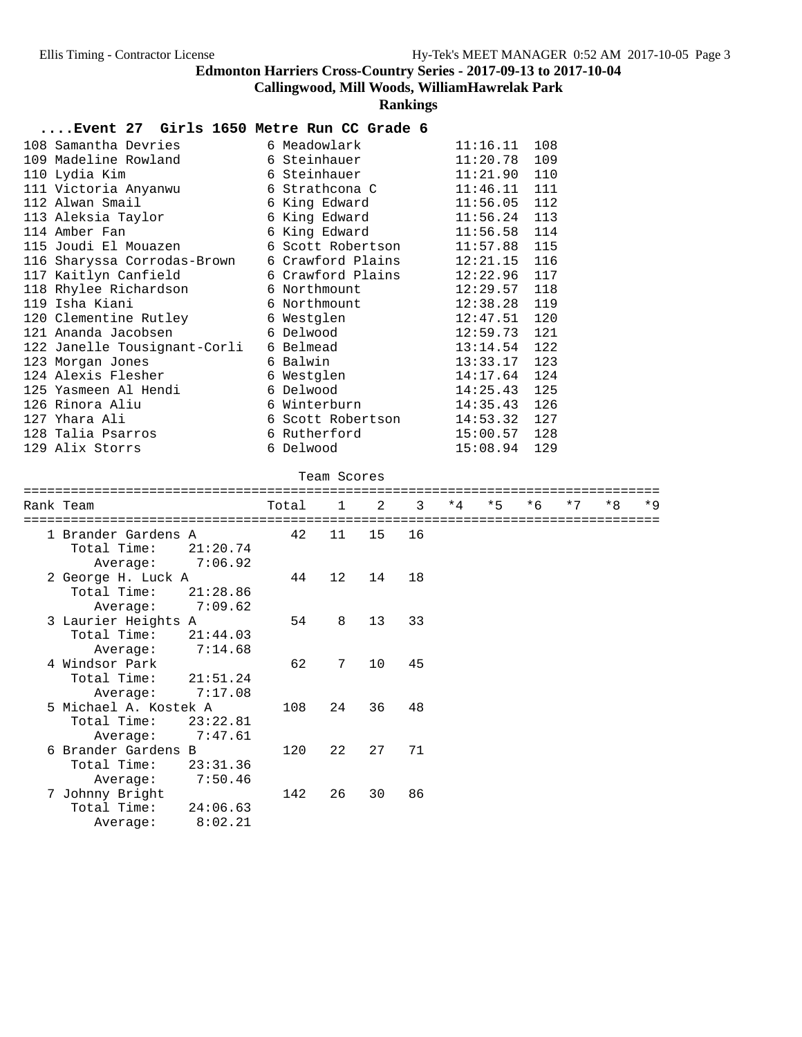**Callingwood, Mill Woods, WilliamHawrelak Park**

**Rankings**

#### **....Event 27 Girls 1650 Metre Run CC Grade 6**

| 110 Lydia Kim        |                                                             |                                                                                                                                                                                                                                        |                                                                                                                                                                                                                                                                                                                                                                                                                                                                                                                                                                                                                                                                                                                                                                                                                       |
|----------------------|-------------------------------------------------------------|----------------------------------------------------------------------------------------------------------------------------------------------------------------------------------------------------------------------------------------|-----------------------------------------------------------------------------------------------------------------------------------------------------------------------------------------------------------------------------------------------------------------------------------------------------------------------------------------------------------------------------------------------------------------------------------------------------------------------------------------------------------------------------------------------------------------------------------------------------------------------------------------------------------------------------------------------------------------------------------------------------------------------------------------------------------------------|
|                      |                                                             |                                                                                                                                                                                                                                        |                                                                                                                                                                                                                                                                                                                                                                                                                                                                                                                                                                                                                                                                                                                                                                                                                       |
|                      |                                                             |                                                                                                                                                                                                                                        |                                                                                                                                                                                                                                                                                                                                                                                                                                                                                                                                                                                                                                                                                                                                                                                                                       |
|                      |                                                             |                                                                                                                                                                                                                                        |                                                                                                                                                                                                                                                                                                                                                                                                                                                                                                                                                                                                                                                                                                                                                                                                                       |
| 114 Amber Fan        |                                                             |                                                                                                                                                                                                                                        |                                                                                                                                                                                                                                                                                                                                                                                                                                                                                                                                                                                                                                                                                                                                                                                                                       |
|                      |                                                             |                                                                                                                                                                                                                                        |                                                                                                                                                                                                                                                                                                                                                                                                                                                                                                                                                                                                                                                                                                                                                                                                                       |
|                      |                                                             |                                                                                                                                                                                                                                        |                                                                                                                                                                                                                                                                                                                                                                                                                                                                                                                                                                                                                                                                                                                                                                                                                       |
| 117 Kaitlyn Canfield |                                                             |                                                                                                                                                                                                                                        |                                                                                                                                                                                                                                                                                                                                                                                                                                                                                                                                                                                                                                                                                                                                                                                                                       |
|                      |                                                             |                                                                                                                                                                                                                                        |                                                                                                                                                                                                                                                                                                                                                                                                                                                                                                                                                                                                                                                                                                                                                                                                                       |
| 119 Isha Kiani       |                                                             |                                                                                                                                                                                                                                        |                                                                                                                                                                                                                                                                                                                                                                                                                                                                                                                                                                                                                                                                                                                                                                                                                       |
|                      |                                                             |                                                                                                                                                                                                                                        |                                                                                                                                                                                                                                                                                                                                                                                                                                                                                                                                                                                                                                                                                                                                                                                                                       |
|                      |                                                             |                                                                                                                                                                                                                                        |                                                                                                                                                                                                                                                                                                                                                                                                                                                                                                                                                                                                                                                                                                                                                                                                                       |
|                      |                                                             |                                                                                                                                                                                                                                        |                                                                                                                                                                                                                                                                                                                                                                                                                                                                                                                                                                                                                                                                                                                                                                                                                       |
| 123 Morgan Jones     |                                                             |                                                                                                                                                                                                                                        |                                                                                                                                                                                                                                                                                                                                                                                                                                                                                                                                                                                                                                                                                                                                                                                                                       |
|                      |                                                             |                                                                                                                                                                                                                                        |                                                                                                                                                                                                                                                                                                                                                                                                                                                                                                                                                                                                                                                                                                                                                                                                                       |
| 125 Yasmeen Al Hendi |                                                             |                                                                                                                                                                                                                                        |                                                                                                                                                                                                                                                                                                                                                                                                                                                                                                                                                                                                                                                                                                                                                                                                                       |
| 126 Rinora Aliu      |                                                             |                                                                                                                                                                                                                                        |                                                                                                                                                                                                                                                                                                                                                                                                                                                                                                                                                                                                                                                                                                                                                                                                                       |
| 127 Yhara Ali        |                                                             |                                                                                                                                                                                                                                        |                                                                                                                                                                                                                                                                                                                                                                                                                                                                                                                                                                                                                                                                                                                                                                                                                       |
| 128 Talia Psarros    |                                                             |                                                                                                                                                                                                                                        |                                                                                                                                                                                                                                                                                                                                                                                                                                                                                                                                                                                                                                                                                                                                                                                                                       |
| 129 Alix Storrs      |                                                             |                                                                                                                                                                                                                                        |                                                                                                                                                                                                                                                                                                                                                                                                                                                                                                                                                                                                                                                                                                                                                                                                                       |
|                      | 112 Alwan Smail<br>113 Aleksia Taylor<br>124 Alexis Flesher | 108 Samantha Devries                 6 Meadowlark<br>6 Northmount<br>120 Clementine Rutley 6 Westglen<br>121 Ananda Jacobsen 6 Delwood<br>122 Janelle Tousignant-Corli 6 Belmead<br>6 Balwin<br>6 Delwood<br>6 Winterburn<br>6 Delwood | $11:16.11$ 108<br>109 Madeline Rowland 6 Steinhauer<br>$11:20.78$ 109<br>$11:21.90$ 110<br>6 Steinhauer and the Steinhauer<br>11:46.11 111<br>111 Victoria Anyanwu             6 Strathcona C<br>6 King Edward<br>$11:56.05$ 112<br>6 King Edward<br>$11:56.24$ 113<br>6 King Edward 11:56.58 114<br>$11:57.88$ 115<br>115 Joudi El Mouazen 6 Scott Robertson<br>$12:21.15$ 116<br>116 Sharyssa Corrodas-Brown 6 Crawford Plains<br>6 Crawford Plains<br>12:22.96 117<br>$12:29.57$ 118<br>118 Rhylee Richardson                   6 Northmount<br>$12:38.28$ 119<br>$12:47.51$ 120<br>$12:59.73$ 121<br>$13:14.54$ 122<br>$13:33.17$ 123<br>14:17.64 124<br>6 Westglen<br>$14:25.43$ 125<br>$14:35.43$ 126<br>$14:53.32$ 127<br>6 Scott Robertson<br>$15:00.57$ 128<br>6 Rutherford and the Ruther<br>$15:08.94$ 129 |

#### Team Scores

| Rank Team               | Total | $\mathbf{1}$    | 2  | $\mathbf{3}$ | $*4$ | $*5$ | $*6$ | $*7$ | $*8$ | $*9$ |
|-------------------------|-------|-----------------|----|--------------|------|------|------|------|------|------|
| 1 Brander Gardens A     | 42    | 11              | 15 | 16           |      |      |      |      |      |      |
| Total Time:<br>21:20.74 |       |                 |    |              |      |      |      |      |      |      |
| 7:06.92<br>Average:     |       |                 |    |              |      |      |      |      |      |      |
| 2 George H. Luck A      | 44    | $12 \,$         | 14 | 18           |      |      |      |      |      |      |
| Total Time:<br>21:28.86 |       |                 |    |              |      |      |      |      |      |      |
| 7:09.62<br>Average:     |       |                 |    |              |      |      |      |      |      |      |
| 3 Laurier Heights A     | 54    | 8               | 13 | 33           |      |      |      |      |      |      |
| Total Time:<br>21:44.03 |       |                 |    |              |      |      |      |      |      |      |
| 7:14.68<br>Average:     |       |                 |    |              |      |      |      |      |      |      |
| 4 Windsor Park          | 62    | $7\phantom{.0}$ | 10 | 45           |      |      |      |      |      |      |
| Total Time:<br>21:51.24 |       |                 |    |              |      |      |      |      |      |      |
| 7:17.08<br>Average:     |       |                 |    |              |      |      |      |      |      |      |
| 5 Michael A. Kostek A   | 108   | 24              | 36 | 48           |      |      |      |      |      |      |
| Total Time:<br>23:22.81 |       |                 |    |              |      |      |      |      |      |      |
| 7:47.61<br>Average:     |       |                 |    |              |      |      |      |      |      |      |
| 6 Brander Gardens B     | 120   | 22              | 27 | 71           |      |      |      |      |      |      |
| Total Time:<br>23:31.36 |       |                 |    |              |      |      |      |      |      |      |
| 7:50.46<br>Average:     |       |                 |    |              |      |      |      |      |      |      |
| 7 Johnny Bright         | 142   | 26              | 30 | 86           |      |      |      |      |      |      |
| Total Time:<br>24:06.63 |       |                 |    |              |      |      |      |      |      |      |
| 8:02.21<br>Average:     |       |                 |    |              |      |      |      |      |      |      |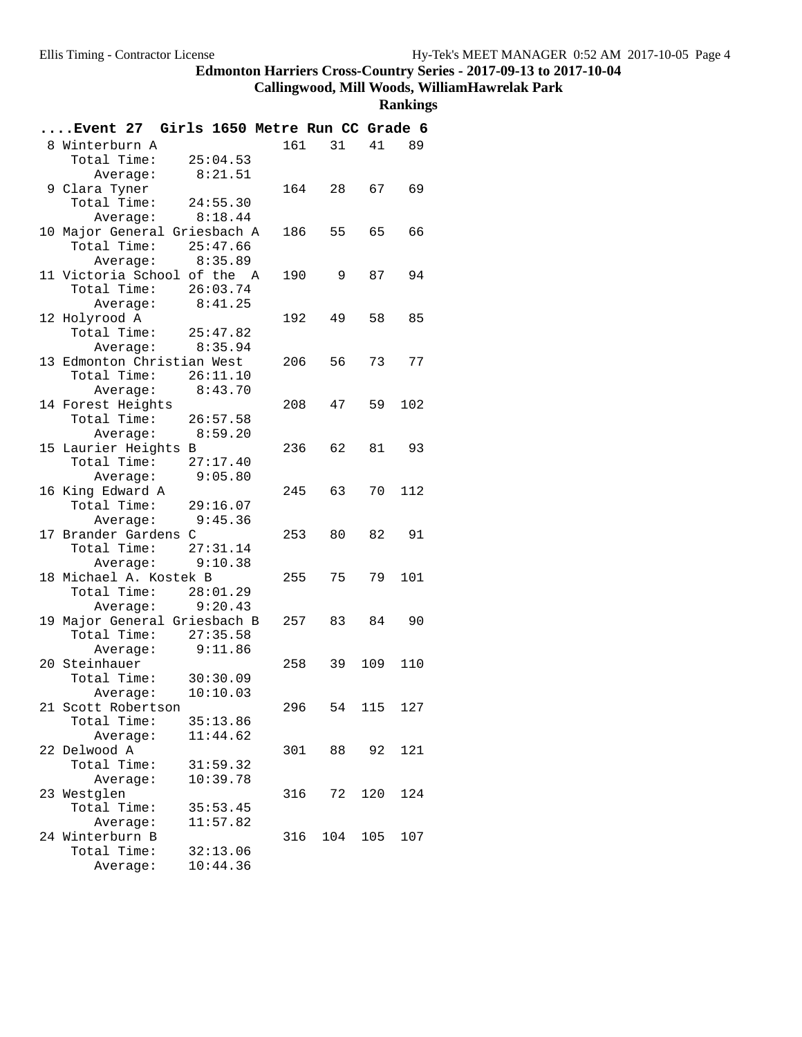## **Callingwood, Mill Woods, WilliamHawrelak Park**

| Event 27 Girls 1650 Metre Run CC Grade 6 |          |     |             |      |     |
|------------------------------------------|----------|-----|-------------|------|-----|
| 8 Winterburn A                           |          |     | 161<br>31   | 41   | 89  |
| Total Time:                              | 25:04.53 |     |             |      |     |
| Average: 8:21.51                         |          |     |             |      |     |
| 9 Clara Tyner                            |          |     | 164 28      | 67   | 69  |
| Total Time:                              | 24:55.30 |     |             |      |     |
| Average: $8:18.44$                       |          |     |             |      |     |
| 10 Major General Griesbach A             |          |     | 55<br>186 — | 65   | 66  |
| Total Time: 25:47.66                     |          |     |             |      |     |
| Average: 8:35.89                         |          |     |             |      |     |
| 11 Victoria School of the A              |          | 190 | 9           | 87   | 94  |
| Total Time: 26:03.74                     |          |     |             |      |     |
| Average:                                 | 8:41.25  |     |             |      |     |
| 12 Holyrood A                            |          |     | 49<br>192 — | 58   | 85  |
| Total Time: $25:47.82$                   |          |     |             |      |     |
| Average: 8:35.94                         |          |     |             |      |     |
| 13 Edmonton Christian West               |          |     | 56<br>206 — | 73   | 77  |
| Total Time: 26:11.10                     |          |     |             |      |     |
| Average: $8:43.70$                       |          |     |             |      |     |
| 14 Forest Heights                        |          |     | 208<br>47   | 59   | 102 |
| Total Time: 26:57.58<br>Average: 8:59.20 |          |     |             |      |     |
| 15 Laurier Heights B                     |          | 236 | 62          | 81 — | 93  |
| Total Time: 27:17.40                     |          |     |             |      |     |
| Average: 9:05.80                         |          |     |             |      |     |
| 16 King Edward A                         |          |     | 245 63      | 70   | 112 |
| Total Time: 29:16.07                     |          |     |             |      |     |
| Average:                                 | 9:45.36  |     |             |      |     |
| 17 Brander Gardens C                     |          |     | 253<br>80   | 82   | 91  |
| Total Time: 27:31.14                     |          |     |             |      |     |
| Average: $9:10.38$                       |          |     |             |      |     |
| 18 Michael A. Kostek B                   |          |     | 255<br>75   | 79   | 101 |
| Total Time: 28:01.29                     |          |     |             |      |     |
| Average: 9:20.43                         |          |     |             |      |     |
| 19 Major General Griesbach B             |          |     | 257<br>83   | 84   | 90  |
| Total Time: 27:35.58                     |          |     |             |      |     |
| Average:                                 | 9:11.86  |     |             |      |     |
| 20 Steinhauer                            |          | 258 | 39          | 109  | 110 |
| Total Time: 30:30.09                     |          |     |             |      |     |
| Average: 10:10.03                        |          |     |             |      |     |
| 21 Scott Robertson                       |          | 296 | 54          | 115  | 127 |
| Total Time:                              | 35:13.86 |     |             |      |     |
| Average:                                 | 11:44.62 |     |             |      |     |
| 22 Delwood A                             |          | 301 | 88          | 92   | 121 |
| Total Time:                              | 31:59.32 |     |             |      |     |
| Average:                                 | 10:39.78 |     |             |      |     |
| 23 Westglen                              |          | 316 | 72          | 120  | 124 |
| Total Time:                              | 35:53.45 |     |             |      |     |
| Average:<br>24 Winterburn B              | 11:57.82 | 316 | 104         | 105  | 107 |
| Total Time:                              | 32:13.06 |     |             |      |     |
| Average:                                 | 10:44.36 |     |             |      |     |
|                                          |          |     |             |      |     |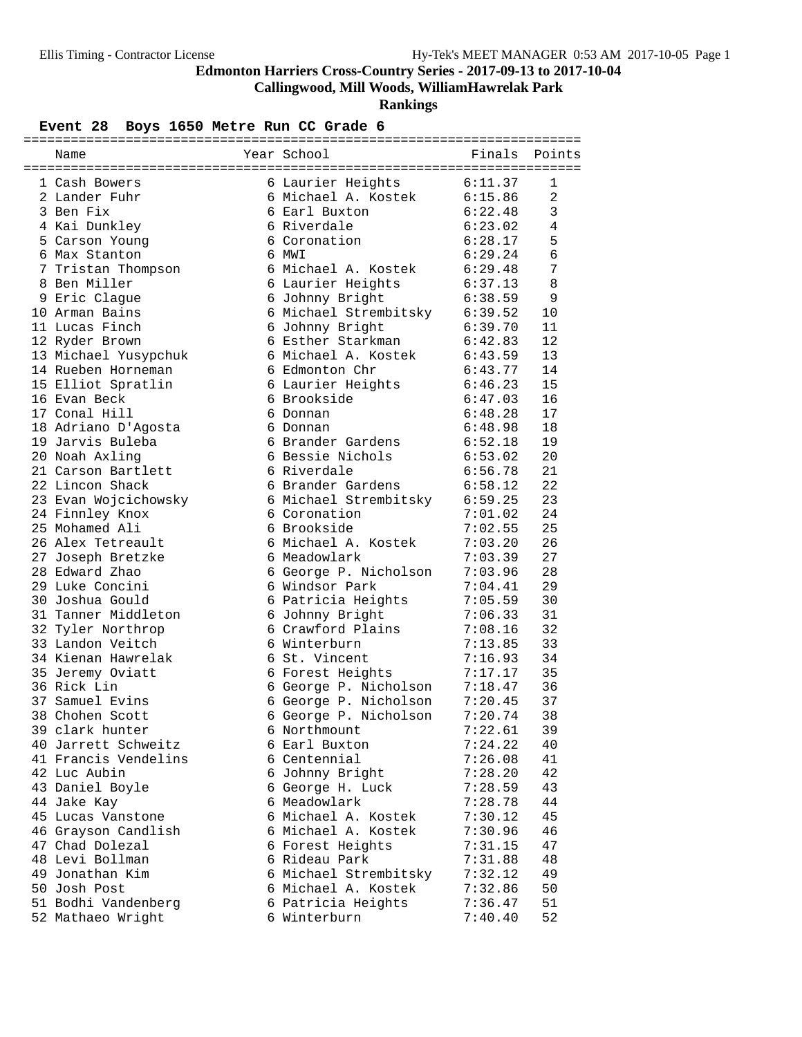**Callingwood, Mill Woods, WilliamHawrelak Park**

**Rankings**

## **Event 28 Boys 1650 Metre Run CC Grade 6**

| Name                            | Year School                                              | Finals                 | Points       |
|---------------------------------|----------------------------------------------------------|------------------------|--------------|
|                                 |                                                          |                        |              |
| 1 Cash Bowers                   | 6 Laurier Heights 6:11.37                                |                        | $\mathbf{1}$ |
| 2 Lander Fuhr                   | 6 Michael A. Kostek 6:15.86                              |                        | 2            |
| 3 Ben Fix                       | 6 Earl Buxton                                            | 6:22.48                | 3            |
| 4 Kai Dunkley                   | 6 Riverdale                                              | 6:23.02                | 4            |
| 5 Carson Young                  | 6 Coronation                                             | 6:28.17                | 5            |
| 6 Max Stanton                   | 6 MWI                                                    | 6:29.24                | $\epsilon$   |
| 7 Tristan Thompson              | 6 Michael A. Kostek                                      | 6:29.48                | 7            |
| 8 Ben Miller                    | 6 Laurier Heights                                        | 6:37.13                | 8            |
| 9 Eric Clague                   | 6 Johnny Bright                                          | 6:38.59                | 9            |
| 10 Arman Bains                  | 6 Michael Strembitsky 6:39.52                            |                        | 10           |
| 11 Lucas Finch                  | 6 Johnny Bright                                          | 6:39.70                | 11           |
| 12 Ryder Brown                  | 6 Esther Starkman                                        | 6:42.83                | 12           |
| 13 Michael Yusypchuk            | 6 Michael A. Kostek                                      |                        | 13           |
| 14 Rueben Horneman              | 6 Edmonton Chr                                           | 6:43.59<br>6:43.77     | 14           |
| 15 Elliot Spratlin              | 6 Laurier Heights                                        | 6:46.23                | 15           |
| 16 Evan Beck                    | 6 Brookside                                              | 6:47.03                | 16           |
| 17 Conal Hill                   | 6 Donnan                                                 | 6:48.28                | 17           |
| 18 Adriano D'Agosta             | 6 Donnan                                                 | 6:48.98                | 18           |
| 19 Jarvis Buleba                | 6 Brander Gardens                                        | 6:52.18                | 19           |
| 20 Noah Axling                  | 6 Bessie Nichols                                         | 6:53.02                | 20           |
| 21 Carson Bartlett              | 6 Riverdale                                              | 6:56.78                | 21           |
| 22 Lincon Shack                 | 6 Brander Gardens                                        | 6:58.12                | 22           |
| 23 Evan Wojcichowsky            | 6 Michael Strembitsky                                    | 6:59.25                | 23           |
| 24 Finnley Knox                 | 6 Coronation                                             | 7:01.02                | 24           |
| 25 Mohamed Ali                  | 6 Brookside                                              |                        | 25           |
| 26 Alex Tetreault               | 6 Michael A. Kostek                                      | $7.02.55$<br>$7:03.20$ | 26           |
| 27 Joseph Bretzke               | 6 Meadowlark                                             | 7:03.39                | 27           |
| 28 Edward Zhao                  | 6 George P. Nicholson                                    | 7:03.96                | 28           |
| 29 Luke Concini                 | 6 Windsor Park                                           | 7:04.41                | 29           |
| 30 Joshua Gould                 | 6 Patricia Heights                                       | 7:05.59                | 30           |
| 31 Tanner Middleton             | 6 Johnny Bright                                          | 7:06.33                | 31           |
| 32 Tyler Northrop               | 6 Crawford Plains                                        | 7:08.16                | 32           |
| 33 Landon Veitch                | 6 Winterburn                                             | 7:13.85                | 33           |
| 34 Kienan Hawrelak              | 6 St. Vincent                                            | 7:16.93                | 34           |
|                                 |                                                          |                        | 35           |
| 35 Jeremy Oviatt<br>36 Rick Lin | 6 Forest Heights<br>6 George P. Nicholson                | 7:17.17<br>7:18.47     | 36           |
| 37 Samuel Evins                 |                                                          |                        | 37           |
| 38 Chohen Scott                 | 6 George P. Nicholson $7:20.45$<br>6 George P. Nicholson |                        | 38           |
| 39 clark hunter                 | 6 Northmount                                             | 7:20.74<br>7:22.61     |              |
| 40 Jarrett Schweitz             | 6 Earl Buxton                                            | 7:24.22                | 39<br>40     |
| 41 Francis Vendelins            |                                                          |                        |              |
| 42 Luc Aubin                    | 6 Centennial                                             | 7:26.08                | 41           |
|                                 | 6 Johnny Bright                                          | 7:28.20                | 42           |
| 43 Daniel Boyle                 | 6 George H. Luck                                         | 7:28.59                | 43           |
| 44 Jake Kay                     | 6 Meadowlark                                             | 7:28.78                | 44           |
| 45 Lucas Vanstone               | 6 Michael A. Kostek                                      | 7:30.12                | 45           |
| 46 Grayson Candlish             | 6 Michael A. Kostek                                      | 7:30.96                | 46           |
| 47 Chad Dolezal                 | 6 Forest Heights                                         | 7:31.15                | 47           |
| 48 Levi Bollman                 | 6 Rideau Park                                            | 7:31.88                | 48           |
| 49 Jonathan Kim                 | 6 Michael Strembitsky                                    | 7:32.12                | 49           |
| 50 Josh Post                    | 6 Michael A. Kostek                                      | 7:32.86                | 50           |
| 51 Bodhi Vandenberg             | 6 Patricia Heights                                       | 7:36.47                | 51           |
| 52 Mathaeo Wright               | 6 Winterburn                                             | 7:40.40                | 52           |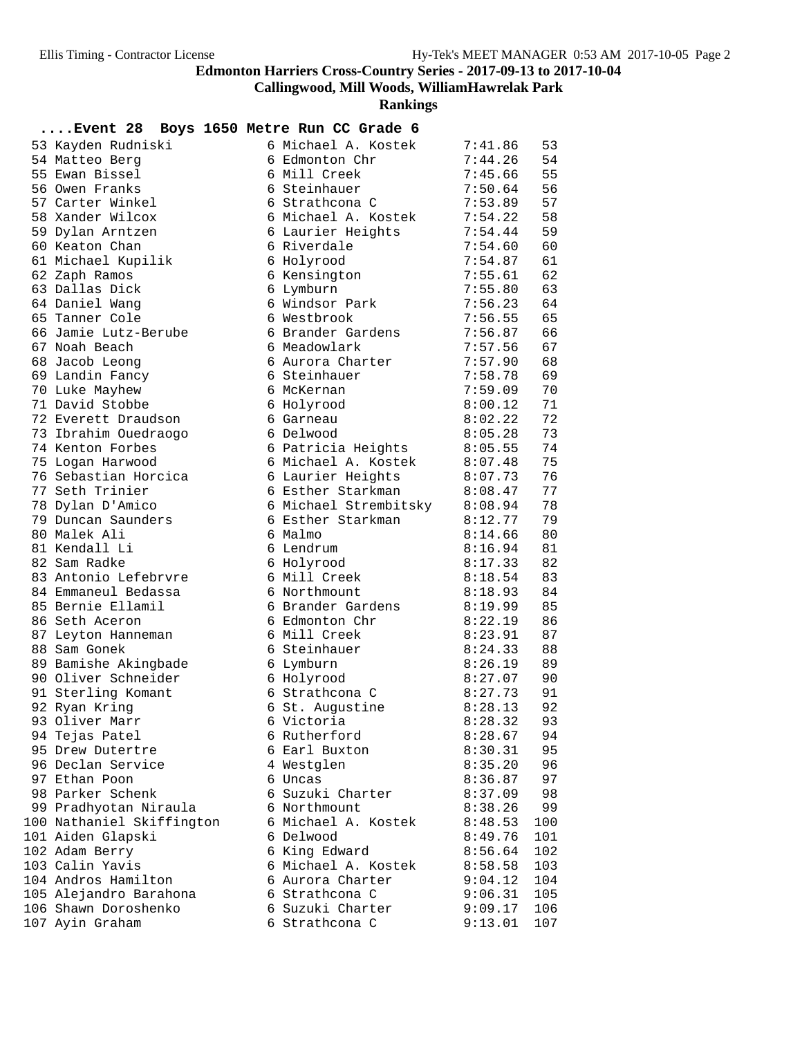**Callingwood, Mill Woods, WilliamHawrelak Park**

**Rankings**

| 53 Kayden Rudniski                 | 6 Michael A. Kostek           | 7:41.86            | 53       |
|------------------------------------|-------------------------------|--------------------|----------|
| 54 Matteo Berg                     | 6 Edmonton Chr                | 7:44.26            | 54       |
| 55 Ewan Bissel                     | 6 Mill Creek                  | 7:45.66            | 55       |
| 56 Owen Franks                     | 6 Steinhauer                  | 7:50.64            | 56       |
| 57 Carter Winkel                   | 6 Strathcona C                | 7:53.89            | 57       |
| 58 Xander Wilcox                   | 6 Michael A. Kostek           | 7:54.22            | 58       |
| 59 Dylan Arntzen                   | 6 Laurier Heights             | 7:54.44            | 59       |
| 60 Keaton Chan                     | 6 Riverdale                   | 7:54.60            | 60       |
| 61 Michael Kupilik                 | 6 Holyrood                    | 7:54.87            | 61       |
| 62 Zaph Ramos                      | 6 Kensington                  | 7:55.61            | 62       |
| 63 Dallas Dick                     | 6 Lymburn                     | 7:55.80            | 63       |
| 64 Daniel Wang                     | 6 Windsor Park                | 7:56.23            | 64       |
| 65 Tanner Cole                     | 6 Westbrook                   | 7:56.55            | 65       |
| 66 Jamie Lutz-Berube               | 6 Brander Gardens             | 7:56.87            | 66       |
| 67 Noah Beach                      | 6 Meadowlark                  | 7:57.56            | 67       |
| 68 Jacob Leong                     | 6 Aurora Charter              | 7:57.90            | 68       |
| 69 Landin Fancy                    | 6 Steinhauer                  | 7:58.78            | 69       |
| 70 Luke Mayhew                     | 6 McKernan                    | 7:59.09            | 70       |
| 71 David Stobbe                    | 6 Holyrood                    | 8:00.12            | 71       |
| 72 Everett Draudson                | 6 Garneau                     | 8:02.22            | 72       |
| 73 Ibrahim Ouedraogo               | 6 Delwood                     | 8:05.28            | 73       |
| 74 Kenton Forbes                   | 6 Patricia Heights            | 8:05.55            | 74       |
| 75 Logan Harwood                   | 6 Michael A. Kostek           | 8:07.48            | 75       |
| 76 Sebastian Horcica               | 6 Laurier Heights             | 8:07.73            | 76       |
| 77 Seth Trinier                    | 6 Esther Starkman             | 8:08.47            | 77       |
| 78 Dylan D'Amico                   | 6 Michael Strembitsky 8:08.94 |                    | 78       |
| 79 Duncan Saunders                 | 6 Esther Starkman             | 8:12.77            | 79       |
| 80 Malek Ali                       | 6 Malmo                       | 8:14.66            | 80       |
| 81 Kendall Li                      | 6 Lendrum                     | 8:16.94            | 81       |
| 82 Sam Radke                       | 6 Holyrood                    | 8:17.33            | 82       |
| 83 Antonio Lefebrvre               | 6 Mill Creek                  | 8:18.54            | 83       |
| 84 Emmaneul Bedassa                | 6 Northmount                  | 8:18.93            | 84       |
| 85 Bernie Ellamil                  | 6 Brander Gardens             | 8:19.99            | 85       |
| 86 Seth Aceron                     | 6 Edmonton Chr                | 8:22.19            | 86       |
| 87 Leyton Hanneman                 | 6 Mill Creek                  | 8:23.91            | 87       |
| 88 Sam Gonek                       | 6 Steinhauer                  | 8:24.33            | 88       |
| 89 Bamishe Akingbade               | 6 Lymburn                     | 8:26.19            | 89       |
| 90 Oliver Schneider                | 6 Holyrood                    | 8:27.07            | 90       |
| 91 Sterling Komant                 | 6 Strathcona C                | 8:27.73            | 91<br>92 |
| 92 Ryan Kring<br>93 Oliver Marr    | 6 St. Augustine<br>6 Victoria | 8:28.13<br>8:28.32 | 93       |
|                                    |                               | 8:28.67            |          |
| 94 Tejas Patel<br>95 Drew Dutertre | 6 Rutherford<br>6 Earl Buxton | 8:30.31            | 94<br>95 |
| 96 Declan Service                  | 4 Westglen                    | 8:35.20            | 96       |
| 97 Ethan Poon                      | 6 Uncas                       | 8:36.87            | 97       |
| 98 Parker Schenk                   | 6 Suzuki Charter              | 8:37.09            | 98       |
| 99 Pradhyotan Niraula              | 6 Northmount                  | 8:38.26            | 99       |
| 100 Nathaniel Skiffington          | 6 Michael A. Kostek           | 8:48.53            | 100      |
| 101 Aiden Glapski                  | 6 Delwood                     | 8:49.76            | 101      |
| 102 Adam Berry                     | 6 King Edward                 | 8:56.64            | 102      |
| 103 Calin Yavis                    | 6 Michael A. Kostek           | 8:58.58            | 103      |
| 104 Andros Hamilton                | 6 Aurora Charter              | 9:04.12            | 104      |
| 105 Alejandro Barahona             | 6 Strathcona C                | 9:06.31            | 105      |
| 106 Shawn Doroshenko               | 6 Suzuki Charter              | 9:09.17            | 106      |
| 107 Ayin Graham                    | 6 Strathcona C                | 9:13.01            | 107      |
|                                    |                               |                    |          |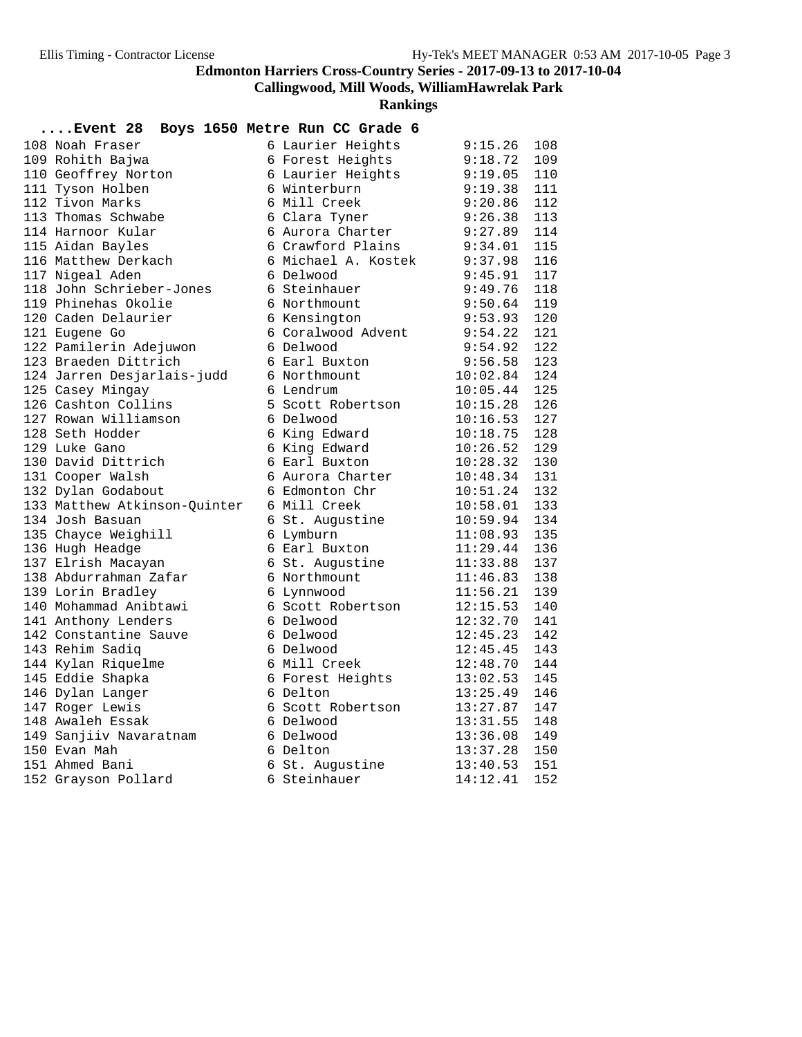**Callingwood, Mill Woods, WilliamHawrelak Park**

| Event 28                     | Boys 1650 Metre Run CC Grade 6 |          |     |
|------------------------------|--------------------------------|----------|-----|
| 108 Noah Fraser              | 6 Laurier Heights              | 9:15.26  | 108 |
| 109 Rohith Bajwa             | 6 Forest Heights               | 9:18.72  | 109 |
| 110 Geoffrey Norton          | 6 Laurier Heights              | 9:19.05  | 110 |
| 111 Tyson Holben             | 6 Winterburn                   | 9:19.38  | 111 |
| 112 Tivon Marks              | 6 Mill Creek                   | 9:20.86  | 112 |
| 113 Thomas Schwabe           | 6 Clara Tyner                  | 9:26.38  | 113 |
| 114 Harnoor Kular            | 6 Aurora Charter               | 9:27.89  | 114 |
| 115 Aidan Bayles             | 6 Crawford Plains              | 9:34.01  | 115 |
| 116 Matthew Derkach          | 6 Michael A. Kostek            | 9:37.98  | 116 |
| 117 Nigeal Aden              | 6 Delwood                      | 9:45.91  | 117 |
| 118 John Schrieber-Jones     | 6 Steinhauer                   | 9:49.76  | 118 |
| 119 Phinehas Okolie          | 6 Northmount                   | 9:50.64  | 119 |
| 120 Caden Delaurier          | 6 Kensington                   | 9:53.93  | 120 |
| 121 Eugene Go                | 6 Coralwood Advent             | 9:54.22  | 121 |
| 122 Pamilerin Adejuwon       | 6 Delwood                      | 9:54.92  | 122 |
| 123 Braeden Dittrich         | 6 Earl Buxton                  | 9:56.58  | 123 |
| 124 Jarren Desjarlais-judd   | 6 Northmount                   | 10:02.84 | 124 |
| 125 Casey Mingay             | 6 Lendrum                      | 10:05.44 | 125 |
| 126 Cashton Collins          | 5 Scott Robertson              | 10:15.28 | 126 |
| 127 Rowan Williamson         | 6 Delwood                      | 10:16.53 | 127 |
| 128 Seth Hodder              | 6 King Edward                  | 10:18.75 | 128 |
| 129 Luke Gano                | 6 King Edward                  | 10:26.52 | 129 |
| 130 David Dittrich           | 6 Earl Buxton                  | 10:28.32 | 130 |
| 131 Cooper Walsh             | 6 Aurora Charter               | 10:48.34 | 131 |
| 132 Dylan Godabout           | 6 Edmonton Chr                 | 10:51.24 | 132 |
| 133 Matthew Atkinson-Quinter | 6 Mill Creek                   | 10:58.01 | 133 |
| 134 Josh Basuan              | 6 St. Augustine                | 10:59.94 | 134 |
| 135 Chayce Weighill          | 6 Lymburn                      | 11:08.93 | 135 |
| 136 Hugh Headge              | 6 Earl Buxton                  | 11:29.44 | 136 |
| 137 Elrish Macayan           | 6 St. Augustine                | 11:33.88 | 137 |
| 138 Abdurrahman Zafar        | 6 Northmount                   | 11:46.83 | 138 |
| 139 Lorin Bradley            | 6 Lynnwood                     | 11:56.21 | 139 |
| 140 Mohammad Anibtawi        | 6 Scott Robertson              | 12:15.53 | 140 |
| 141 Anthony Lenders          | 6 Delwood                      | 12:32.70 | 141 |
| 142 Constantine Sauve        | 6 Delwood                      | 12:45.23 | 142 |
| 143 Rehim Sadiq              | 6 Delwood                      | 12:45.45 | 143 |
| 144 Kylan Riquelme           | 6 Mill Creek                   | 12:48.70 | 144 |
| 145 Eddie Shapka             | 6 Forest Heights               | 13:02.53 | 145 |
| 146 Dylan Langer             | 6 Delton                       | 13:25.49 | 146 |
| 147 Roger Lewis              | 6 Scott Robertson              | 13:27.87 | 147 |
| 148 Awaleh Essak             | 6 Delwood                      | 13:31.55 | 148 |
| 149 Sanjiiv Navaratnam       | 6 Delwood                      | 13:36.08 | 149 |
| 150 Evan Mah                 | 6 Delton                       | 13:37.28 | 150 |
| 151 Ahmed Bani               | 6 St. Augustine                | 13:40.53 | 151 |
| 152 Grayson Pollard          | 6 Steinhauer                   | 14:12.41 | 152 |
|                              |                                |          |     |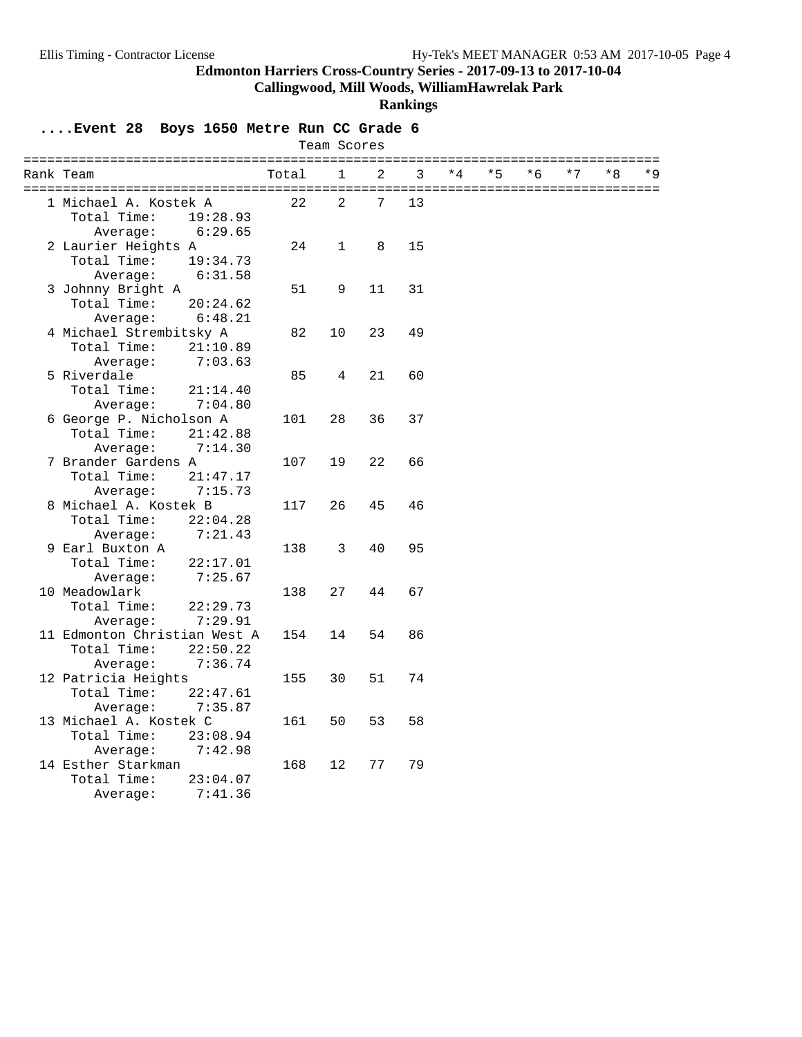**Callingwood, Mill Woods, WilliamHawrelak Park**

#### **Rankings**

| Team Scores |                                                         |                                |       |             |                |    |      |      |      |      |      |       |
|-------------|---------------------------------------------------------|--------------------------------|-------|-------------|----------------|----|------|------|------|------|------|-------|
|             | Rank Team                                               |                                | Total | 1           | $\overline{2}$ | 3  | $*4$ | $*5$ | $*6$ | $*7$ | $*8$ | $*$ 9 |
|             | 1 Michael A. Kostek A<br>Total Time:                    | 19:28.93                       | 22    | 2           | 7              | 13 |      |      |      |      |      |       |
|             | Average:<br>2 Laurier Heights A<br>Total Time:          | 6:29.65<br>19:34.73            | 24    | $\mathbf 1$ | 8              | 15 |      |      |      |      |      |       |
|             | Average:<br>3 Johnny Bright A<br>Total Time:            | 6:31.58<br>20:24.62            | 51    | 9           | 11             | 31 |      |      |      |      |      |       |
|             | Average:<br>4 Michael Strembitsky A<br>Total Time:      | 6:48.21<br>21:10.89            | 82    | 10          | 23             | 49 |      |      |      |      |      |       |
|             | Average:<br>5 Riverdale<br>Total Time:                  | 7:03.63<br>21:14.40            | 85    | 4           | 21             | 60 |      |      |      |      |      |       |
|             | Average:<br>6 George P. Nicholson A<br>Total Time:      | 7:04.80<br>21:42.88            | 101   | 28          | 36             | 37 |      |      |      |      |      |       |
|             | Average:<br>7 Brander Gardens A<br>Total Time:          | 7:14.30<br>21:47.17            | 107   | 19          | 22             | 66 |      |      |      |      |      |       |
|             | Average:<br>8 Michael A. Kostek B<br>Total Time:        | 7:15.73<br>22:04.28            | 117   | 26          | 45             | 46 |      |      |      |      |      |       |
|             | Average:<br>9 Earl Buxton A<br>Total Time:              | 7:21.43<br>22:17.01<br>7:25.67 | 138   | 3           | 40             | 95 |      |      |      |      |      |       |
|             | Average:<br>10 Meadowlark<br>Total Time:<br>Average:    | 22:29.73<br>7:29.91            | 138   | 27          | 44             | 67 |      |      |      |      |      |       |
|             | 11 Edmonton Christian West A<br>Total Time:<br>Average: | 22:50.22<br>7:36.74            | 154   | 14          | 54             | 86 |      |      |      |      |      |       |
|             | 12 Patricia Heights<br>Total Time:<br>Average:          | 22:47.61<br>7:35.87            | 155   | 30          | 51             | 74 |      |      |      |      |      |       |
|             | 13 Michael A. Kostek C<br>Total Time:<br>Average:       | 23:08.94<br>7:42.98            | 161   | 50          | 53             | 58 |      |      |      |      |      |       |
|             | 14 Esther Starkman<br>Total Time:<br>Average:           | 23:04.07<br>7:41.36            | 168   | 12          | 77             | 79 |      |      |      |      |      |       |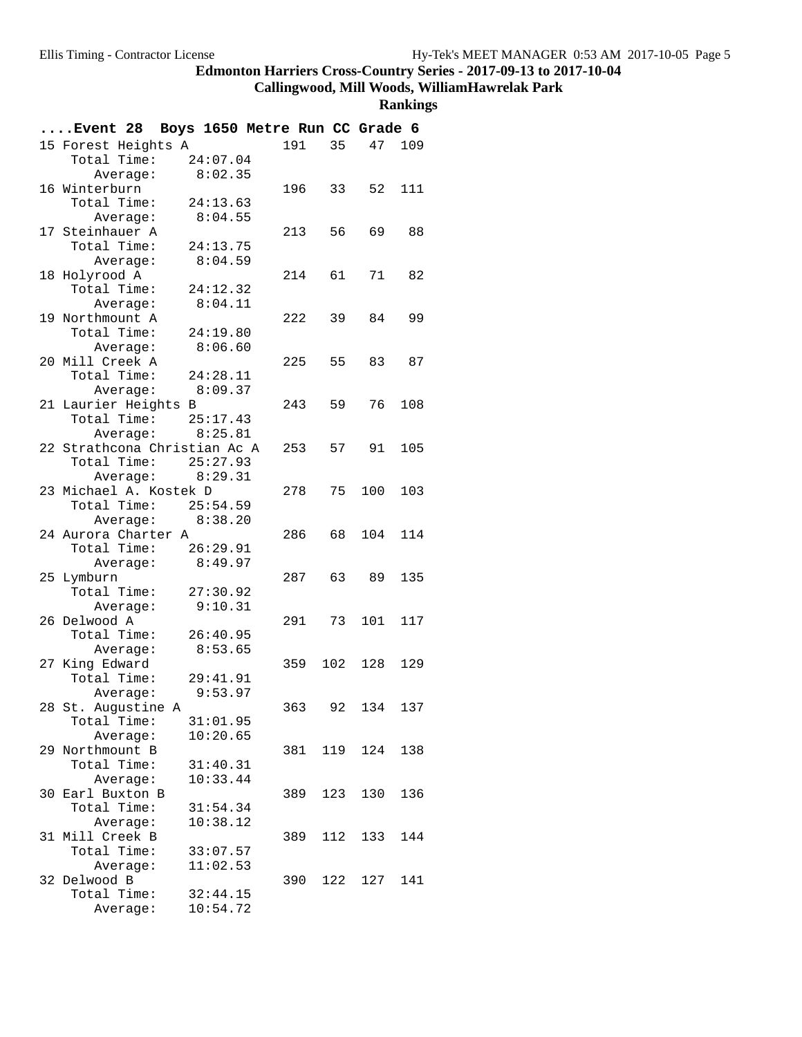**Callingwood, Mill Woods, WilliamHawrelak Park**

| Event 28 Boys 1650 Metre Run CC Grade 6 |                  |          |        |     |         |        |
|-----------------------------------------|------------------|----------|--------|-----|---------|--------|
| 15 Forest Heights A                     |                  |          | 191    | 35  |         | 47 109 |
| Total Time:                             |                  | 24:07.04 |        |     |         |        |
|                                         | Average:         | 8:02.35  |        |     |         |        |
| 16 Winterburn                           |                  |          | 196    | 33  | 52      | 111    |
| Total Time:                             |                  | 24:13.63 |        |     |         |        |
|                                         | Average:         | 8:04.55  |        |     |         |        |
| 17 Steinhauer A                         |                  |          | 213    | 56  | 69      | 88     |
| Total Time:                             |                  | 24:13.75 |        |     |         |        |
|                                         | Average:         | 8:04.59  |        |     |         |        |
| 18 Holyrood A                           |                  |          | 214    | 61  | 71      | 82     |
| Total Time:                             |                  | 24:12.32 |        |     |         |        |
|                                         | Average:         | 8:04.11  |        |     |         |        |
| 19 Northmount A                         |                  |          | 222    | 39  | 84      | 99     |
| Total Time:                             |                  | 24:19.80 |        |     |         |        |
|                                         | Average:         | 8:06.60  |        |     |         |        |
| 20 Mill Creek A                         |                  |          | 225    | 55  | 83      | 87     |
| Total Time: 24:28.11                    |                  |          |        |     |         |        |
|                                         | Average: 8:09.37 |          |        |     |         |        |
| 21 Laurier Heights B                    |                  |          | 243    | 59  | 76      | 108    |
| Total Time: 25:17.43                    |                  |          |        |     |         |        |
|                                         | Average: 8:25.81 |          |        |     |         |        |
| 22 Strathcona Christian Ac A            |                  |          | 253    | 57  | 91      | 105    |
| Total Time: 25:27.93                    |                  |          |        |     |         |        |
|                                         | Average:         | 8:29.31  |        |     |         |        |
| 23 Michael A. Kostek D                  |                  |          | 278    | 75  | 100     | 103    |
| Total Time: 25:54.59                    |                  |          |        |     |         |        |
|                                         | Average: 8:38.20 |          |        |     |         |        |
| 24 Aurora Charter A                     |                  |          | 286    | 68  | 104     | 114    |
| Total Time: 26:29.91                    |                  |          |        |     |         |        |
|                                         | Average:         | 8:49.97  |        |     |         |        |
| 25 Lymburn                              |                  |          | 287    | 63  | 89      | 135    |
| Total Time: 27:30.92                    |                  |          |        |     |         |        |
|                                         | Average:         | 9:10.31  |        |     |         |        |
| 26 Delwood A                            |                  |          | 291 73 |     | 101     | 117    |
| Total Time:                             |                  | 26:40.95 |        |     |         |        |
|                                         | Average:         | 8:53.65  |        |     |         |        |
| 27 King Edward                          |                  |          | 359    |     | 102 128 | 129    |
| Total Time:                             |                  | 29:41.91 |        |     |         |        |
|                                         | Average:         | 9:53.97  |        |     |         |        |
| 28 St. Auqustine A                      |                  |          | 363.   | 92  | 134     | 137    |
| Total Time:                             |                  | 31:01.95 |        |     |         |        |
|                                         | Average:         | 10:20.65 |        |     |         |        |
| 29 Northmount B                         |                  |          | 381    | 119 | 124     | 138    |
| Total Time:                             |                  | 31:40.31 |        |     |         |        |
|                                         | Average:         | 10:33.44 |        |     |         |        |
| 30 Earl Buxton B                        |                  |          | 389    | 123 | 130     | 136    |
| Total Time:                             |                  | 31:54.34 |        |     |         |        |
|                                         | Average:         | 10:38.12 |        |     |         |        |
| 31 Mill Creek B                         |                  |          | 389    | 112 | 133     | 144    |
| Total Time:                             |                  | 33:07.57 |        |     |         |        |
|                                         | Average:         | 11:02.53 |        |     |         |        |
| 32 Delwood B                            |                  |          | 390    | 122 | 127     | 141    |
| Total Time:                             |                  | 32:44.15 |        |     |         |        |
|                                         | Average:         | 10:54.72 |        |     |         |        |